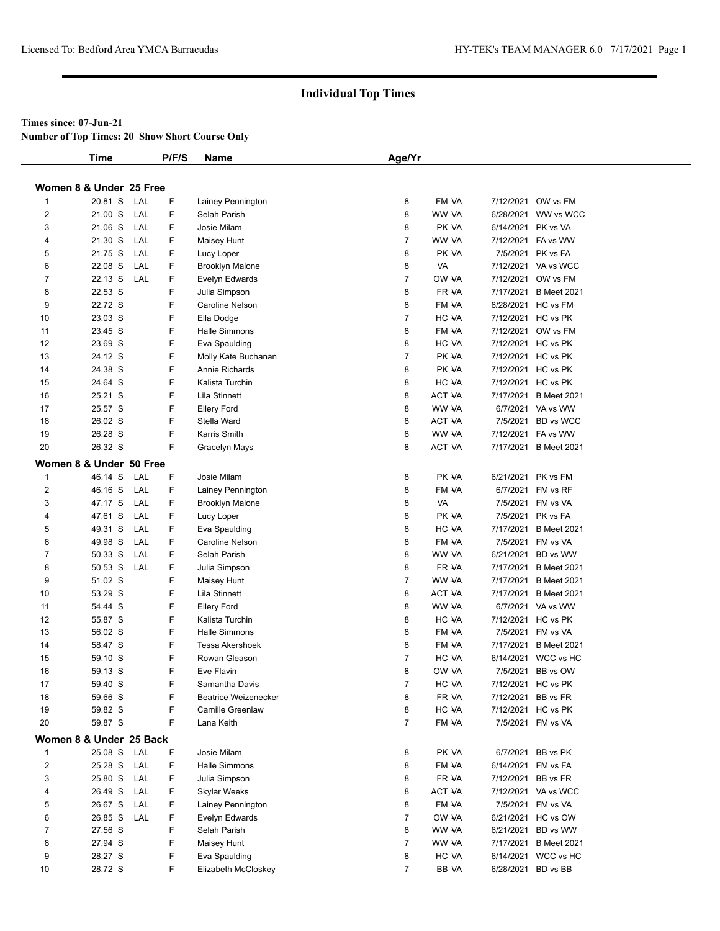#### **Times since: 07-Jun-21**

**Number of Top Times: 20 Show Short Course Only**

|                | <b>Time</b>                        |     | P/F/S  | Name                                  | Age/Yr         |                |                                            |
|----------------|------------------------------------|-----|--------|---------------------------------------|----------------|----------------|--------------------------------------------|
|                | Women 8 & Under 25 Free            |     |        |                                       |                |                |                                            |
| 1              | 20.81 S                            | LAL | F      | Lainey Pennington                     | 8              | FM VA          | 7/12/2021 OW vs FM                         |
| 2              | 21.00 S                            | LAL | F      | Selah Parish                          | 8              | WW VA          | 6/28/2021 WW vs WCC                        |
| 3              | 21.06 S                            | LAL | F      | Josie Milam                           | 8              | PK VA          | 6/14/2021 PK vs VA                         |
| 4              | 21.30 S                            | LAL | F      | Maisey Hunt                           | $\overline{7}$ | WW VA          | 7/12/2021 FA vs WW                         |
| 5              | 21.75 S                            | LAL | F      | Lucy Loper                            | 8              | PK VA          | 7/5/2021 PK vs FA                          |
| 6              | 22.08 S                            | LAL | F      | <b>Brooklyn Malone</b>                | 8              | VA             | 7/12/2021 VA vs WCC                        |
| 7              | 22.13 S                            | LAL | F      | Evelyn Edwards                        | $\overline{7}$ | OW VA          | 7/12/2021 OW vs FM                         |
| 8              | 22.53 S                            |     | F      | Julia Simpson                         | 8              | FR VA          | 7/17/2021 B Meet 2021                      |
| 9              | 22.72 S                            |     | F      | Caroline Nelson                       | 8              | FM VA          | 6/28/2021 HC vs FM                         |
| 10             | 23.03 S                            |     | F      | Ella Dodge                            | $\overline{7}$ | HC VA          | 7/12/2021 HC vs PK                         |
| 11             | 23.45 S                            |     | F      | Halle Simmons                         | 8              | FM VA          | 7/12/2021 OW vs FM                         |
| 12             | 23.69 S                            |     | F      | Eva Spaulding                         | 8              | HC VA          | 7/12/2021 HC vs PK                         |
| 13             | 24.12 S                            |     | F      | Molly Kate Buchanan                   | $\overline{7}$ | PK VA          | 7/12/2021 HC vs PK                         |
| 14             | 24.38 S                            |     | F      | Annie Richards                        | 8              | PK VA          | 7/12/2021 HC vs PK                         |
| 15             | 24.64 S                            |     | F      | Kalista Turchin                       | 8              | HC VA          | 7/12/2021 HC vs PK                         |
| 16             | 25.21 S                            |     | F      | Lila Stinnett                         | 8              | ACT VA         | 7/17/2021 B Meet 2021                      |
| 17             | 25.57 S                            |     | F      | <b>Ellery Ford</b>                    | 8              | WW VA          | 6/7/2021 VA vs WW                          |
| 18             | 26.02 S                            |     | F      | Stella Ward                           | 8              | ACT VA         | 7/5/2021 BD vs WCC                         |
| 19             | 26.28 S                            |     | F      | Karris Smith                          | 8              | WW VA          | 7/12/2021 FA vs WW                         |
| 20             | 26.32 S                            |     | F      | Gracelyn Mays                         | 8              | <b>ACT VA</b>  | 7/17/2021 B Meet 2021                      |
|                | Women 8 & Under 50 Free            |     |        |                                       |                |                |                                            |
| $\mathbf{1}$   | 46.14 S                            | LAL | F      | Josie Milam                           | 8              | PK VA          | 6/21/2021 PK vs FM                         |
| $\overline{2}$ | 46.16 S                            | LAL | F      | Lainey Pennington                     | 8              | FM VA          | 6/7/2021 FM vs RF                          |
| 3              | 47.17 S                            | LAL | F      | <b>Brooklyn Malone</b>                | 8              | VA             | 7/5/2021 FM vs VA                          |
| $\overline{4}$ | 47.61 S                            | LAL | F      |                                       | 8              | PK VA          | 7/5/2021 PK vs FA                          |
| 5              | 49.31 S                            | LAL | F      | Lucy Loper                            | 8              | HC VA          | 7/17/2021 B Meet 2021                      |
| 6              | 49.98 S                            | LAL | F      | Eva Spaulding<br>Caroline Nelson      | 8              | FM VA          | 7/5/2021 FM vs VA                          |
| 7              | 50.33 S                            | LAL | F.     | Selah Parish                          | 8              | WW VA          | 6/21/2021 BD vs WW                         |
| 8              | 50.53 S                            | LAL | F      |                                       | 8              | FR VA          | 7/17/2021 B Meet 2021                      |
| 9              | 51.02 S                            |     | F      | Julia Simpson<br>Maisey Hunt          | $\overline{7}$ | WW VA          | 7/17/2021 B Meet 2021                      |
| 10             | 53.29 S                            |     | F      | Lila Stinnett                         | 8              | ACT VA         | 7/17/2021 B Meet 2021                      |
| 11             | 54.44 S                            |     | F      |                                       | 8              |                | 6/7/2021 VA vs WW                          |
| 12             | 55.87 S                            |     | F      | <b>Ellery Ford</b><br>Kalista Turchin | 8              | WW VA<br>HC VA | 7/12/2021 HC vs PK                         |
|                |                                    |     | F      |                                       |                | FM VA          |                                            |
| 13<br>14       | 56.02 S<br>58.47 S                 |     | F      | Halle Simmons<br>Tessa Akershoek      | 8<br>8         | FM VA          | 7/5/2021 FM vs VA<br>7/17/2021 B Meet 2021 |
| 15             | 59.10 S                            |     | F      | Rowan Gleason                         | $\overline{7}$ | HC VA          | 6/14/2021 WCC vs HC                        |
|                |                                    |     | F      |                                       |                |                |                                            |
| 16             | 59.13 S                            |     |        | Eve Flavin<br>Samantha Davis          | 8              | OW VA          | 7/5/2021 BB vs OW                          |
| 17             | 59.40 S                            |     | F<br>F |                                       | $\overline{7}$ | HC VA          | 7/12/2021 HC vs PK                         |
| 18             | 59.66 S                            |     |        | <b>Beatrice Weizenecker</b>           | 8              | FR VA          | 7/12/2021 BB vs FR                         |
| 19             | 59.82 S                            |     | F      | <b>Camille Greenlaw</b>               | 8              | HC VA          | 7/12/2021 HC vs PK                         |
| 20             | 59.87 S                            |     | F      | Lana Keith                            | $\overline{7}$ | FM VA          | 7/5/2021 FM vs VA                          |
| $\mathbf{1}$   | Women 8 & Under 25 Back<br>25.08 S | LAL | F      | Josie Milam                           | 8              | PK VA          | 6/7/2021 BB vs PK                          |
| $\overline{2}$ | 25.28 S                            | LAL | F      |                                       |                |                |                                            |
|                |                                    |     |        | Halle Simmons                         | 8              | FM VA          | 6/14/2021 FM vs FA<br>7/12/2021 BB vs FR   |
| 3              | 25.80 S                            | LAL | F      | Julia Simpson                         | 8              | FR VA          |                                            |
| 4              | 26.49 S                            | LAL | F      | <b>Skylar Weeks</b>                   | 8              | ACT VA         | 7/12/2021 VA vs WCC                        |
| 5              | 26.67 S                            | LAL | F      | Lainey Pennington                     | 8              | FM VA          | 7/5/2021 FM vs VA                          |
| 6              | 26.85 S                            | LAL | F      | Evelyn Edwards                        | $\overline{7}$ | OW VA          | 6/21/2021 HC vs OW                         |
| $\overline{7}$ | 27.56 S                            |     | F      | Selah Parish                          | 8              | WW VA          | 6/21/2021 BD vs WW                         |
| 8              | 27.94 S                            |     | F      | Maisey Hunt                           | $\overline{7}$ | WW VA          | 7/17/2021 B Meet 2021                      |
| 9              | 28.27 S                            |     | F      | Eva Spaulding                         | 8              | HC VA          | 6/14/2021 WCC vs HC                        |
| 10             | 28.72 S                            |     | F      | Elizabeth McCloskey                   | $\overline{7}$ | BB VA          | 6/28/2021 BD vs BB                         |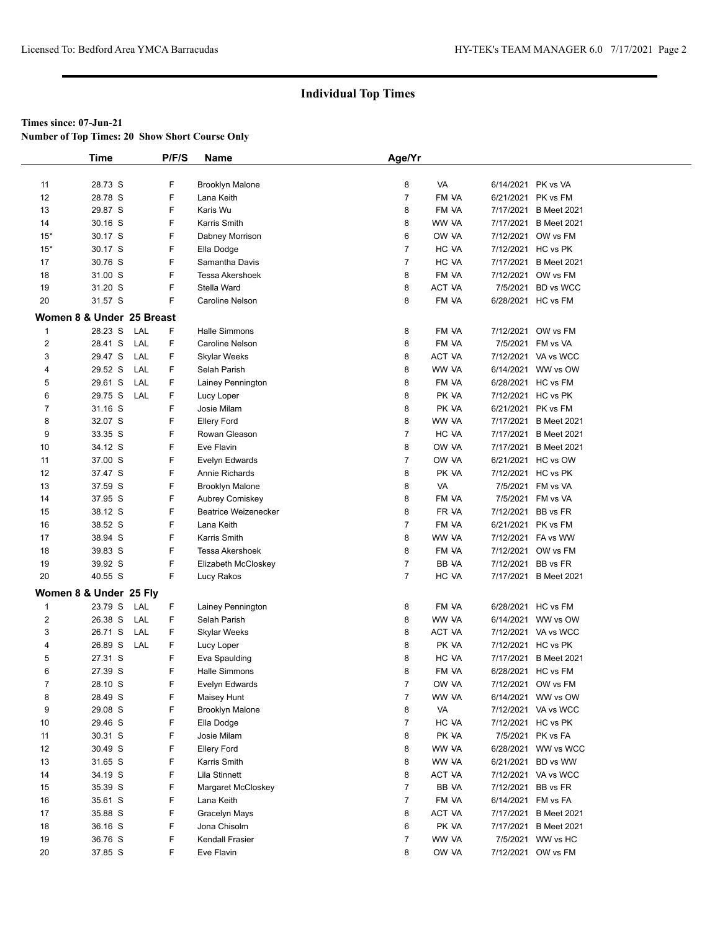**Number of Top Times: 20 Show Short Course Only**

|                         | <b>Time</b>               | P/F/S     | Name                                           | Age/Yr         |               |                    |                       |  |
|-------------------------|---------------------------|-----------|------------------------------------------------|----------------|---------------|--------------------|-----------------------|--|
|                         |                           |           |                                                |                |               |                    |                       |  |
| 11                      | 28.73 S                   | F         | <b>Brooklyn Malone</b>                         | 8              | VA            | 6/14/2021 PK vs VA |                       |  |
| 12                      | 28.78 S                   | F         | Lana Keith                                     | $\overline{7}$ | FM VA         |                    | 6/21/2021 PK vs FM    |  |
| 13                      | 29.87 S                   | F         | Karis Wu                                       | 8              | FM VA         | 7/17/2021          | <b>B</b> Meet 2021    |  |
| 14                      | 30.16 S                   | F         | Karris Smith                                   | 8              | WW VA         |                    | 7/17/2021 B Meet 2021 |  |
| $15*$                   | 30.17 S                   | F         | Dabney Morrison                                | 6              | OW VA         |                    | 7/12/2021 OW vs FM    |  |
| $15*$                   | 30.17 S                   | F         | Ella Dodge                                     | $\overline{7}$ | HC VA         |                    | 7/12/2021 HC vs PK    |  |
| 17                      | 30.76 S                   | F         | Samantha Davis                                 | $\overline{7}$ | HC VA         | 7/17/2021          | <b>B</b> Meet 2021    |  |
| 18                      | 31.00 S                   | F         | Tessa Akershoek                                | 8              | FM VA         | 7/12/2021          | OW vs FM              |  |
| 19                      | 31.20 S                   | F         | Stella Ward                                    | 8              | <b>ACT VA</b> | 7/5/2021           | <b>BD</b> vs WCC      |  |
| 20                      | 31.57 S                   | F.        | Caroline Nelson                                | 8              | FM VA         |                    | 6/28/2021 HC vs FM    |  |
|                         | Women 8 & Under 25 Breast |           |                                                |                |               |                    |                       |  |
| $\mathbf 1$             | 28.23 S                   | F<br>LAL  | Halle Simmons                                  | 8              | FM VA         |                    | 7/12/2021 OW vs FM    |  |
| $\overline{2}$          | 28.41 S                   | LAL<br>F  | Caroline Nelson                                | 8              | FM VA         |                    | 7/5/2021 FM vs VA     |  |
| 3                       | 29.47 S                   | LAL<br>F  | Skylar Weeks                                   | 8              | ACT VA        |                    | 7/12/2021 VA vs WCC   |  |
| 4                       | 29.52 S                   | LAL<br>F. | Selah Parish                                   | 8              | WW VA         |                    | 6/14/2021 WW vs OW    |  |
| 5                       | 29.61 S                   | LAL<br>F  | Lainey Pennington                              | 8              | FM VA         |                    | 6/28/2021 HC vs FM    |  |
| 6                       | 29.75 S                   | F<br>LAL  | Lucy Loper                                     | 8              | PK VA         |                    | 7/12/2021 HC vs PK    |  |
| 7                       | 31.16 S                   | F.        | Josie Milam                                    | 8              | PK VA         |                    | 6/21/2021 PK vs FM    |  |
| 8                       | 32.07 S                   | F         | Ellery Ford                                    | 8              | WW VA         |                    | 7/17/2021 B Meet 2021 |  |
| 9                       | 33.35 S                   | F         | Rowan Gleason                                  | $\overline{7}$ | HC VA         |                    | 7/17/2021 B Meet 2021 |  |
| 10                      | 34.12 S                   | F         | Eve Flavin                                     | 8              | OW VA         | 7/17/2021          | <b>B</b> Meet 2021    |  |
| 11                      | 37.00 S                   | F         | Evelyn Edwards                                 | $\overline{7}$ | OW VA         |                    | 6/21/2021 HC vs OW    |  |
| 12                      | 37.47 S                   | F         | Annie Richards                                 | 8              | PK VA         |                    | 7/12/2021 HC vs PK    |  |
| 13                      | 37.59 S                   | F         | <b>Brooklyn Malone</b>                         | 8              | VA            |                    | 7/5/2021 FM vs VA     |  |
| 14                      | 37.95 S                   | F         |                                                | 8              | FM VA         |                    | 7/5/2021 FM vs VA     |  |
| 15                      | 38.12 S                   | F         | Aubrey Comiskey<br><b>Beatrice Weizenecker</b> | 8              | FR VA         |                    | 7/12/2021 BB vs FR    |  |
| 16                      | 38.52 S                   | F.        | Lana Keith                                     | $\overline{7}$ | FM VA         |                    | 6/21/2021 PK vs FM    |  |
| 17                      | 38.94 S                   | F         | Karris Smith                                   | 8              | WW VA         |                    | 7/12/2021 FA vs WW    |  |
| 18                      | 39.83 S                   | F         | Tessa Akershoek                                | 8              | FM VA         |                    | 7/12/2021 OW vs FM    |  |
| 19                      | 39.92 S                   | F         | Elizabeth McCloskey                            | $\overline{7}$ | BB VA         |                    | 7/12/2021 BB vs FR    |  |
| 20                      | 40.55 S                   | F.        | Lucy Rakos                                     | $\overline{7}$ | HC VA         |                    | 7/17/2021 B Meet 2021 |  |
|                         |                           |           |                                                |                |               |                    |                       |  |
|                         | Women 8 & Under 25 Fly    |           |                                                |                |               |                    |                       |  |
| $\mathbf{1}$            | 23.79 S                   | F<br>LAL  | Lainey Pennington                              | 8              | FM VA         |                    | 6/28/2021 HC vs FM    |  |
| $\overline{\mathbf{c}}$ | 26.38 S                   | LAL<br>F  | Selah Parish                                   | 8              | WW VA         |                    | 6/14/2021 WW vs OW    |  |
| 3                       | 26.71 S                   | LAL<br>F  | Skylar Weeks                                   | 8              | ACT VA        |                    | 7/12/2021 VA vs WCC   |  |
| 4                       | 26.89 S                   | LAL<br>F  | Lucy Loper                                     | 8              | PK VA         |                    | 7/12/2021 HC vs PK    |  |
| 5                       | 27.31 S                   | F         | Eva Spaulding                                  | 8              | HC VA         | 7/17/2021          | <b>B</b> Meet 2021    |  |
| 6                       | 27.39 S                   | F         | <b>Halle Simmons</b>                           | 8              | FM VA         |                    | 6/28/2021 HC vs FM    |  |
| 7                       | 28.10 S                   | F         | Evelyn Edwards                                 | 7              | OW VA         |                    | 7/12/2021 OW vs FM    |  |
| 8                       | 28.49 S                   | F         | Maisey Hunt                                    | $\overline{7}$ | WW VA         |                    | 6/14/2021 WW vs OW    |  |
| 9                       | 29.08 S                   | F         | <b>Brooklyn Malone</b>                         | 8              | VA            |                    | 7/12/2021 VA vs WCC   |  |
| 10                      | 29.46 S                   | F         | Ella Dodge                                     | $\overline{7}$ | HC VA         |                    | 7/12/2021 HC vs PK    |  |
| 11                      | 30.31 S                   | F         | Josie Milam                                    | 8              | PK VA         |                    | 7/5/2021 PK vs FA     |  |
| 12                      | 30.49 S                   | F         | <b>Ellery Ford</b>                             | 8              | WW VA         |                    | 6/28/2021 WW vs WCC   |  |
| 13                      | 31.65 S                   | F         | Karris Smith                                   | 8              | WW VA         | 6/21/2021          | BD vs WW              |  |
| 14                      | 34.19 S                   | F         | Lila Stinnett                                  | 8              | ACT VA        |                    | 7/12/2021 VA vs WCC   |  |
| 15                      | 35.39 S                   | F         | Margaret McCloskey                             | $\overline{7}$ | BB VA         |                    | 7/12/2021 BB vs FR    |  |
| 16                      | 35.61 S                   | F         | Lana Keith                                     | $\overline{7}$ | FM VA         | 6/14/2021 FM vs FA |                       |  |
| 17                      | 35.88 S                   | F         | Gracelyn Mays                                  | 8              | ACT VA        | 7/17/2021          | <b>B</b> Meet 2021    |  |
| 18                      | 36.16 S                   | F         | Jona Chisolm                                   | 6              | PK VA         |                    | 7/17/2021 B Meet 2021 |  |
| 19                      | 36.76 S                   | F         | <b>Kendall Frasier</b>                         | $\overline{7}$ | WW VA         |                    | 7/5/2021 WW vs HC     |  |
| 20                      | 37.85 S                   | F         | Eve Flavin                                     | 8              | OW VA         |                    | 7/12/2021 OW vs FM    |  |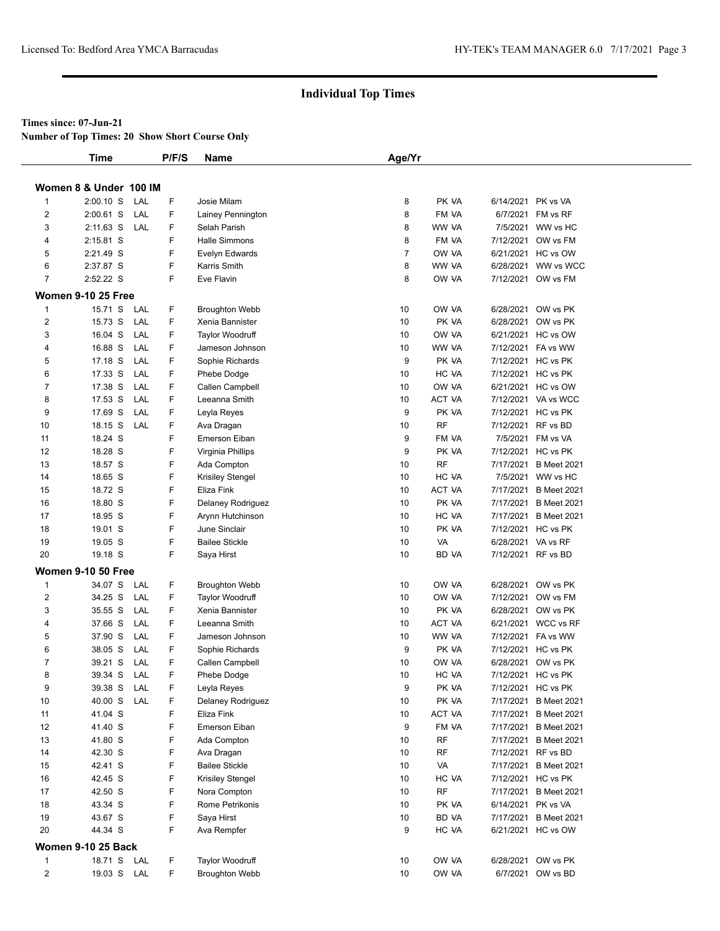### **Times since: 07-Jun-21**

**Number of Top Times: 20 Show Short Course Only**

|                | <b>Time</b>               | P/F/S           | <b>Name</b>            | Age/Yr         |               |                    |                       |
|----------------|---------------------------|-----------------|------------------------|----------------|---------------|--------------------|-----------------------|
|                |                           |                 |                        |                |               |                    |                       |
|                | Women 8 & Under 100 IM    |                 |                        |                |               |                    |                       |
| 1              | $2:00.10$ S<br>LAL        | F               | Josie Milam            | 8              | PK VA         | 6/14/2021 PK vs VA |                       |
| 2              | $2:00.61$ S<br>LAL        | F               | Lainey Pennington      | 8              | FM VA         |                    | 6/7/2021 FM vs RF     |
| 3              | $2:11.63$ S<br>LAL        | F               | Selah Parish           | 8              | WW VA         |                    | 7/5/2021 WW vs HC     |
| 4              | $2:15.81$ S               | F               | Halle Simmons          | 8              | FM VA         |                    | 7/12/2021 OW vs FM    |
| 5              | 2:21.49 S                 | F               | Evelyn Edwards         | $\overline{7}$ | OW VA         |                    | 6/21/2021 HC vs OW    |
| 6              | 2:37.87 S                 | F               | Karris Smith           | 8              | WW VA         |                    | 6/28/2021 WW vs WCC   |
| $\overline{7}$ | 2:52.22 S                 | F               | Eve Flavin             | 8              | OW VA         |                    | 7/12/2021 OW vs FM    |
|                | <b>Women 9-10 25 Free</b> |                 |                        |                |               |                    |                       |
| $\mathbf{1}$   | 15.71 S<br>LAL            | F               | <b>Broughton Webb</b>  | 10             | OW VA         |                    | 6/28/2021 OW vs PK    |
| $\overline{c}$ | 15.73 S<br>LAL            | F               | Xenia Bannister        | 10             | PK VA         |                    | 6/28/2021 OW vs PK    |
| 3              | 16.04 S                   | LAL<br>F        | <b>Taylor Woodruff</b> | 10             | OW VA         |                    | 6/21/2021 HC vs OW    |
| 4              | 16.88 S                   | LAL<br>F        | Jameson Johnson        | 10             | WW VA         |                    | 7/12/2021 FA vs WW    |
| 5              | 17.18 S                   | F<br>LAL        | Sophie Richards        | 9              | PK VA         |                    | 7/12/2021 HC vs PK    |
| 6              | 17.33 S                   | F<br>LAL        | Phebe Dodge            | 10             | HC VA         |                    | 7/12/2021 HC vs PK    |
| $\overline{7}$ | 17.38 S                   | F<br>LAL        | Callen Campbell        | 10             | OW VA         |                    | 6/21/2021 HC vs OW    |
| 8              | 17.53 S                   | F<br>LAL        | Leeanna Smith          | 10             | <b>ACT VA</b> |                    | 7/12/2021 VA vs WCC   |
| 9              | 17.69 S                   | F<br>LAL        | Leyla Reyes            | 9              | PK VA         |                    | 7/12/2021 HC vs PK    |
| 10             | 18.15 S<br>LAL            | F               | Ava Dragan             | 10             | <b>RF</b>     | 7/12/2021 RF vs BD |                       |
| 11             | 18.24 S                   | F               | Emerson Eiban          | 9              | FM VA         |                    | 7/5/2021 FM vs VA     |
| 12             | 18.28 S                   | F               | Virginia Phillips      | 9              | PK VA         |                    | 7/12/2021 HC vs PK    |
| 13             | 18.57 S                   | F               | Ada Compton            | 10             | <b>RF</b>     |                    | 7/17/2021 B Meet 2021 |
| 14             | 18.65 S                   | F               | Krisiley Stengel       | 10             | HC VA         |                    | 7/5/2021 WW vs HC     |
| 15             | 18.72 S                   | F               | Eliza Fink             | 10             | ACT VA        |                    | 7/17/2021 B Meet 2021 |
| 16             | 18.80 S                   | F               | Delaney Rodriguez      | 10             | PK VA         |                    | 7/17/2021 B Meet 2021 |
| 17             | 18.95 S                   | F               | Arynn Hutchinson       | 10             | HC VA         |                    | 7/17/2021 B Meet 2021 |
| 18             | 19.01 S                   | F               | June Sinclair          | 10             | PK VA         |                    | 7/12/2021 HC vs PK    |
| 19             | 19.05 S                   | F               | <b>Bailee Stickle</b>  | 10             | VA            | 6/28/2021 VA vs RF |                       |
| 20             | 19.18 S                   | F               | Saya Hirst             | 10             | BD VA         | 7/12/2021 RF vs BD |                       |
|                | <b>Women 9-10 50 Free</b> |                 |                        |                |               |                    |                       |
| 1              | 34.07 S                   | F<br>LAL        | <b>Broughton Webb</b>  | 10             | OW VA         |                    | 6/28/2021 OW vs PK    |
| $\overline{2}$ | 34.25 S                   | F<br>LAL        | <b>Taylor Woodruff</b> | 10             | OW VA         |                    | 7/12/2021 OW vs FM    |
| 3              | 35.55 S                   | F<br>LAL        | Xenia Bannister        | 10             | PK VA         |                    | 6/28/2021 OW vs PK    |
| 4              | 37.66 S                   | F<br>LAL        | Leeanna Smith          | 10             | ACT VA        |                    | 6/21/2021 WCC vs RF   |
| 5              | LAL<br>37.90 S            | F               | Jameson Johnson        | 10             | WW VA         |                    | 7/12/2021 FA vs WW    |
| 6              | 38.05 S                   | F<br><b>LAL</b> | Sophie Richards        | 9              | PK VA         |                    | 7/12/2021 HC vs PK    |
| 7              | 39.21 S<br>LAL            | F               | Callen Campbell        | 10             | OW VA         |                    | 6/28/2021 OW vs PK    |
| 8              | 39.34 S LAL               | F               | Phebe Dodge            | 10             | HC VA         |                    | 7/12/2021 HC vs PK    |
| 9              | 39.38 S LAL               | F               | Leyla Reyes            | 9              | PK VA         |                    | 7/12/2021 HC vs PK    |
| 10             | 40.00 S<br>LAL            | F               | Delaney Rodriguez      | 10             | PK VA         |                    | 7/17/2021 B Meet 2021 |
| 11             | 41.04 S                   | F               | Eliza Fink             | 10             | ACT VA        |                    | 7/17/2021 B Meet 2021 |
| 12             | 41.40 S                   | F               | Emerson Eiban          | 9              | FM VA         |                    | 7/17/2021 B Meet 2021 |
|                |                           |                 |                        |                |               |                    |                       |
| 13             | 41.80 S                   | F               | Ada Compton            | 10             | RF            |                    | 7/17/2021 B Meet 2021 |
| 14             | 42.30 S                   | F               | Ava Dragan             | 10             | RF            | 7/12/2021 RF vs BD |                       |
| 15             | 42.41 S                   | F               | <b>Bailee Stickle</b>  | 10             | VA            |                    | 7/17/2021 B Meet 2021 |
| 16             | 42.45 S                   | F               | Krisiley Stengel       | 10             | HC VA         |                    | 7/12/2021 HC vs PK    |
| 17             | 42.50 S                   | F               | Nora Compton           | 10             | RF            |                    | 7/17/2021 B Meet 2021 |
| 18             | 43.34 S                   | F               | Rome Petrikonis        | 10             | PK VA         | 6/14/2021 PK vs VA |                       |
| 19             | 43.67 S                   | F               | Saya Hirst             | 10             | BD VA         |                    | 7/17/2021 B Meet 2021 |
| 20             | 44.34 S                   | F               | Ava Rempfer            | 9              | HC VA         |                    | 6/21/2021 HC vs OW    |
|                | <b>Women 9-10 25 Back</b> |                 |                        |                |               |                    |                       |
| 1              | 18.71 S LAL               | F               | Taylor Woodruff        | 10             | OW VA         |                    | 6/28/2021 OW vs PK    |
| $\overline{2}$ | 19.03 S LAL               | F.              | <b>Broughton Webb</b>  | 10             | OW VA         |                    | 6/7/2021 OW vs BD     |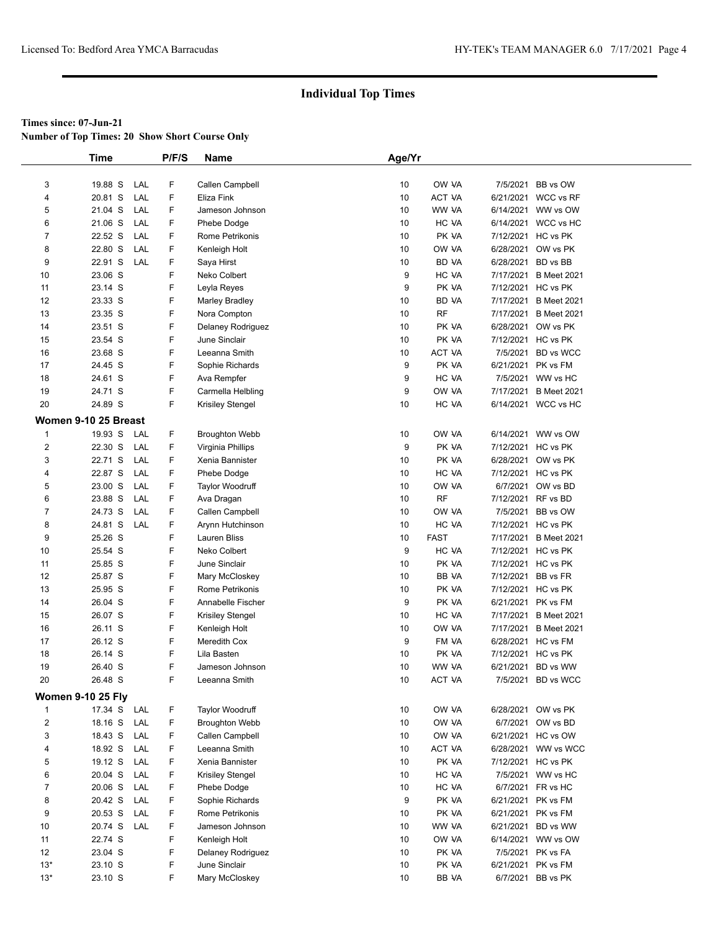**Number of Top Times: 20 Show Short Course Only**

|                | <b>Time</b>              |     | P/F/S | Name                   | Age/Yr          |             |                    |                       |
|----------------|--------------------------|-----|-------|------------------------|-----------------|-------------|--------------------|-----------------------|
|                |                          |     |       |                        |                 |             |                    |                       |
| 3              | 19.88 S                  | LAL | F     | Callen Campbell        | 10              | OW VA       |                    | 7/5/2021 BB vs OW     |
| 4              | 20.81 S                  | LAL | F     | Eliza Fink             | 10              | ACT VA      |                    | 6/21/2021 WCC vs RF   |
| 5              | 21.04 S                  | LAL | F     | Jameson Johnson        | 10              | WW VA       | 6/14/2021          | WW vs OW              |
| 6              | 21.06 S                  | LAL | F     | Phebe Dodge            | 10              | HC VA       | 6/14/2021          | WCC vs HC             |
| $\overline{7}$ | 22.52 S                  | LAL | F     | Rome Petrikonis        | 10              | PK VA       |                    | 7/12/2021 HC vs PK    |
| 8              | 22.80 S                  | LAL | F     | Kenleigh Holt          | 10              | OW VA       | 6/28/2021          | OW vs PK              |
| 9              | 22.91 S                  | LAL | F     | Saya Hirst             | 10              | BD VA       | 6/28/2021 BD vs BB |                       |
| 10             | 23.06 S                  |     | F     | Neko Colbert           | 9               | HC VA       | 7/17/2021          | <b>B</b> Meet 2021    |
| 11             | 23.14 S                  |     | F     | Leyla Reyes            | 9               | PK VA       | 7/12/2021          | HC vs PK              |
| 12             | 23.33 S                  |     | F     | <b>Marley Bradley</b>  | 10              | BD VA       | 7/17/2021          | <b>B</b> Meet 2021    |
| 13             | 23.35 S                  |     | F     | Nora Compton           | 10              | <b>RF</b>   | 7/17/2021          | <b>B</b> Meet 2021    |
| 14             | 23.51 S                  |     | F     | Delaney Rodriguez      | 10              | PK VA       | 6/28/2021          | OW vs PK              |
| 15             | 23.54 S                  |     | F     | June Sinclair          | 10              | PK VA       |                    | 7/12/2021 HC vs PK    |
| 16             | 23.68 S                  |     | F     | Leeanna Smith          | 10              | ACT VA      | 7/5/2021           | <b>BD</b> vs WCC      |
| 17             | 24.45 S                  |     | F     | Sophie Richards        | 9               | PK VA       | 6/21/2021          | PK vs FM              |
| 18             | 24.61 S                  |     | F     | Ava Rempfer            | 9               | HC VA       | 7/5/2021           | WW vs HC              |
| 19             | 24.71 S                  |     | F     | Carmella Helbling      | 9               | OW VA       | 7/17/2021          | <b>B</b> Meet 2021    |
| 20             | 24.89 S                  |     | F     | Krisiley Stengel       | 10              | HC VA       |                    | 6/14/2021 WCC vs HC   |
|                | Women 9-10 25 Breast     |     |       |                        |                 |             |                    |                       |
| 1              | 19.93 S                  | LAL | F     | <b>Broughton Webb</b>  | 10              | OW VA       |                    | 6/14/2021 WW vs OW    |
| $\overline{2}$ | 22.30 S                  | LAL | F.    | Virginia Phillips      | 9               | PK VA       |                    | 7/12/2021 HC vs PK    |
| 3              | 22.71 S                  | LAL | F     | Xenia Bannister        | 10              | PK VA       | 6/28/2021          | OW vs PK              |
| 4              | 22.87 S                  | LAL | F     | Phebe Dodge            | 10              | HC VA       |                    | 7/12/2021 HC vs PK    |
| 5              | 23.00 S                  | LAL | F     | <b>Taylor Woodruff</b> | 10              | OW VA       | 6/7/2021           | OW vs BD              |
| 6              | 23.88 S                  | LAL | F.    | Ava Dragan             | 10              | <b>RF</b>   | 7/12/2021          | RF vs BD              |
| $\overline{7}$ | 24.73 S                  | LAL | F.    | Callen Campbell        | 10              | OW VA       |                    | 7/5/2021 BB vs OW     |
| 8              | 24.81 S                  | LAL | F.    | Arynn Hutchinson       | 10              | HC VA       |                    | 7/12/2021 HC vs PK    |
| 9              | 25.26 S                  |     | F     | Lauren Bliss           | 10              | <b>FAST</b> |                    | 7/17/2021 B Meet 2021 |
| 10             | 25.54 S                  |     | F     | Neko Colbert           | 9               | HC VA       |                    | 7/12/2021 HC vs PK    |
| 11             | 25.85 S                  |     | F     | June Sinclair          | 10              | PK VA       |                    | 7/12/2021 HC vs PK    |
| 12             | 25.87 S                  |     | F     | Mary McCloskey         | 10              | BB VA       |                    | 7/12/2021 BB vs FR    |
| 13             | 25.95 S                  |     | F     | Rome Petrikonis        | 10              | PK VA       |                    | 7/12/2021 HC vs PK    |
| 14             | 26.04 S                  |     | F     | Annabelle Fischer      | 9               | PK VA       |                    | 6/21/2021 PK vs FM    |
| 15             | 26.07 S                  |     | F     | Krisiley Stengel       | 10              | HC VA       |                    | 7/17/2021 B Meet 2021 |
| 16             | 26.11 S                  |     | F     | Kenleigh Holt          | 10              | OW VA       |                    | 7/17/2021 B Meet 2021 |
| 17             | 26.12 S                  |     | F     | Meredith Cox           | 9               | FM VA       |                    | 6/28/2021 HC vs FM    |
| 18             | 26.14 S                  |     | F     | Lila Basten            | 10              | PK VA       | 7/12/2021          | HC vs PK              |
| 19             | 26.40 S                  |     | F     | Jameson Johnson        | 10 <sup>1</sup> | WW VA       |                    | 6/21/2021 BD vs WW    |
| 20             | 26.48 S                  |     | F     | Leeanna Smith          | 10              | ACT VA      |                    | 7/5/2021 BD vs WCC    |
|                |                          |     |       |                        |                 |             |                    |                       |
|                | <b>Women 9-10 25 Fly</b> |     |       |                        |                 |             |                    |                       |
| $\mathbf{1}$   | 17.34 S                  | LAL | F     | Taylor Woodruff        | 10              | OW VA       | 6/28/2021          | OW vs PK              |
| $\overline{2}$ | 18.16 S                  | LAL | F     | <b>Broughton Webb</b>  | 10              | OW VA       | 6/7/2021           | OW vs BD              |
| 3              | 18.43 S                  | LAL | F     | Callen Campbell        | 10              | OW VA       | 6/21/2021          | HC vs OW              |
| 4              | 18.92 S                  | LAL | F     | Leeanna Smith          | 10              | ACT VA      |                    | 6/28/2021 WW vs WCC   |
| 5              | 19.12 S                  | LAL | F     | Xenia Bannister        | 10              | PK VA       |                    | 7/12/2021 HC vs PK    |
| 6              | 20.04 S                  | LAL | F     | Krisiley Stengel       | 10              | HC VA       | 7/5/2021           | WW vs HC              |
| 7              | 20.06 S                  | LAL | F     | Phebe Dodge            | 10              | HC VA       | 6/7/2021           | FR vs HC              |
| 8              | 20.42 S                  | LAL | F     | Sophie Richards        | 9               | PK VA       | 6/21/2021          | PK vs FM              |
| 9              | 20.53 S                  | LAL | F     | Rome Petrikonis        | 10              | PK VA       |                    | 6/21/2021 PK vs FM    |
| 10             | 20.74 S                  | LAL | F     | Jameson Johnson        | 10              | WW VA       |                    | 6/21/2021 BD vs WW    |
| 11             | 22.74 S                  |     | F.    | Kenleigh Holt          | 10              | OW VA       |                    | 6/14/2021 WW vs OW    |
| 12             | 23.04 S                  |     | F     | Delaney Rodriguez      | 10              | PK VA       | 7/5/2021           | PK vs FA              |
| $13*$          | 23.10 S                  |     | F     | June Sinclair          | 10              | PK VA       | 6/21/2021          | PK vs FM              |
| $13*$          | 23.10 S                  |     | F.    | Mary McCloskey         | 10              | BB VA       |                    | 6/7/2021 BB vs PK     |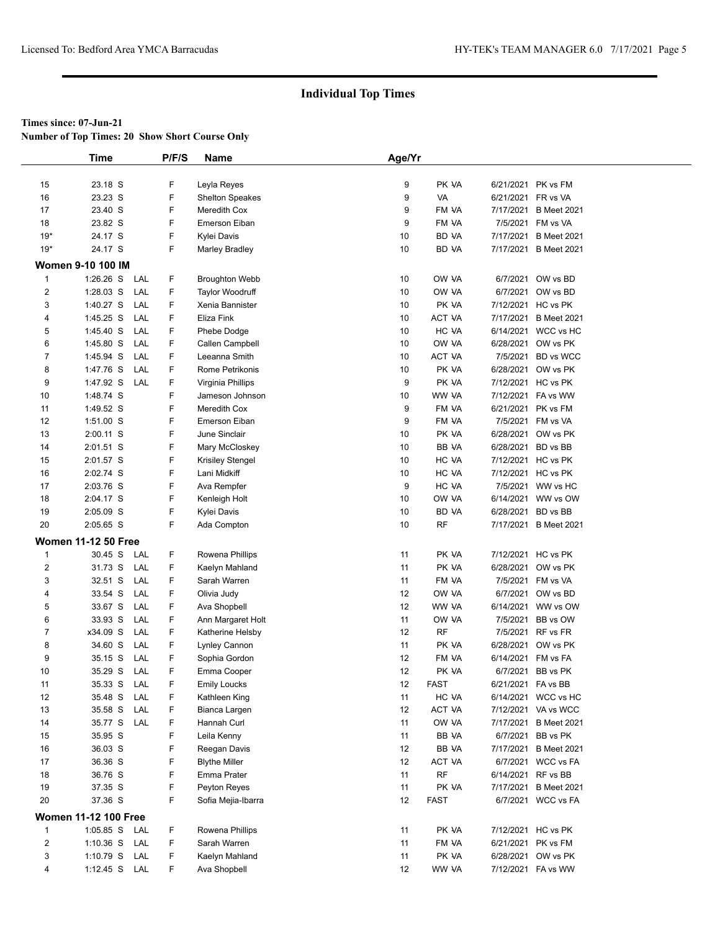**Number of Top Times: 20 Show Short Course Only**

|                              | <b>Time</b>                      | P/F/S  | Name                              | Age/Yr   |                |                    |                                         |
|------------------------------|----------------------------------|--------|-----------------------------------|----------|----------------|--------------------|-----------------------------------------|
|                              |                                  |        |                                   |          |                |                    |                                         |
| 15                           | 23.18 S                          | F      | Leyla Reyes                       | 9        | PK VA          |                    | 6/21/2021 PK vs FM                      |
| 16                           | 23.23 S                          | F      | <b>Shelton Speakes</b>            | 9        | VA             |                    | 6/21/2021 FR vs VA                      |
| 17                           | 23.40 S                          | F      | Meredith Cox                      | 9        | FM VA          |                    | 7/17/2021 B Meet 2021                   |
| 18                           | 23.82 S                          | F      | <b>Emerson Eiban</b>              | 9        | FM VA          |                    | 7/5/2021 FM vs VA                       |
| $19*$                        | 24.17 S                          | F      | Kylei Davis                       | 10       | BD VA          |                    | 7/17/2021 B Meet 2021                   |
| $19*$                        | 24.17 S                          | F      | <b>Marley Bradley</b>             | 10       | <b>BD VA</b>   |                    | 7/17/2021 B Meet 2021                   |
|                              | <b>Women 9-10 100 IM</b>         |        |                                   |          |                |                    |                                         |
| $\overline{1}$               | 1:26.26 S LAL                    | F      | <b>Broughton Webb</b>             | 10       | OW VA          |                    | 6/7/2021 OW vs BD                       |
| $\overline{\mathbf{c}}$      | $1:28.03$ S<br>LAL               | F      | <b>Taylor Woodruff</b>            | 10       | OW VA          |                    | 6/7/2021 OW vs BD                       |
| 3                            | 1:40.27 S<br>LAL                 | F      | Xenia Bannister                   | 10       | PK VA          |                    | 7/12/2021 HC vs PK                      |
| 4                            | $1:45.25$ S<br>LAL               | F      | Eliza Fink                        | 10       | ACT VA         |                    | 7/17/2021 B Meet 2021                   |
| 5                            | 1:45.40 S<br>LAL                 | F      | Phebe Dodge                       | 10       | HC VA          |                    | 6/14/2021 WCC vs HC                     |
| 6                            | 1:45.80 S<br>LAL                 | F      | Callen Campbell                   | 10       | OW VA          |                    | 6/28/2021 OW vs PK                      |
| 7                            | LAL<br>1:45.94 S                 | F      | Leeanna Smith                     | 10       | ACT VA         |                    | 7/5/2021 BD vs WCC                      |
| 8                            | 1:47.76 S<br>LAL                 | F      | Rome Petrikonis                   | 10       | PK VA          |                    | 6/28/2021 OW vs PK                      |
| 9                            | 1:47.92 S<br>LAL                 | F      | Virginia Phillips                 | 9        | PK VA          |                    | 7/12/2021 HC vs PK                      |
| 10                           | 1:48.74 S                        | F      | Jameson Johnson                   | 10       | WW VA          |                    | 7/12/2021 FA vs WW                      |
| 11                           | 1:49.52 S                        | F      | Meredith Cox                      | 9        | FM VA          |                    | 6/21/2021 PK vs FM                      |
| 12                           | 1:51.00 S                        | F      | Emerson Eiban                     | 9        | FM VA          |                    | 7/5/2021 FM vs VA                       |
| 13                           | 2:00.11 S                        | F      | June Sinclair                     | 10       | PK VA          |                    | 6/28/2021 OW vs PK                      |
| 14                           | 2:01.51 S                        | F      | Mary McCloskey                    | 10       | BB VA          |                    | 6/28/2021 BD vs BB                      |
| 15                           | 2:01.57 S                        | F      | <b>Krisiley Stengel</b>           | 10       | HC VA          |                    | 7/12/2021 HC vs PK                      |
| 16                           | 2:02.74 S                        | F      | Lani Midkiff                      | 10       | HC VA          |                    | 7/12/2021 HC vs PK                      |
| 17                           | 2:03.76 S                        | F      | Ava Rempfer                       | 9        | HC VA          |                    | 7/5/2021 WW vs HC                       |
| 18                           | 2:04.17 S                        | F      | Kenleigh Holt                     | 10       | OW VA          |                    | 6/14/2021 WW vs OW                      |
| 19                           | 2:05.09 S                        | F      | Kylei Davis                       | 10       | BD VA          |                    | 6/28/2021 BD vs BB                      |
| 20                           | 2:05.65 S                        | F      | Ada Compton                       | 10       | <b>RF</b>      |                    | 7/17/2021 B Meet 2021                   |
|                              |                                  |        |                                   |          |                |                    |                                         |
|                              | <b>Women 11-12 50 Free</b>       |        |                                   |          |                |                    |                                         |
| 1                            | 30.45 S<br>LAL                   | F      | Rowena Phillips                   | 11       | PK VA          |                    | 7/12/2021 HC vs PK                      |
| $\overline{\mathbf{c}}$<br>3 | 31.73 S<br>LAL<br>32.51 S<br>LAL | F<br>F | Kaelyn Mahland<br>Sarah Warren    | 11<br>11 | PK VA<br>FM VA |                    | 6/28/2021 OW vs PK<br>7/5/2021 FM vs VA |
|                              | 33.54 S<br>LAL                   | F      |                                   | 12       | OW VA          |                    | 6/7/2021 OW vs BD                       |
| 4<br>5                       | 33.67 S<br>LAL                   | F      | Olivia Judy                       | 12       | WW VA          |                    | 6/14/2021 WW vs OW                      |
| 6                            | 33.93 S<br>LAL                   | F      | Ava Shopbell<br>Ann Margaret Holt | 11       | OW VA          |                    | 7/5/2021 BB vs OW                       |
| 7                            | x34.09 S<br>LAL                  | F      | Katherine Helsby                  | 12       | <b>RF</b>      |                    | 7/5/2021 RF vs FR                       |
| 8                            | 34.60 S<br>LAL                   | F      | Lynley Cannon                     | 11       | PK VA          |                    | 6/28/2021 OW vs PK                      |
| 9                            | 35.15 S<br>LAL                   | F      | Sophia Gordon                     | 12       | FM VA          |                    | 6/14/2021 FM vs FA                      |
| 10                           | 35.29 S<br>LAL                   | F      | Emma Cooper                       | 12       | PK VA          |                    | 6/7/2021 BB vs PK                       |
| 11                           | 35.33 S<br>LAL                   | F      | <b>Emily Loucks</b>               | 12       | <b>FAST</b>    | 6/21/2021 FA vs BB |                                         |
| 12                           | 35.48 S<br>LAL                   | F      | Kathleen King                     | 11       | HC VA          |                    | 6/14/2021 WCC vs HC                     |
| 13                           | LAL<br>35.58 S                   | F      | Bianca Largen                     | 12       | ACT VA         |                    | 7/12/2021 VA vs WCC                     |
| 14                           | 35.77 S LAL                      | F      | Hannah Curl                       | 11       | OW VA          |                    | 7/17/2021 B Meet 2021                   |
| 15                           | 35.95 S                          | F      | Leila Kenny                       | 11       | BB VA          |                    | 6/7/2021 BB vs PK                       |
| 16                           | 36.03 S                          | F      | Reegan Davis                      | 12       | BB VA          |                    | 7/17/2021 B Meet 2021                   |
| 17                           | 36.36 S                          | F      | <b>Blythe Miller</b>              | 12       | ACT VA         |                    | 6/7/2021 WCC vs FA                      |
| 18                           | 36.76 S                          | F      | Emma Prater                       | 11       | <b>RF</b>      |                    | 6/14/2021 RF vs BB                      |
| 19                           | 37.35 S                          | F      | Peyton Reyes                      | 11       | PK VA          |                    | 7/17/2021 B Meet 2021                   |
| 20                           | 37.36 S                          | F      | Sofia Mejia-Ibarra                | 12       | <b>FAST</b>    |                    | 6/7/2021 WCC vs FA                      |
|                              | <b>Women 11-12 100 Free</b>      |        |                                   |          |                |                    |                                         |
|                              | 1:05.85 S LAL                    | F      | Rowena Phillips                   |          | PK VA          |                    | 7/12/2021 HC vs PK                      |
| 1<br>$\overline{\mathbf{c}}$ | 1:10.36 S LAL                    | F      | Sarah Warren                      | 11<br>11 | FM VA          |                    | 6/21/2021 PK vs FM                      |
| 3                            | 1:10.79 S LAL                    | F      | Kaelyn Mahland                    | 11       | PK VA          |                    | 6/28/2021 OW vs PK                      |
| 4                            | 1:12.45 S LAL                    | F      | Ava Shopbell                      | 12       | WW VA          |                    | 7/12/2021 FA vs WW                      |
|                              |                                  |        |                                   |          |                |                    |                                         |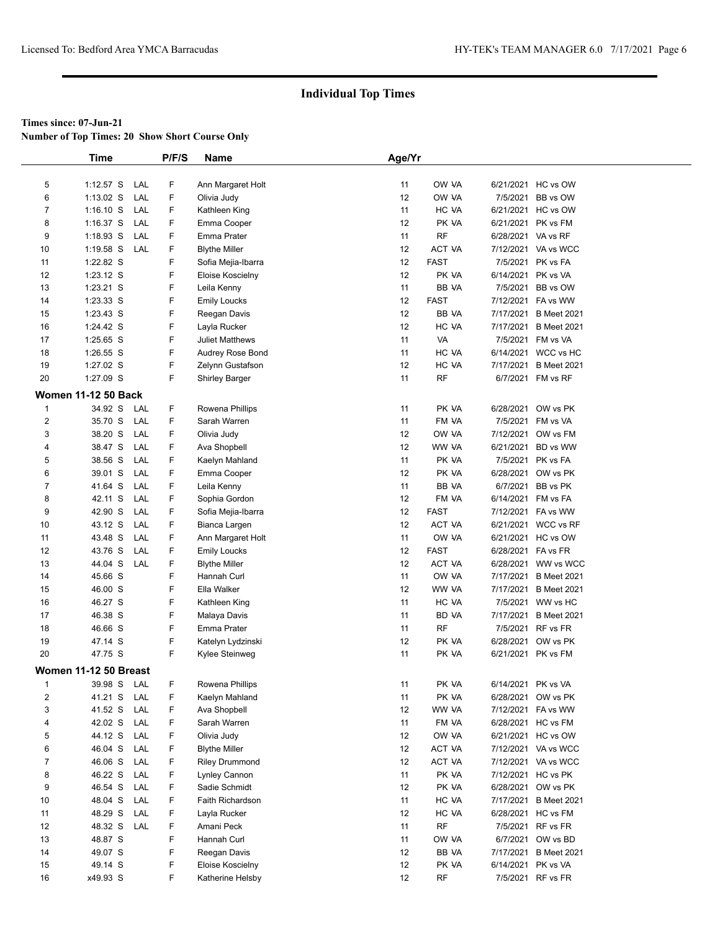**Number of Top Times: 20 Show Short Course Only**

|                | <b>Time</b>                |     | P/F/S | Name                   | Age/Yr            |             |                    |                       |
|----------------|----------------------------|-----|-------|------------------------|-------------------|-------------|--------------------|-----------------------|
|                |                            |     |       |                        |                   |             |                    |                       |
| 5              | $1:12.57$ S                | LAL | F     | Ann Margaret Holt      | 11                | OW VA       |                    | 6/21/2021 HC vs OW    |
| 6              | 1:13.02 S                  | LAL | F     | Olivia Judy            | 12                | OW VA       | 7/5/2021           | BB vs OW              |
| $\overline{7}$ | $1:16.10$ S                | LAL | F     | Kathleen King          | 11                | HC VA       |                    | 6/21/2021 HC vs OW    |
| 8              | $1:16.37$ S                | LAL | F     | Emma Cooper            | 12                | PK VA       |                    | 6/21/2021 PK vs FM    |
| 9              | $1:18.93$ S                | LAL | F     | Emma Prater            | 11                | <b>RF</b>   | 6/28/2021 VA vs RF |                       |
| 10             | $1:19.58$ S                | LAL | F     | <b>Blythe Miller</b>   | 12                | ACT VA      |                    | 7/12/2021 VA vs WCC   |
| 11             | 1:22.82 S                  |     | F     | Sofia Mejia-Ibarra     | 12                | <b>FAST</b> |                    | 7/5/2021 PK vs FA     |
| 12             | 1:23.12 S                  |     | F     | Eloise Koscielny       | 12                | PK VA       |                    | 6/14/2021 PK vs VA    |
| 13             | $1:23.21$ S                |     | F     | Leila Kenny            | 11                | BB VA       |                    | 7/5/2021 BB vs OW     |
| 14             | 1:23.33 S                  |     | F     | <b>Emily Loucks</b>    | 12                | <b>FAST</b> |                    | 7/12/2021 FA vs WW    |
| 15             | 1:23.43 S                  |     | F     | Reegan Davis           | 12                | BB VA       |                    | 7/17/2021 B Meet 2021 |
| 16             | 1:24.42 S                  |     | F     | Layla Rucker           | 12                | HC VA       |                    | 7/17/2021 B Meet 2021 |
| 17             | 1:25.65 S                  |     | F     | <b>Juliet Matthews</b> | 11                | <b>VA</b>   |                    | 7/5/2021 FM vs VA     |
| 18             | 1:26.55 S                  |     | F     | Audrey Rose Bond       | 11                | HC VA       |                    | 6/14/2021 WCC vs HC   |
| 19             | 1:27.02 S                  |     | F     | Zelynn Gustafson       | $12 \overline{ }$ | HC VA       |                    | 7/17/2021 B Meet 2021 |
| 20             | 1:27.09 S                  |     | F     | <b>Shirley Barger</b>  | 11                | <b>RF</b>   |                    | 6/7/2021 FM vs RF     |
|                | <b>Women 11-12 50 Back</b> |     |       |                        |                   |             |                    |                       |
| $\mathbf{1}$   | 34.92 S                    | LAL | F     | Rowena Phillips        | 11                | PK VA       |                    | 6/28/2021 OW vs PK    |
| 2              | 35.70 S                    | LAL | F.    | Sarah Warren           | 11                | FM VA       |                    | 7/5/2021 FM vs VA     |
| 3              | 38.20 S                    | LAL | F     | Olivia Judy            | 12                | OW VA       |                    | 7/12/2021 OW vs FM    |
| 4              | 38.47 S                    | LAL | F     | Ava Shopbell           | 12                | WW VA       |                    | 6/21/2021 BD vs WW    |
| 5              | 38.56 S                    | LAL | F     | Kaelyn Mahland         | 11                | PK VA       |                    | 7/5/2021 PK vs FA     |
| 6              | 39.01 S                    | LAL | F     | Emma Cooper            | 12                | PK VA       |                    | 6/28/2021 OW vs PK    |
| $\overline{7}$ | 41.64 S                    | LAL | F.    | Leila Kenny            | 11                | BB VA       |                    | 6/7/2021 BB vs PK     |
| 8              | 42.11 S                    | LAL | F.    | Sophia Gordon          | $12 \overline{ }$ | FM VA       |                    | 6/14/2021 FM vs FA    |
| 9              | 42.90 S                    | LAL | F     | Sofia Mejia-Ibarra     | 12                | <b>FAST</b> |                    | 7/12/2021 FA vs WW    |
| 10             | 43.12 S                    | LAL | F.    | Bianca Largen          | $12 \overline{ }$ | ACT VA      |                    | 6/21/2021 WCC vs RF   |
| 11             | 43.48 S                    | LAL | F     | Ann Margaret Holt      | 11                | OW VA       |                    | 6/21/2021 HC vs OW    |
| 12             | 43.76 S                    | LAL | F     | <b>Emily Loucks</b>    | 12                | <b>FAST</b> | 6/28/2021 FA vs FR |                       |
| 13             | 44.04 S                    | LAL | F     | <b>Blythe Miller</b>   | 12                | ACT VA      |                    | 6/28/2021 WW vs WCC   |
| 14             | 45.66 S                    |     | F     | Hannah Curl            | 11                | OW VA       |                    | 7/17/2021 B Meet 2021 |
| 15             | 46.00 S                    |     | F     | Ella Walker            | $12 \overline{ }$ | WW VA       |                    | 7/17/2021 B Meet 2021 |
| 16             | 46.27 S                    |     | F     | Kathleen King          | 11                | HC VA       |                    | 7/5/2021 WW vs HC     |
| 17             | 46.38 S                    |     | F     | Malaya Davis           | 11                | BD VA       | 7/17/2021          | <b>B</b> Meet 2021    |
| 18             | 46.66 S                    |     | F     | Emma Prater            | 11                | RF          |                    | 7/5/2021 RF vs FR     |
| 19             | 47.14 S                    |     | F     | Katelyn Lydzinski      | 12                | PK VA       |                    | 6/28/2021 OW vs PK    |
| 20             | 47.75 S                    |     | F     | Kylee Steinweg         | 11                | PK VA       |                    | 6/21/2021 PK vs FM    |
|                | Women 11-12 50 Breast      |     |       |                        |                   |             |                    |                       |
| $\mathbf{1}$   | 39.98 S                    | LAL | F     | Rowena Phillips        | 11                | PK VA       | 6/14/2021 PK vs VA |                       |
| 2              | 41.21 S                    | LAL | F     | Kaelyn Mahland         | 11                | PK VA       |                    | 6/28/2021 OW vs PK    |
| 3              | 41.52 S                    | LAL | F     | Ava Shopbell           | 12                | WW VA       |                    | 7/12/2021 FA vs WW    |
| 4              | 42.02 S                    | LAL | F     | Sarah Warren           | 11                | FM VA       |                    | 6/28/2021 HC vs FM    |
| 5              | 44.12 S                    | LAL | F     | Olivia Judy            | 12                | OW VA       |                    | 6/21/2021 HC vs OW    |
| 6              | 46.04 S                    | LAL | F     | <b>Blythe Miller</b>   | 12                | ACT VA      |                    | 7/12/2021 VA vs WCC   |
| 7              | 46.06 S                    | LAL | F     | <b>Riley Drummond</b>  | 12                | ACT VA      |                    | 7/12/2021 VA vs WCC   |
| 8              | 46.22 S                    | LAL | F     | Lynley Cannon          | 11                | PK VA       |                    | 7/12/2021 HC vs PK    |
| 9              | 46.54 S                    | LAL | F     | Sadie Schmidt          | 12                | PK VA       |                    | 6/28/2021 OW vs PK    |
| 10             | 48.04 S                    | LAL | F     | Faith Richardson       | 11                | HC VA       |                    | 7/17/2021 B Meet 2021 |
| 11             | 48.29 S                    | LAL | F     | Layla Rucker           | 12                | HC VA       |                    | 6/28/2021 HC vs FM    |
| 12             | 48.32 S                    | LAL | F     | Amani Peck             | 11                | <b>RF</b>   |                    | 7/5/2021 RF vs FR     |
| 13             | 48.87 S                    |     | F     | Hannah Curl            | 11                | OW VA       |                    | 6/7/2021 OW vs BD     |
| 14             | 49.07 S                    |     | F     | Reegan Davis           | 12                | BB VA       |                    | 7/17/2021 B Meet 2021 |
| 15             | 49.14 S                    |     | F     | Eloise Koscielny       | 12                | PK VA       | 6/14/2021 PK vs VA |                       |
| 16             | x49.93 S                   |     | F.    | Katherine Helsby       | 12                | <b>RF</b>   |                    | 7/5/2021 RF vs FR     |
|                |                            |     |       |                        |                   |             |                    |                       |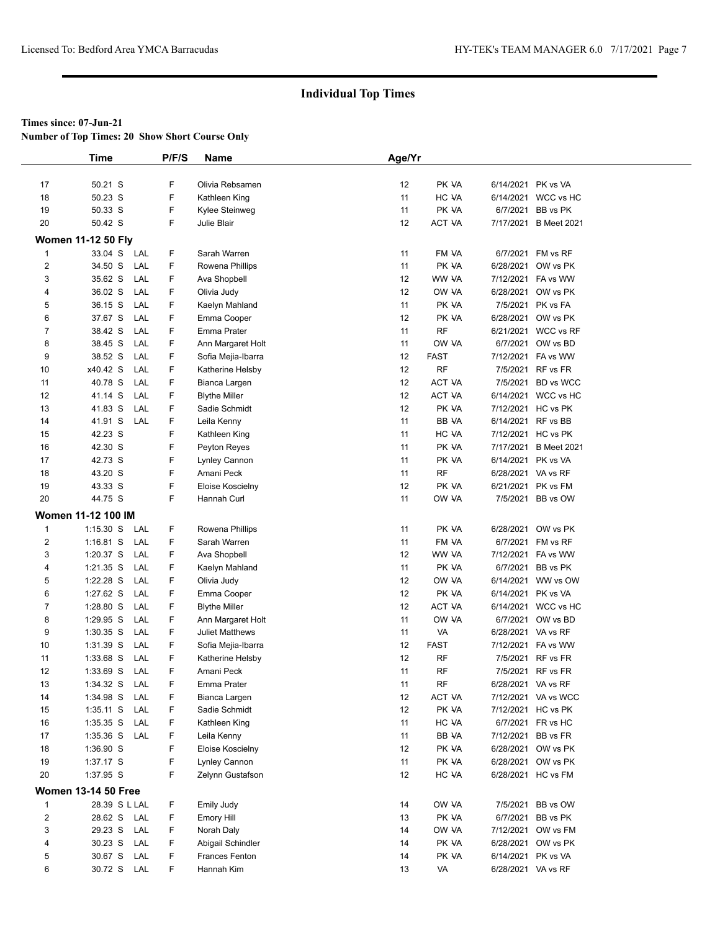**Number of Top Times: 20 Show Short Course Only**

|                         | <b>Time</b>                | P/F/S | Name                   | Age/Yr            |               |                    |                       |
|-------------------------|----------------------------|-------|------------------------|-------------------|---------------|--------------------|-----------------------|
|                         |                            |       |                        |                   |               |                    |                       |
| 17                      | 50.21 S                    | F     | Olivia Rebsamen        | $12 \overline{ }$ | PK VA         |                    | 6/14/2021 PK vs VA    |
| 18                      | 50.23 S                    | F     | Kathleen King          | 11                | HC VA         |                    | 6/14/2021 WCC vs HC   |
| 19                      | 50.33 S                    | F     | Kylee Steinweg         | 11                | PK VA         | 6/7/2021           | BB vs PK              |
| 20                      | 50.42 S                    | F.    | Julie Blair            | $12 \overline{ }$ | <b>ACT VA</b> |                    | 7/17/2021 B Meet 2021 |
|                         | <b>Women 11-12 50 Fly</b>  |       |                        |                   |               |                    |                       |
| $\mathbf{1}$            | 33.04 S LAL                | F     | Sarah Warren           | 11                | FM VA         |                    | 6/7/2021 FM vs RF     |
| $\overline{2}$          | 34.50 S<br>LAL             | F     | Rowena Phillips        | 11                | PK VA         |                    | 6/28/2021 OW vs PK    |
| 3                       | 35.62 S<br>LAL             | F     | Ava Shopbell           | 12                | WW VA         |                    | 7/12/2021 FA vs WW    |
| 4                       | 36.02 S<br>LAL             | F     | Olivia Judy            | 12                | OW VA         |                    | 6/28/2021 OW vs PK    |
| 5                       | 36.15 S<br>LAL             | F     | Kaelyn Mahland         | 11                | PK VA         |                    | 7/5/2021 PK vs FA     |
| 6                       | 37.67 S<br>LAL             | F     | Emma Cooper            | 12                | PK VA         |                    | 6/28/2021 OW vs PK    |
| 7                       | 38.42 S<br>LAL             | F     | Emma Prater            | 11                | <b>RF</b>     |                    | 6/21/2021 WCC vs RF   |
| 8                       | 38.45 S<br>LAL             | F     | Ann Margaret Holt      | 11                | OW VA         |                    | 6/7/2021 OW vs BD     |
| 9                       | 38.52 S<br>LAL             | F     | Sofia Mejia-Ibarra     | 12                | <b>FAST</b>   |                    | 7/12/2021 FA vs WW    |
| 10                      | x40.42 S<br>LAL            | F     | Katherine Helsby       | 12                | <b>RF</b>     |                    | 7/5/2021 RF vs FR     |
| 11                      | 40.78 S<br>LAL             | F     | Bianca Largen          | 12                | <b>ACT VA</b> |                    | 7/5/2021 BD vs WCC    |
| 12                      | 41.14 S<br>LAL             | F     | <b>Blythe Miller</b>   | 12                | ACT VA        |                    | 6/14/2021 WCC vs HC   |
| 13                      | 41.83 S<br>LAL             | F     | Sadie Schmidt          | $12 \overline{ }$ | PK VA         |                    | 7/12/2021 HC vs PK    |
| 14                      | 41.91 S<br>LAL             | F     | Leila Kenny            | 11                | BB VA         |                    | 6/14/2021 RF vs BB    |
| 15                      | 42.23 S                    | F     | Kathleen King          | 11                | HC VA         |                    | 7/12/2021 HC vs PK    |
| 16                      | 42.30 S                    | F     | Peyton Reyes           | 11                | PK VA         |                    | 7/17/2021 B Meet 2021 |
| 17                      | 42.73 S                    | F     | Lynley Cannon          | 11                | PK VA         | 6/14/2021 PK vs VA |                       |
| 18                      | 43.20 S                    | F     | Amani Peck             | 11                | RF            | 6/28/2021 VA vs RF |                       |
| 19                      | 43.33 S                    | F     | Eloise Koscielny       | $12 \overline{ }$ | PK VA         |                    | 6/21/2021 PK vs FM    |
| 20                      | 44.75 S                    | F.    | Hannah Curl            | 11                | OW VA         |                    | 7/5/2021 BB vs OW     |
|                         | <b>Women 11-12 100 IM</b>  |       |                        |                   |               |                    |                       |
| $\mathbf{1}$            | $1:15.30$ S<br>LAL         | F     | Rowena Phillips        | 11                | PK VA         |                    | 6/28/2021 OW vs PK    |
| $\overline{\mathbf{c}}$ | $1:16.81$ S<br>LAL         | F     | Sarah Warren           | 11                | FM VA         |                    | 6/7/2021 FM vs RF     |
| 3                       | 1:20.37 S<br>LAL           | F     | Ava Shopbell           | $12 \overline{ }$ | WW VA         |                    | 7/12/2021 FA vs WW    |
| 4                       | $1:21.35$ S<br>LAL         | F     | Kaelyn Mahland         | 11                | PK VA         |                    | 6/7/2021 BB vs PK     |
| 5                       | 1:22.28 S<br>LAL           | F     | Olivia Judy            | 12                | OW VA         |                    | 6/14/2021 WW vs OW    |
| 6                       | 1:27.62 S<br>LAL           | F     | Emma Cooper            | 12                | PK VA         | 6/14/2021 PK vs VA |                       |
| 7                       | 1:28.80 S<br>LAL           | F     | <b>Blythe Miller</b>   | 12                | <b>ACT VA</b> |                    | 6/14/2021 WCC vs HC   |
| 8                       | 1:29.95 S<br>LAL           | F     | Ann Margaret Holt      | 11                | OW VA         |                    | 6/7/2021 OW vs BD     |
| 9                       | $1:30.35$ S<br>LAL         | F.    | <b>Juliet Matthews</b> | 11                | VA            | 6/28/2021 VA vs RF |                       |
| 10                      | 1:31.39 S<br>LAL           | F     | Sofia Mejia-Ibarra     | 12                | <b>FAST</b>   |                    | 7/12/2021 FA vs WW    |
| 11                      | 1:33.68 S<br>LAL           | F     | Katherine Helsby       | 12                | <b>RF</b>     |                    | 7/5/2021 RF vs FR     |
| 12                      | 1:33.69 S<br>LAL           | F     | Amani Peck             | 11                | <b>RF</b>     |                    | 7/5/2021 RF vs FR     |
| 13                      | LAL<br>1:34.32 S           | F     | Emma Prater            | 11                | RF            | 6/28/2021 VA vs RF |                       |
| 14                      | 1:34.98 S<br>LAL           | F     | Bianca Largen          | 12                | ACT VA        |                    | 7/12/2021 VA vs WCC   |
| 15                      | $1:35.11$ S<br>LAL         | F     | Sadie Schmidt          | 12                | PK VA         |                    | 7/12/2021 HC vs PK    |
| 16                      | 1:35.35 S<br>LAL           | F     | Kathleen King          | 11                | HC VA         |                    | 6/7/2021 FR vs HC     |
| 17                      | 1:35.36 S<br>LAL           | F     | Leila Kenny            | 11                | BB VA         |                    | 7/12/2021 BB vs FR    |
| 18                      | 1:36.90 S                  | F     | Eloise Koscielny       | 12                | PK VA         |                    | 6/28/2021 OW vs PK    |
| 19                      | 1:37.17 S                  | F     | Lynley Cannon          | 11                | PK VA         |                    | 6/28/2021 OW vs PK    |
| 20                      | 1:37.95 S                  | F     | Zelynn Gustafson       | 12                | HC VA         |                    | 6/28/2021 HC vs FM    |
|                         | <b>Women 13-14 50 Free</b> |       |                        |                   |               |                    |                       |
| $\mathbf{1}$            | 28.39 S L LAL              | F.    | <b>Emily Judy</b>      | 14                | OW VA         |                    | 7/5/2021 BB vs OW     |
| $\overline{\mathbf{c}}$ | 28.62 S LAL                | F     | Emory Hill             | 13                | PK VA         |                    | 6/7/2021 BB vs PK     |
| 3                       | 29.23 S<br>LAL             | F     | Norah Daly             | 14                | OW VA         |                    | 7/12/2021 OW vs FM    |
| 4                       | 30.23 S LAL                | F.    | Abigail Schindler      | 14                | PK VA         |                    | 6/28/2021 OW vs PK    |
| 5                       | 30.67 S<br>LAL             | F     | <b>Frances Fenton</b>  | 14                | PK VA         |                    | 6/14/2021 PK vs VA    |
| 6                       | 30.72 S LAL                | F.    | Hannah Kim             | 13                | VA            | 6/28/2021 VA vs RF |                       |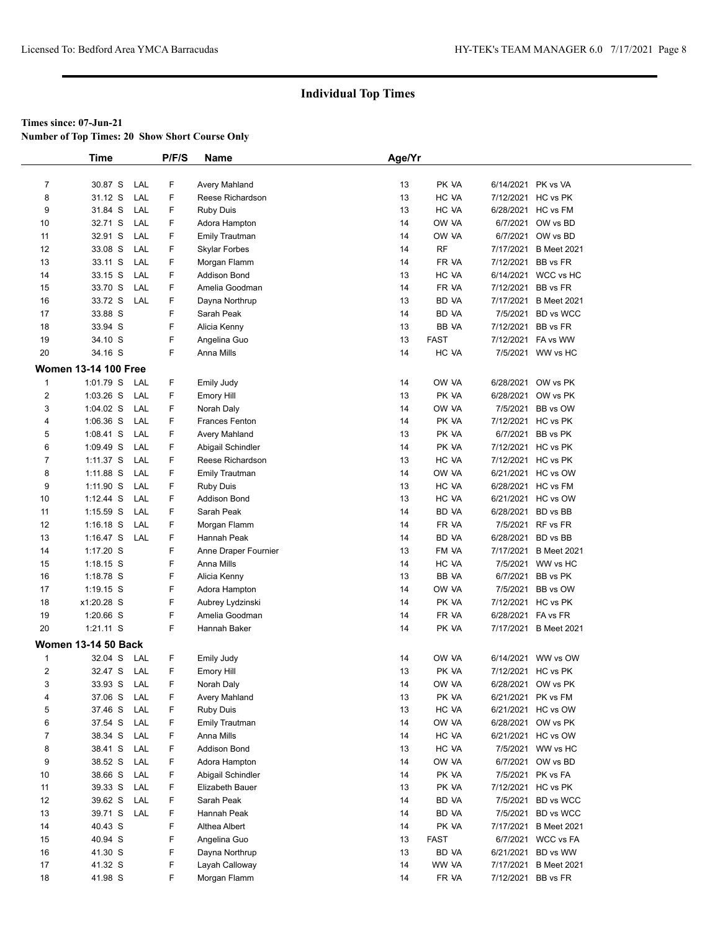**Number of Top Times: 20 Show Short Course Only**

|                | <b>Time</b>                 |     | P/F/S | Name                  | Age/Yr |              |                    |                       |
|----------------|-----------------------------|-----|-------|-----------------------|--------|--------------|--------------------|-----------------------|
|                |                             |     |       |                       |        |              |                    |                       |
| $\overline{7}$ | 30.87 S                     | LAL | F     | Avery Mahland         | 13     | PK VA        | 6/14/2021 PK vs VA |                       |
| 8              | 31.12 S                     | LAL | F     | Reese Richardson      | 13     | HC VA        | 7/12/2021 HC vs PK |                       |
| 9              | 31.84 S                     | LAL | F     | <b>Ruby Duis</b>      | 13     | HC VA        |                    | 6/28/2021 HC vs FM    |
| 10             | 32.71 S                     | LAL | F     | Adora Hampton         | 14     | OW VA        |                    | 6/7/2021 OW vs BD     |
| 11             | 32.91 S                     | LAL | F     | <b>Emily Trautman</b> | 14     | OW VA        |                    | 6/7/2021 OW vs BD     |
| 12             | 33.08 S                     | LAL | F     | Skylar Forbes         | 14     | <b>RF</b>    |                    | 7/17/2021 B Meet 2021 |
| 13             | 33.11 S                     | LAL | F     | Morgan Flamm          | 14     | FR VA        | 7/12/2021          | BB vs FR              |
| 14             | 33.15 S                     | LAL | F     | <b>Addison Bond</b>   | 13     | HC VA        |                    | 6/14/2021 WCC vs HC   |
| 15             | 33.70 S                     | LAL | F     | Amelia Goodman        | 14     | FR VA        | 7/12/2021 BB vs FR |                       |
| 16             | 33.72 S                     | LAL | F     | Dayna Northrup        | 13     | BD VA        |                    | 7/17/2021 B Meet 2021 |
| 17             | 33.88 S                     |     | F     | Sarah Peak            | 14     | <b>BD VA</b> |                    | 7/5/2021 BD vs WCC    |
| 18             | 33.94 S                     |     | F     | Alicia Kenny          | 13     | BB VA        | 7/12/2021 BB vs FR |                       |
| 19             | 34.10 S                     |     | F     | Angelina Guo          | 13     | <b>FAST</b>  |                    | 7/12/2021 FA vs WW    |
| 20             | 34.16 S                     |     | F     | Anna Mills            | 14     | HC VA        |                    | 7/5/2021 WW vs HC     |
|                |                             |     |       |                       |        |              |                    |                       |
|                | <b>Women 13-14 100 Free</b> |     |       |                       |        |              |                    |                       |
| $\mathbf{1}$   | 1:01.79 S                   | LAL | F     | <b>Emily Judy</b>     | 14     | OW VA        |                    | 6/28/2021 OW vs PK    |
| $\overline{2}$ | $1:03.26$ S                 | LAL | F     | Emory Hill            | 13     | PK VA        |                    | 6/28/2021 OW vs PK    |
| 3              | $1:04.02$ S                 | LAL | F     | Norah Daly            | 14     | OW VA        |                    | 7/5/2021 BB vs OW     |
| 4              | $1:06.36$ S                 | LAL | F     | <b>Frances Fenton</b> | 14     | PK VA        |                    | 7/12/2021 HC vs PK    |
| 5              | $1:08.41$ S                 | LAL | F     | Avery Mahland         | 13     | PK VA        |                    | 6/7/2021 BB vs PK     |
| 6              | $1:09.49$ S                 | LAL | F     | Abigail Schindler     | 14     | PK VA        | 7/12/2021 HC vs PK |                       |
| 7              | $1:11.37$ S                 | LAL | F     | Reese Richardson      | 13     | HC VA        | 7/12/2021 HC vs PK |                       |
| 8              | 1:11.88 S                   | LAL | F     | <b>Emily Trautman</b> | 14     | OW VA        |                    | 6/21/2021 HC vs OW    |
| 9              | 1:11.90 S                   | LAL | F     | <b>Ruby Duis</b>      | 13     | HC VA        |                    | 6/28/2021 HC vs FM    |
| 10             | $1:12.44$ S                 | LAL | F     | <b>Addison Bond</b>   | 13     | HC VA        |                    | 6/21/2021 HC vs OW    |
| 11             | $1:15.59$ S                 | LAL | F     | Sarah Peak            | 14     | <b>BD VA</b> | 6/28/2021 BD vs BB |                       |
| 12             | $1:16.18$ S                 | LAL | F     | Morgan Flamm          | 14     | FR VA        |                    | 7/5/2021 RF vs FR     |
| 13             | $1:16.47$ S                 | LAL | F     | Hannah Peak           | 14     | BD VA        | 6/28/2021 BD vs BB |                       |
| 14             | 1:17.20 S                   |     | F     | Anne Draper Fournier  | 13     | FM VA        |                    | 7/17/2021 B Meet 2021 |
| 15             | $1:18.15$ S                 |     | F     | Anna Mills            | 14     | HC VA        |                    | 7/5/2021 WW vs HC     |
| 16             | 1:18.78 S                   |     | F     | Alicia Kenny          | 13     | BB VA        |                    | 6/7/2021 BB vs PK     |
| 17             | $1:19.15$ S                 |     | F     | Adora Hampton         | 14     | OW VA        |                    | 7/5/2021 BB vs OW     |
| 18             | x1:20.28 S                  |     | F     | Aubrey Lydzinski      | 14     | PK VA        | 7/12/2021 HC vs PK |                       |
| 19             | $1:20.66$ S                 |     | F     | Amelia Goodman        | 14     | FR VA        | 6/28/2021 FA vs FR |                       |
| 20             | $1:21.11$ S                 |     | F     | Hannah Baker          | 14     | PK VA        |                    | 7/17/2021 B Meet 2021 |
|                | <b>Women 13-14 50 Back</b>  |     |       |                       |        |              |                    |                       |
| 1              | 32.04 S                     | LAL | F     | <b>Emily Judy</b>     | 14     | OW VA        |                    | 6/14/2021 WW vs OW    |
| $\overline{2}$ | 32.47 S LAL                 |     | F     | <b>Emory Hill</b>     | 13     | PK VA        | 7/12/2021 HC vs PK |                       |
| 3              | 33.93 S                     | LAL | F     | Norah Daly            | 14     | OW VA        |                    | 6/28/2021 OW vs PK    |
| 4              | 37.06 S                     | LAL | F     | <b>Avery Mahland</b>  | 13     | PK VA        | 6/21/2021 PK vs FM |                       |
| 5              | 37.46 S                     | LAL | F     | <b>Ruby Duis</b>      | 13     | HC VA        |                    | 6/21/2021 HC vs OW    |
| 6              | 37.54 S                     | LAL | F     | <b>Emily Trautman</b> | 14     | OW VA        |                    | 6/28/2021 OW vs PK    |
| $\overline{7}$ | 38.34 S                     | LAL | F     | Anna Mills            | 14     | HC VA        |                    | 6/21/2021 HC vs OW    |
| 8              | 38.41 S                     | LAL | F     | <b>Addison Bond</b>   | 13     | HC VA        |                    | 7/5/2021 WW vs HC     |
| 9              | 38.52 S                     | LAL | F     | Adora Hampton         | 14     | OW VA        |                    | 6/7/2021 OW vs BD     |
| 10             | 38.66 S                     | LAL | F     | Abigail Schindler     | 14     | PK VA        |                    | 7/5/2021 PK vs FA     |
| 11             | 39.33 S                     | LAL | F     | Elizabeth Bauer       | 13     | PK VA        |                    | 7/12/2021 HC vs PK    |
| 12             | 39.62 S                     | LAL | F     | Sarah Peak            | 14     | BD VA        |                    | 7/5/2021 BD vs WCC    |
| 13             | 39.71 S                     | LAL | F     | Hannah Peak           | 14     | BD VA        |                    | 7/5/2021 BD vs WCC    |
| 14             | 40.43 S                     |     | F     | Althea Albert         | 14     | PK VA        |                    | 7/17/2021 B Meet 2021 |
| 15             | 40.94 S                     |     | F     | Angelina Guo          | 13     | <b>FAST</b>  |                    | 6/7/2021 WCC vs FA    |
| 16             | 41.30 S                     |     | F     | Dayna Northrup        | 13     | BD VA        |                    | 6/21/2021 BD vs WW    |
| 17             | 41.32 S                     |     | F     | Layah Calloway        | 14     | WW VA        |                    | 7/17/2021 B Meet 2021 |
| 18             | 41.98 S                     |     | F     | Morgan Flamm          | 14     | FR VA        | 7/12/2021 BB vs FR |                       |
|                |                             |     |       |                       |        |              |                    |                       |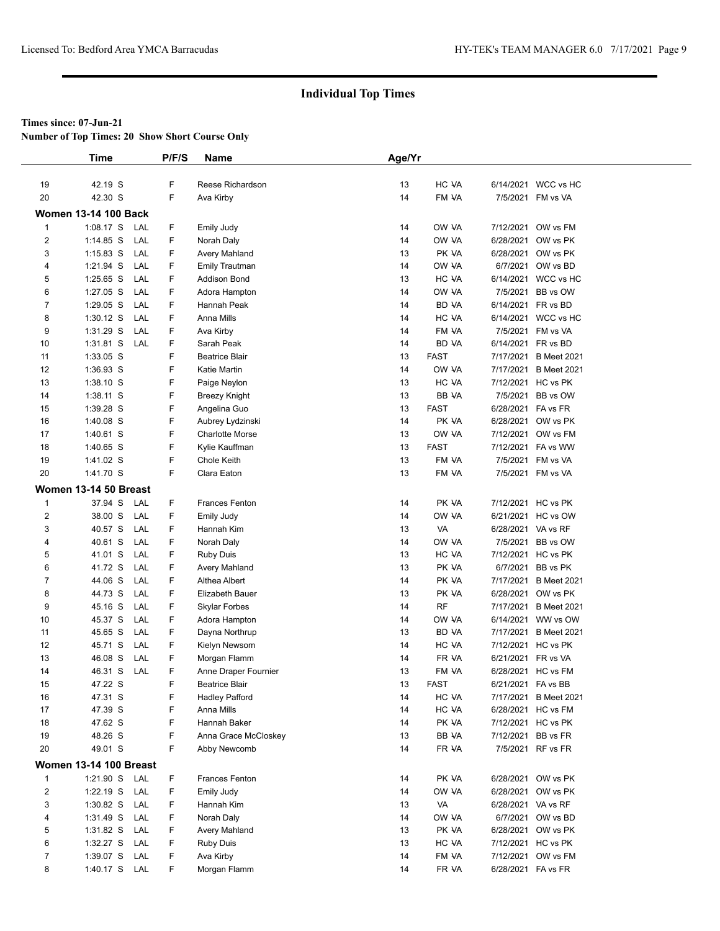**Number of Top Times: 20 Show Short Course Only**

|                         | Time                          |     | P/F/S | Name                   | Age/Yr |             |                    |                       |  |
|-------------------------|-------------------------------|-----|-------|------------------------|--------|-------------|--------------------|-----------------------|--|
|                         |                               |     |       |                        |        |             |                    |                       |  |
| 19                      | 42.19 S                       |     | F     | Reese Richardson       | 13     | HC VA       |                    | 6/14/2021 WCC vs HC   |  |
| 20                      | 42.30 S                       |     | F     | Ava Kirby              | 14     | FM VA       |                    | 7/5/2021 FM vs VA     |  |
|                         | <b>Women 13-14 100 Back</b>   |     |       |                        |        |             |                    |                       |  |
| $\mathbf{1}$            | $1:08.17$ S                   | LAL | F     | <b>Emily Judy</b>      | 14     | OW VA       | 7/12/2021          | OW vs FM              |  |
| 2                       | $1:14.85$ S                   | LAL | F.    | Norah Daly             | 14     | OW VA       | 6/28/2021          | OW vs PK              |  |
| 3                       | $1:15.83$ S                   | LAL | F     | Avery Mahland          | 13     | PK VA       | 6/28/2021          | OW vs PK              |  |
| 4                       | 1:21.94 S                     | LAL | F     | <b>Emily Trautman</b>  | 14     | OW VA       |                    | 6/7/2021 OW vs BD     |  |
| 5                       | $1:25.65$ S                   | LAL | F     | Addison Bond           | 13     | HC VA       |                    | 6/14/2021 WCC vs HC   |  |
| 6                       | $1:27.05$ S                   | LAL | F     | Adora Hampton          | 14     | OW VA       | 7/5/2021           | BB vs OW              |  |
| $\overline{7}$          | $1:29.05$ S                   | LAL | F     | Hannah Peak            | 14     | BD VA       |                    | 6/14/2021 FR vs BD    |  |
| 8                       | $1:30.12$ S                   | LAL | F     | Anna Mills             | 14     | HC VA       | 6/14/2021          | WCC vs HC             |  |
| 9                       | 1:31.29 S                     | LAL | F     | Ava Kirby              | 14     | FM VA       | 7/5/2021           | FM vs VA              |  |
| 10                      | $1:31.81$ S                   | LAL | F     | Sarah Peak             | 14     | BD VA       |                    | 6/14/2021 FR vs BD    |  |
| 11                      | 1:33.05 S                     |     | F.    | <b>Beatrice Blair</b>  | 13     | <b>FAST</b> | 7/17/2021          | <b>B</b> Meet 2021    |  |
| 12                      | 1:36.93 S                     |     | F     | Katie Martin           | 14     | OW VA       | 7/17/2021          | <b>B</b> Meet 2021    |  |
| 13                      | 1:38.10 S                     |     | F     | Paige Neylon           | 13     | HC VA       |                    | 7/12/2021 HC vs PK    |  |
| 14                      | 1:38.11 S                     |     | F     | <b>Breezy Knight</b>   | 13     | BB VA       | 7/5/2021           | BB vs OW              |  |
| 15                      | 1:39.28 S                     |     | F     | Angelina Guo           | 13     | <b>FAST</b> |                    | 6/28/2021 FA vs FR    |  |
| 16                      | 1:40.08 S                     |     | F     | Aubrey Lydzinski       | 14     | PK VA       |                    | 6/28/2021 OW vs PK    |  |
| 17                      | $1:40.61$ S                   |     | F     | <b>Charlotte Morse</b> | 13     | OW VA       |                    | 7/12/2021 OW vs FM    |  |
| 18                      | 1:40.65 S                     |     | F     | Kylie Kauffman         | 13     | <b>FAST</b> |                    | 7/12/2021 FA vs WW    |  |
| 19                      | 1:41.02 S                     |     | F     | <b>Chole Keith</b>     | 13     | FM VA       |                    | 7/5/2021 FM vs VA     |  |
| 20                      | 1:41.70 S                     |     | F     | Clara Eaton            | 13     | FM VA       |                    | 7/5/2021 FM vs VA     |  |
|                         | Women 13-14 50 Breast         |     |       |                        |        |             |                    |                       |  |
| $\mathbf{1}$            | 37.94 S                       | LAL | F     | <b>Frances Fenton</b>  | 14     | PK VA       |                    | 7/12/2021 HC vs PK    |  |
| $\overline{\mathbf{c}}$ | 38.00 S                       | LAL | F     | <b>Emily Judy</b>      | 14     | OW VA       | 6/21/2021          | HC vs OW              |  |
| 3                       | 40.57 S                       | LAL | F     | Hannah Kim             | 13     | VA          | 6/28/2021 VA vs RF |                       |  |
| 4                       | 40.61 S                       | LAL | F     | Norah Daly             | 14     | OW VA       | 7/5/2021           | BB vs OW              |  |
| 5                       | 41.01 S                       | LAL | F     | <b>Ruby Duis</b>       | 13     | HC VA       | 7/12/2021          | HC vs PK              |  |
| 6                       | 41.72 S                       | LAL | F     | Avery Mahland          | 13     | PK VA       | 6/7/2021           | BB vs PK              |  |
| $\overline{7}$          | 44.06 S                       | LAL | F     | Althea Albert          | 14     | PK VA       | 7/17/2021          | <b>B</b> Meet 2021    |  |
| 8                       | 44.73 S                       | LAL | F     | Elizabeth Bauer        | 13     | PK VA       | 6/28/2021          | OW vs PK              |  |
| 9                       | 45.16 S                       | LAL | F     | <b>Skylar Forbes</b>   | 14     | <b>RF</b>   | 7/17/2021          | <b>B</b> Meet 2021    |  |
| 10                      | 45.37 S                       | LAL | F     | Adora Hampton          | 14     | OW VA       | 6/14/2021          | WW vs OW              |  |
| 11                      | 45.65 S                       | LAL | F     | Dayna Northrup         | 13     | BD VA       | 7/17/2021          | <b>B</b> Meet 2021    |  |
| 12                      | 45.71 S                       | LAL | F     | Kielyn Newsom          | 14     | HC VA       |                    | 7/12/2021 HC vs PK    |  |
| 13                      | 46.08 S                       | LAL | F     | Morgan Flamm           | 14     | FR VA       | 6/21/2021 FR vs VA |                       |  |
| 14                      | 46.31 S                       | LAL | F     | Anne Draper Fournier   | 13     | FM VA       |                    | 6/28/2021 HC vs FM    |  |
| 15                      | 47.22 S                       |     | F     | <b>Beatrice Blair</b>  | 13     | <b>FAST</b> | 6/21/2021 FA vs BB |                       |  |
| 16                      | 47.31 S                       |     | F     | <b>Hadley Pafford</b>  | 14     | HC VA       |                    | 7/17/2021 B Meet 2021 |  |
| 17                      | 47.39 S                       |     | F     | Anna Mills             | 14     | HC VA       |                    | 6/28/2021 HC vs FM    |  |
| 18                      | 47.62 S                       |     | F     | Hannah Baker           | 14     | PK VA       |                    | 7/12/2021 HC vs PK    |  |
| 19                      | 48.26 S                       |     | F     | Anna Grace McCloskey   | 13     | BB VA       | 7/12/2021          | BB vs FR              |  |
| 20                      | 49.01 S                       |     | F     | Abby Newcomb           | 14     | FR VA       |                    | 7/5/2021 RF vs FR     |  |
|                         | <b>Women 13-14 100 Breast</b> |     |       |                        |        |             |                    |                       |  |
| $\mathbf{1}$            | 1:21.90 S LAL                 |     | F     | <b>Frances Fenton</b>  | 14     | PK VA       |                    | 6/28/2021 OW vs PK    |  |
| $\overline{2}$          | 1:22.19 S LAL                 |     | F     | <b>Emily Judy</b>      | 14     | OW VA       |                    | 6/28/2021 OW vs PK    |  |
| 3                       | $1:30.82$ S                   | LAL | F     | Hannah Kim             | 13     | VA          |                    | 6/28/2021 VA vs RF    |  |
| 4                       | $1:31.49$ S                   | LAL | F     | Norah Daly             | 14     | OW VA       |                    | 6/7/2021 OW vs BD     |  |
| 5                       | 1:31.82 S LAL                 |     | F     | Avery Mahland          | 13     | PK VA       |                    | 6/28/2021 OW vs PK    |  |
| 6                       | 1:32.27 S LAL                 |     | F.    | <b>Ruby Duis</b>       | 13     | HC VA       |                    | 7/12/2021 HC vs PK    |  |
| $\overline{7}$          | 1:39.07 S                     | LAL | F     | Ava Kirby              | 14     | FM VA       |                    | 7/12/2021 OW vs FM    |  |
| 8                       | 1:40.17 S LAL                 |     | F.    | Morgan Flamm           | 14     | FR VA       | 6/28/2021 FA vs FR |                       |  |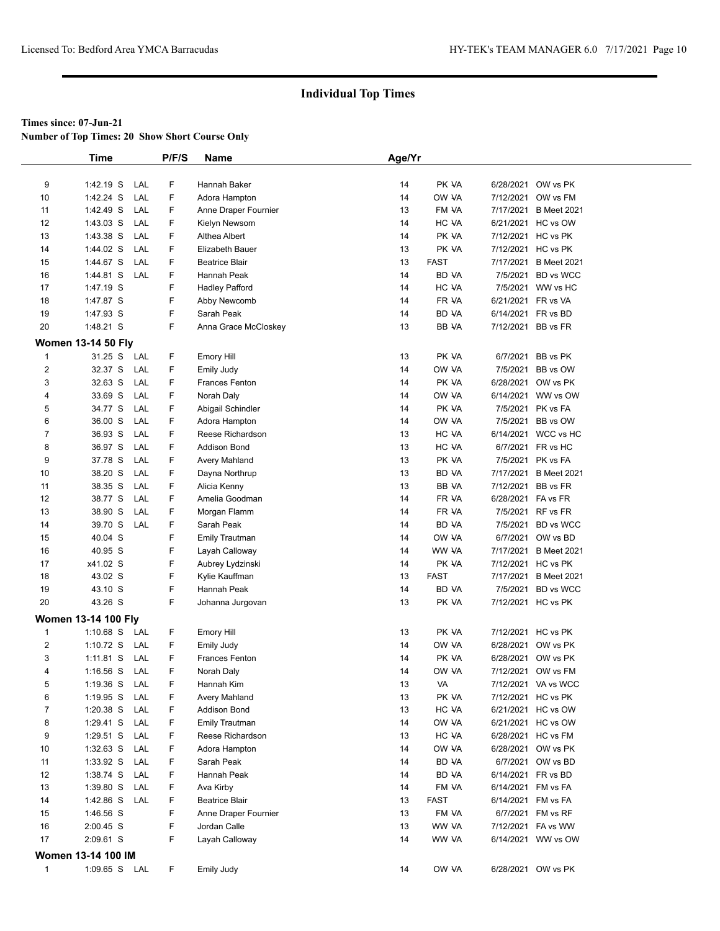**Number of Top Times: 20 Show Short Course Only**

|                         | <b>Time</b>                | P/F/S | <b>Name</b>           | Age/Yr |              |                    |                       |
|-------------------------|----------------------------|-------|-----------------------|--------|--------------|--------------------|-----------------------|
|                         |                            |       |                       |        |              |                    |                       |
| 9                       | 1:42.19 S<br>LAL           | F     | Hannah Baker          | 14     | PK VA        |                    | 6/28/2021 OW vs PK    |
| 10                      | 1:42.24 S<br>LAL           | F     | Adora Hampton         | 14     | OW VA        |                    | 7/12/2021 OW vs FM    |
| 11                      | 1:42.49 S<br>LAL           | F     | Anne Draper Fournier  | 13     | FM VA        |                    | 7/17/2021 B Meet 2021 |
| 12                      | 1:43.03 S<br>LAL           | F.    | Kielyn Newsom         | 14     | HC VA        |                    | 6/21/2021 HC vs OW    |
| 13                      | 1:43.38 S<br>LAL           | F     | Althea Albert         | 14     | PK VA        |                    | 7/12/2021 HC vs PK    |
| 14                      | 1:44.02 S<br>LAL           | F     | Elizabeth Bauer       | 13     | PK VA        |                    | 7/12/2021 HC vs PK    |
| 15                      | 1:44.67 S<br>LAL           | F     | <b>Beatrice Blair</b> | 13     | <b>FAST</b>  |                    | 7/17/2021 B Meet 2021 |
| 16                      | 1:44.81 S<br>LAL           | F     | Hannah Peak           | 14     | <b>BD VA</b> |                    | 7/5/2021 BD vs WCC    |
| 17                      | 1:47.19 S                  | F     | <b>Hadley Pafford</b> | 14     | HC VA        |                    | 7/5/2021 WW vs HC     |
| 18                      | 1:47.87 S                  | F     | Abby Newcomb          | 14     | FR VA        | 6/21/2021 FR vs VA |                       |
| 19                      | 1:47.93 S                  | F     | Sarah Peak            | 14     | BD VA        |                    | 6/14/2021 FR vs BD    |
| 20                      | 1:48.21 S                  | F.    | Anna Grace McCloskey  | 13     | BB VA        |                    | 7/12/2021 BB vs FR    |
|                         | <b>Women 13-14 50 Fly</b>  |       |                       |        |              |                    |                       |
| $\mathbf{1}$            | 31.25 S<br>LAL             | F     | <b>Emory Hill</b>     | 13     | PK VA        |                    | 6/7/2021 BB vs PK     |
| $\overline{\mathbf{c}}$ | 32.37 S<br>LAL             | F     | <b>Emily Judy</b>     | 14     | OW VA        |                    | 7/5/2021 BB vs OW     |
| 3                       | 32.63 S<br>LAL             | F     | Frances Fenton        | 14     | PK VA        |                    | 6/28/2021 OW vs PK    |
| 4                       | 33.69 S<br>LAL             | F     | Norah Daly            | 14     | OW VA        |                    | 6/14/2021 WW vs OW    |
| 5                       | 34.77 S<br>LAL             | F     | Abigail Schindler     | 14     | PK VA        |                    | 7/5/2021 PK vs FA     |
| 6                       | 36.00 S<br>LAL             | F     | Adora Hampton         | 14     | OW VA        |                    | 7/5/2021 BB vs OW     |
| $\overline{7}$          | 36.93 S<br>LAL             | F     | Reese Richardson      | 13     | HC VA        |                    | 6/14/2021 WCC vs HC   |
| 8                       | 36.97 S<br>LAL             | F     | <b>Addison Bond</b>   | 13     | HC VA        |                    | 6/7/2021 FR vs HC     |
| 9                       | 37.78 S<br>LAL             | F     | Avery Mahland         | 13     | PK VA        |                    | 7/5/2021 PK vs FA     |
| 10                      | 38.20 S<br>LAL             | F     | Dayna Northrup        | 13     | BD VA        |                    | 7/17/2021 B Meet 2021 |
| 11                      | 38.35 S<br>LAL             | F     | Alicia Kenny          | 13     | <b>BB VA</b> | 7/12/2021 BB vs FR |                       |
| 12                      | 38.77 S<br>LAL             | F     | Amelia Goodman        | 14     | FR VA        | 6/28/2021 FA vs FR |                       |
| 13                      | 38.90 S<br>LAL             | F     | Morgan Flamm          | 14     | FR VA        |                    | 7/5/2021 RF vs FR     |
| 14                      | 39.70 S<br>LAL             | F     | Sarah Peak            | 14     | <b>BD VA</b> |                    | 7/5/2021 BD vs WCC    |
| 15                      | 40.04 S                    | F     | <b>Emily Trautman</b> | 14     | OW VA        |                    | 6/7/2021 OW vs BD     |
| 16                      | 40.95 S                    | F     | Layah Calloway        | 14     | WW VA        |                    | 7/17/2021 B Meet 2021 |
| 17                      | x41.02 S                   | F     | Aubrey Lydzinski      | 14     | PK VA        |                    | 7/12/2021 HC vs PK    |
| 18                      | 43.02 S                    | F     | Kylie Kauffman        | 13     | <b>FAST</b>  |                    | 7/17/2021 B Meet 2021 |
| 19                      | 43.10 S                    | F     | Hannah Peak           | 14     | BD VA        |                    | 7/5/2021 BD vs WCC    |
| 20                      | 43.26 S                    | F     | Johanna Jurgovan      | 13     | PK VA        |                    | 7/12/2021 HC vs PK    |
|                         | <b>Women 13-14 100 Fly</b> |       |                       |        |              |                    |                       |
| $\mathbf{1}$            | $1:10.68$ S<br>LAL         | F     | <b>Emory Hill</b>     | 13     | PK VA        |                    | 7/12/2021 HC vs PK    |
| $\overline{c}$          | 1:10.72 $S$<br>LAL         | F     | <b>Emily Judy</b>     | 14     | OW VA        |                    | 6/28/2021 OW vs PK    |
| 3                       | $1:11.81$ S<br>LAL         | F     | <b>Frances Fenton</b> | 14     | PK VA        |                    | 6/28/2021 OW vs PK    |
| 4                       | $1:16.56$ S<br>LAL         | F.    | Norah Daly            | 14     | OW VA        |                    | 7/12/2021 OW vs FM    |
| 5                       | LAL<br>$1:19.36$ S         | F     | Hannah Kim            | 13     | VA           |                    | 7/12/2021 VA vs WCC   |
| 6                       | 1:19.95 S<br>LAL           | F     | Avery Mahland         | 13     | PK VA        |                    | 7/12/2021 HC vs PK    |
| 7                       | $1:20.38$ S<br>LAL         | F     | Addison Bond          | 13     | HC VA        |                    | 6/21/2021 HC vs OW    |
| 8                       | 1:29.41 S<br>LAL           | F     | <b>Emily Trautman</b> | 14     | OW VA        |                    | 6/21/2021 HC vs OW    |
| 9                       | LAL<br>$1:29.51$ S         | F     | Reese Richardson      | 13     | HC VA        |                    | 6/28/2021 HC vs FM    |
| 10                      | $1:32.63$ S<br>LAL         | F     | Adora Hampton         | 14     | OW VA        |                    | 6/28/2021 OW vs PK    |
| 11                      | 1:33.92 S<br>LAL           | F     | Sarah Peak            | 14     | BD VA        |                    | 6/7/2021 OW vs BD     |
| 12                      | 1:38.74 S<br>LAL           | F     | Hannah Peak           | 14     | BD VA        |                    | 6/14/2021 FR vs BD    |
| 13                      | 1:39.80 S<br>LAL           | F     | Ava Kirby             | 14     | FM VA        |                    | 6/14/2021 FM vs FA    |
| 14                      | 1:42.86 S<br>LAL           | F     | <b>Beatrice Blair</b> | 13     | <b>FAST</b>  |                    | 6/14/2021 FM vs FA    |
| 15                      | 1:46.56 S                  | F     | Anne Draper Fournier  | 13     | FM VA        |                    | 6/7/2021 FM vs RF     |
| 16                      | 2:00.45 S                  | F     | Jordan Calle          | 13     | WW VA        |                    | 7/12/2021 FA vs WW    |
| 17                      | 2:09.61 S                  | F     | Layah Calloway        | 14     | WW VA        |                    | 6/14/2021 WW vs OW    |
|                         | Women 13-14 100 IM         |       |                       |        |              |                    |                       |
| $\mathbf{1}$            | 1:09.65 S LAL              | F.    | <b>Emily Judy</b>     | 14     | OW VA        |                    | 6/28/2021 OW vs PK    |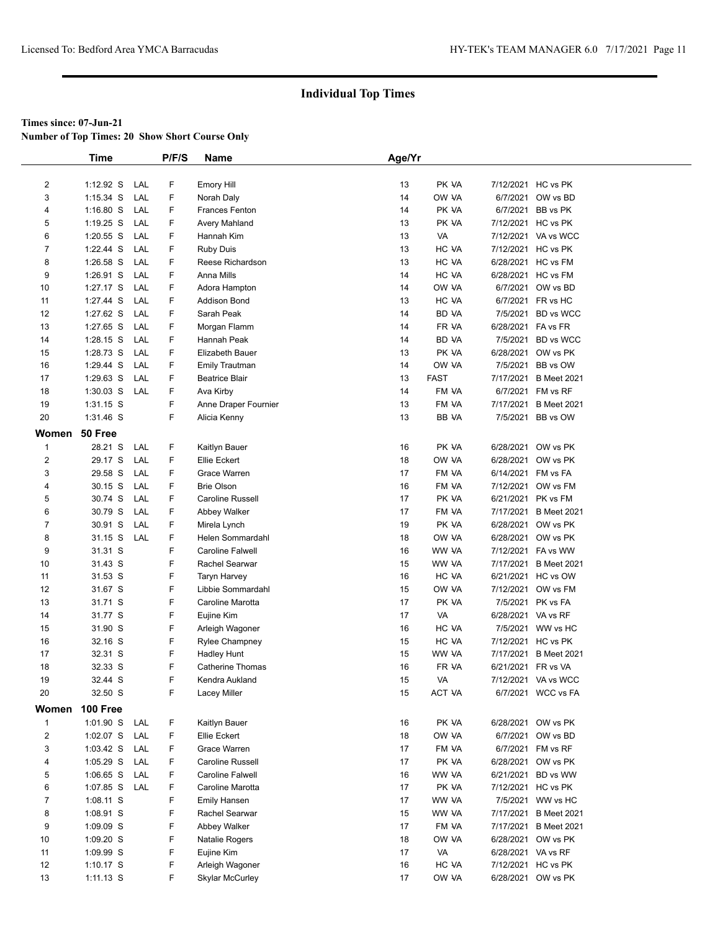**Number of Top Times: 20 Show Short Course Only**

|                         | <b>Time</b> |     | P/F/S | Name                    | Age/Yr |             |                    |                       |
|-------------------------|-------------|-----|-------|-------------------------|--------|-------------|--------------------|-----------------------|
|                         |             |     |       |                         |        |             |                    |                       |
| $\overline{\mathbf{c}}$ | $1:12.92$ S | LAL | F     | <b>Emory Hill</b>       | 13     | PK VA       |                    | 7/12/2021 HC vs PK    |
| 3                       | $1:15.34$ S | LAL | F     | Norah Daly              | 14     | OW VA       |                    | 6/7/2021 OW vs BD     |
| 4                       | 1:16.80 S   | LAL | F     | <b>Frances Fenton</b>   | 14     | PK VA       |                    | 6/7/2021 BB vs PK     |
| 5                       | $1:19.25$ S | LAL | F     | Avery Mahland           | 13     | PK VA       |                    | 7/12/2021 HC vs PK    |
| 6                       | $1:20.55$ S | LAL | F     | Hannah Kim              | 13     | VA          |                    | 7/12/2021 VA vs WCC   |
| $\overline{7}$          | 1:22.44 S   | LAL | F     | <b>Ruby Duis</b>        | 13     | HC VA       |                    | 7/12/2021 HC vs PK    |
| 8                       | $1:26.58$ S | LAL | F     | Reese Richardson        | 13     | HC VA       |                    | 6/28/2021 HC vs FM    |
| 9                       | 1:26.91 S   | LAL | F.    | Anna Mills              | 14     | HC VA       |                    | 6/28/2021 HC vs FM    |
| 10                      | $1:27.17$ S | LAL | F     | Adora Hampton           | 14     | OW VA       |                    | 6/7/2021 OW vs BD     |
| 11                      | 1:27.44 S   | LAL | F     | <b>Addison Bond</b>     | 13     | HC VA       |                    | 6/7/2021 FR vs HC     |
| 12                      | 1:27.62 S   | LAL | F     | Sarah Peak              | 14     | BD VA       |                    | 7/5/2021 BD vs WCC    |
| 13                      | 1:27.65 S   | LAL | F     | Morgan Flamm            | 14     | FR VA       | 6/28/2021 FA vs FR |                       |
| 14                      | $1:28.15$ S | LAL | F     | Hannah Peak             | 14     | BD VA       |                    | 7/5/2021 BD vs WCC    |
| 15                      | 1:28.73 S   | LAL | F.    | Elizabeth Bauer         | 13     | PK VA       |                    | 6/28/2021 OW vs PK    |
| 16                      | 1:29.44 S   | LAL | F     | <b>Emily Trautman</b>   | 14     | OW VA       |                    | 7/5/2021 BB vs OW     |
| 17                      | $1:29.63$ S | LAL | F     | <b>Beatrice Blair</b>   | 13     | <b>FAST</b> |                    | 7/17/2021 B Meet 2021 |
| 18                      | $1:30.03$ S | LAL | F     | Ava Kirby               | 14     | FM VA       |                    | 6/7/2021 FM vs RF     |
| 19                      | $1:31.15$ S |     | F     | Anne Draper Fournier    | 13     | FM VA       |                    | 7/17/2021 B Meet 2021 |
| 20                      | 1:31.46 S   |     | F     | Alicia Kenny            | 13     | BB VA       |                    | 7/5/2021 BB vs OW     |
| Women                   | 50 Free     |     |       |                         |        |             |                    |                       |
| $\mathbf{1}$            | 28.21 S     | LAL | F     | Kaitlyn Bauer           | 16     | PK VA       |                    | 6/28/2021 OW vs PK    |
| $\overline{2}$          | 29.17 S     | LAL | F.    | Ellie Eckert            | 18     | OW VA       |                    | 6/28/2021 OW vs PK    |
| 3                       | 29.58 S     | LAL | F     | Grace Warren            | 17     | FM VA       | 6/14/2021 FM vs FA |                       |
| 4                       | 30.15 S     | LAL | F     | <b>Brie Olson</b>       | 16     | FM VA       |                    | 7/12/2021 OW vs FM    |
| 5                       | 30.74 S     | LAL | F     | Caroline Russell        | 17     | PK VA       |                    | 6/21/2021 PK vs FM    |
| 6                       | 30.79 S     | LAL | F     | Abbey Walker            | 17     | FM VA       |                    | 7/17/2021 B Meet 2021 |
| $\overline{7}$          | 30.91 S     | LAL | F     | Mirela Lynch            | 19     | PK VA       |                    | 6/28/2021 OW vs PK    |
| 8                       | 31.15 S     | LAL | F     | Helen Sommardahl        | 18     | OW VA       |                    | 6/28/2021 OW vs PK    |
| 9                       | 31.31 S     |     | F     | <b>Caroline Falwell</b> | 16     | WW VA       |                    | 7/12/2021 FA vs WW    |
| 10                      | 31.43 S     |     | F     | Rachel Searwar          | 15     | WW VA       |                    | 7/17/2021 B Meet 2021 |
| 11                      | 31.53 S     |     | F     | <b>Taryn Harvey</b>     | 16     | HC VA       |                    | 6/21/2021 HC vs OW    |
| 12                      | 31.67 S     |     | F     | Libbie Sommardahl       | 15     | OW VA       |                    | 7/12/2021 OW vs FM    |
| 13                      | 31.71 S     |     | F     | Caroline Marotta        | 17     | PK VA       |                    | 7/5/2021 PK vs FA     |
| 14                      | 31.77 S     |     | F     | Eujine Kim              | 17     | VA          | 6/28/2021 VA vs RF |                       |
| 15                      | 31.90 S     |     | F     | Arleigh Wagoner         | 16     | HC VA       |                    | 7/5/2021 WW vs HC     |
| 16                      | 32.16 S     |     | F     | Rylee Champney          | 15     | HC VA       |                    | 7/12/2021 HC vs PK    |
| 17                      | 32.31 S     |     | F     | <b>Hadley Hunt</b>      | 15     | WW VA       |                    | 7/17/2021 B Meet 2021 |
| 18                      | 32.33 S     |     | F     | Catherine Thomas        | 16     | FR VA       | 6/21/2021 FR vs VA |                       |
| 19                      | 32.44 S     |     | F     | Kendra Aukland          | 15     | VA          |                    | 7/12/2021 VA vs WCC   |
| 20                      | 32.50 S     |     | F     | Lacey Miller            | 15     | ACT VA      |                    | 6/7/2021 WCC vs FA    |
| Women                   | 100 Free    |     |       |                         |        |             |                    |                       |
| $\mathbf{1}$            | $1:01.90$ S | LAL | F     | Kaitlyn Bauer           | 16     | PK VA       |                    | 6/28/2021 OW vs PK    |
| $\overline{2}$          | $1:02.07$ S | LAL | F     | Ellie Eckert            | 18     | OW VA       |                    | 6/7/2021 OW vs BD     |
| 3                       | $1:03.42$ S | LAL | F     | Grace Warren            | 17     | FM VA       |                    | 6/7/2021 FM vs RF     |
| 4                       | $1:05.29$ S | LAL | F     | Caroline Russell        | 17     | PK VA       |                    | 6/28/2021 OW vs PK    |
| 5                       | $1:06.65$ S | LAL | F     | Caroline Falwell        | 16     | WW VA       |                    | 6/21/2021 BD vs WW    |
| 6                       | 1:07.85 S   | LAL | F     | Caroline Marotta        | 17     | PK VA       |                    | 7/12/2021 HC vs PK    |
| $\overline{7}$          | 1:08.11 S   |     | F     | Emily Hansen            | 17     | WW VA       |                    | 7/5/2021 WW vs HC     |
| 8                       | 1:08.91 S   |     | F     | Rachel Searwar          | 15     | WW VA       |                    | 7/17/2021 B Meet 2021 |
| 9                       | 1:09.09 S   |     | F     | Abbey Walker            | 17     | FM VA       |                    | 7/17/2021 B Meet 2021 |
| 10                      | 1:09.20 S   |     | F     | Natalie Rogers          | 18     | OW VA       |                    | 6/28/2021 OW vs PK    |
| 11                      | 1:09.99 S   |     | F     | Eujine Kim              | 17     | VA          | 6/28/2021 VA vs RF |                       |
| 12                      | $1:10.17$ S |     | F     | Arleigh Wagoner         | 16     | HC VA       |                    | 7/12/2021 HC vs PK    |
| 13                      | $1:11.13$ S |     | F     | <b>Skylar McCurley</b>  | 17     | OW VA       |                    | 6/28/2021 OW vs PK    |
|                         |             |     |       |                         |        |             |                    |                       |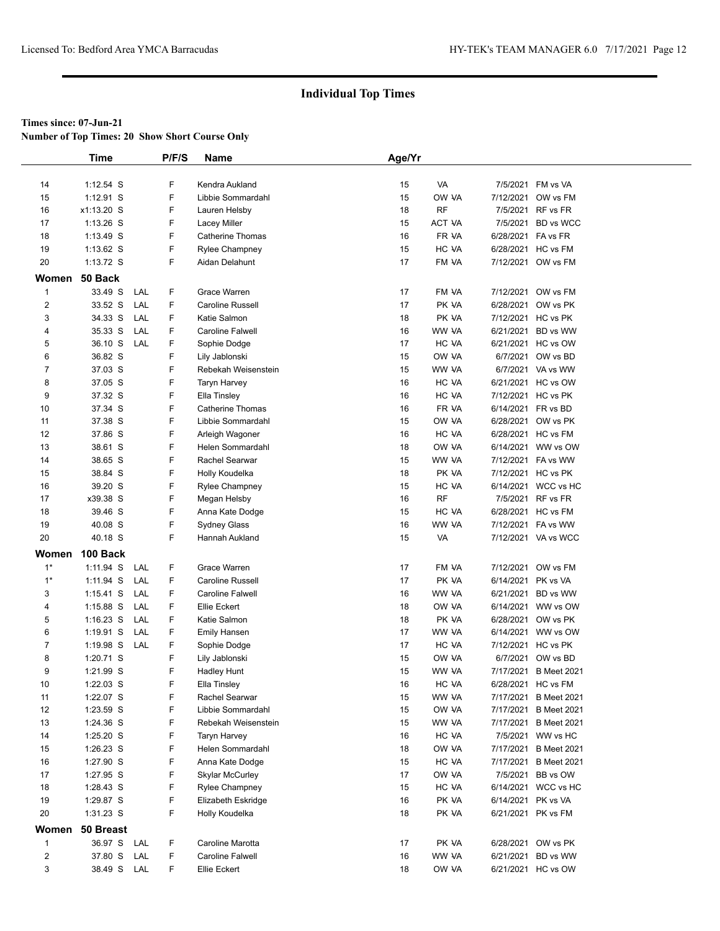**Number of Top Times: 20 Show Short Course Only**

|                | <b>Time</b> |     | P/F/S | <b>Name</b>             | Age/Yr |        |           |                     |
|----------------|-------------|-----|-------|-------------------------|--------|--------|-----------|---------------------|
|                |             |     |       |                         |        |        |           |                     |
| 14             | $1:12.54$ S |     | F     | Kendra Aukland          | 15     | VA     |           | 7/5/2021 FM vs VA   |
| 15             | $1:12.91$ S |     | F     | Libbie Sommardahl       | 15     | OW VA  | 7/12/2021 | OW vs FM            |
| 16             | x1:13.20 S  |     | F     | Lauren Helsby           | 18     | RF     | 7/5/2021  | RF vs FR            |
| 17             | $1:13.26$ S |     | F     | Lacey Miller            | 15     | ACT VA | 7/5/2021  | BD vs WCC           |
| 18             | 1:13.49 S   |     | F     | <b>Catherine Thomas</b> | 16     | FR VA  | 6/28/2021 | FA vs FR            |
| 19             | $1:13.62$ S |     | F     | Rylee Champney          | 15     | HC VA  |           | 6/28/2021 HC vs FM  |
| $20\,$         | 1:13.72 S   |     | F     | Aidan Delahunt          | 17     | FM VA  |           | 7/12/2021 OW vs FM  |
| Women          | 50 Back     |     |       |                         |        |        |           |                     |
| $\mathbf{1}$   | 33.49 S     | LAL | F     | Grace Warren            | 17     | FM VA  | 7/12/2021 | OW vs FM            |
| $\overline{2}$ | 33.52 S     | LAL | F     | Caroline Russell        | 17     | PK VA  | 6/28/2021 | OW vs PK            |
| 3              | 34.33 S     | LAL | F     | Katie Salmon            | 18     | PK VA  |           | 7/12/2021 HC vs PK  |
| 4              | 35.33 S     | LAL | F     | <b>Caroline Falwell</b> | 16     | WW VA  | 6/21/2021 | BD vs WW            |
| 5              | 36.10 S     | LAL | F     | Sophie Dodge            | 17     | HC VA  | 6/21/2021 | HC vs OW            |
| 6              | 36.82 S     |     | F     | Lily Jablonski          | 15     | OW VA  | 6/7/2021  | OW vs BD            |
| $\overline{7}$ | 37.03 S     |     | F     | Rebekah Weisenstein     | 15     | WW VA  |           | 6/7/2021 VA vs WW   |
| 8              | 37.05 S     |     | F     | Taryn Harvey            | 16     | HC VA  |           | 6/21/2021 HC vs OW  |
| 9              | 37.32 S     |     | F     | Ella Tinsley            | 16     | HC VA  |           | 7/12/2021 HC vs PK  |
| 10             | 37.34 S     |     | F     | <b>Catherine Thomas</b> | 16     | FR VA  | 6/14/2021 | FR vs BD            |
| 11             | 37.38 S     |     | F     | Libbie Sommardahl       | 15     | OW VA  | 6/28/2021 | OW vs PK            |
| 12             | 37.86 S     |     | F     | Arleigh Wagoner         | 16     | HC VA  |           | 6/28/2021 HC vs FM  |
| 13             | 38.61 S     |     | F     | Helen Sommardahl        | 18     | OW VA  | 6/14/2021 | WW vs OW            |
| 14             | 38.65 S     |     | F     | Rachel Searwar          | 15     | WW VA  | 7/12/2021 | FA vs WW            |
| 15             | 38.84 S     |     | F     | Holly Koudelka          | 18     | PK VA  |           | 7/12/2021 HC vs PK  |
| 16             | 39.20 S     |     | F     | <b>Rylee Champney</b>   | 15     | HC VA  | 6/14/2021 | WCC vs HC           |
| 17             | x39.38 S    |     | F     | Megan Helsby            | 16     | RF     | 7/5/2021  | RF vs FR            |
| 18             | 39.46 S     |     | F     | Anna Kate Dodge         | 15     | HC VA  |           | 6/28/2021 HC vs FM  |
| 19             | 40.08 S     |     | F     | Sydney Glass            | 16     | WW VA  |           | 7/12/2021 FA vs WW  |
| 20             | 40.18 S     |     | F     | Hannah Aukland          | 15     | VA     |           | 7/12/2021 VA vs WCC |
| Women          | 100 Back    |     |       |                         |        |        |           |                     |
| $1*$           | 1:11.94 S   | LAL | F     | Grace Warren            | 17     | FM VA  | 7/12/2021 | OW vs FM            |
| $1*$           | 1:11.94 S   | LAL | F.    | Caroline Russell        | 17     | PK VA  |           | 6/14/2021 PK vs VA  |
| 3              | $1:15.41$ S | LAL | F     | <b>Caroline Falwell</b> | 16     | WW VA  | 6/21/2021 | BD vs WW            |
| 4              | $1:15.88$ S | LAL | F     | Ellie Eckert            | 18     | OW VA  | 6/14/2021 | WW vs OW            |
| 5              | $1:16.23$ S | LAL | F.    | Katie Salmon            | 18     | PK VA  | 6/28/2021 | OW vs PK            |
| 6              | $1:19.91$ S | LAL | F.    | <b>Emily Hansen</b>     | 17     | WW VA  | 6/14/2021 | WW vs OW            |
| 7              | 1:19.98 S   | LAL | F     | Sophie Dodge            | 17     | HC VA  | 7/12/2021 | HC vs PK            |
| 8              | 1:20.71 S   |     | F     | Lily Jablonski          | 15     | OW VA  | 6/7/2021  | OW vs BD            |
| 9              | 1:21.99 S   |     | F     | Hadley Hunt             | 15     | WW VA  | 7/17/2021 | <b>B</b> Meet 2021  |
| 10             | $1:22.03$ S |     | F     | Ella Tinsley            | 16     | HC VA  | 6/28/2021 | HC vs FM            |
| 11             | 1:22.07 S   |     | F     | Rachel Searwar          | 15     | WW VA  | 7/17/2021 | <b>B</b> Meet 2021  |
| 12             | 1:23.59 S   |     | F     | Libbie Sommardahl       | 15     | OW VA  | 7/17/2021 | <b>B</b> Meet 2021  |
| 13             | 1:24.36 S   |     | F     | Rebekah Weisenstein     | 15     | WW VA  | 7/17/2021 | <b>B</b> Meet 2021  |
| 14             | 1:25.20 S   |     | F     | Taryn Harvey            | 16     | HC VA  | 7/5/2021  | WW vs HC            |
| 15             | $1:26.23$ S |     | F     | Helen Sommardahl        | 18     | OW VA  | 7/17/2021 | <b>B Meet 2021</b>  |
| 16             | 1:27.90 S   |     | F     | Anna Kate Dodge         | 15     | HC VA  | 7/17/2021 | <b>B</b> Meet 2021  |
| 17             | 1:27.95 S   |     | F     | <b>Skylar McCurley</b>  | 17     | OW VA  | 7/5/2021  | BB vs OW            |
| 18             | 1:28.43 S   |     | F     | <b>Rylee Champney</b>   | 15     | HC VA  |           | 6/14/2021 WCC vs HC |
| 19             | 1:29.87 S   |     | F     | Elizabeth Eskridge      | 16     | PK VA  | 6/14/2021 | PK vs VA            |
| 20             | 1:31.23 S   |     | F     | Holly Koudelka          | 18     | PK VA  |           | 6/21/2021 PK vs FM  |
| Women          | 50 Breast   |     |       |                         |        |        |           |                     |
| 1              | 36.97 S     | LAL | F     | Caroline Marotta        | 17     | PK VA  |           | 6/28/2021 OW vs PK  |
| $\overline{c}$ | 37.80 S     | LAL | F     | Caroline Falwell        | 16     | WW VA  | 6/21/2021 | BD vs WW            |
| 3              | 38.49 S LAL |     | F.    | Ellie Eckert            | 18     | OW VA  |           | 6/21/2021 HC vs OW  |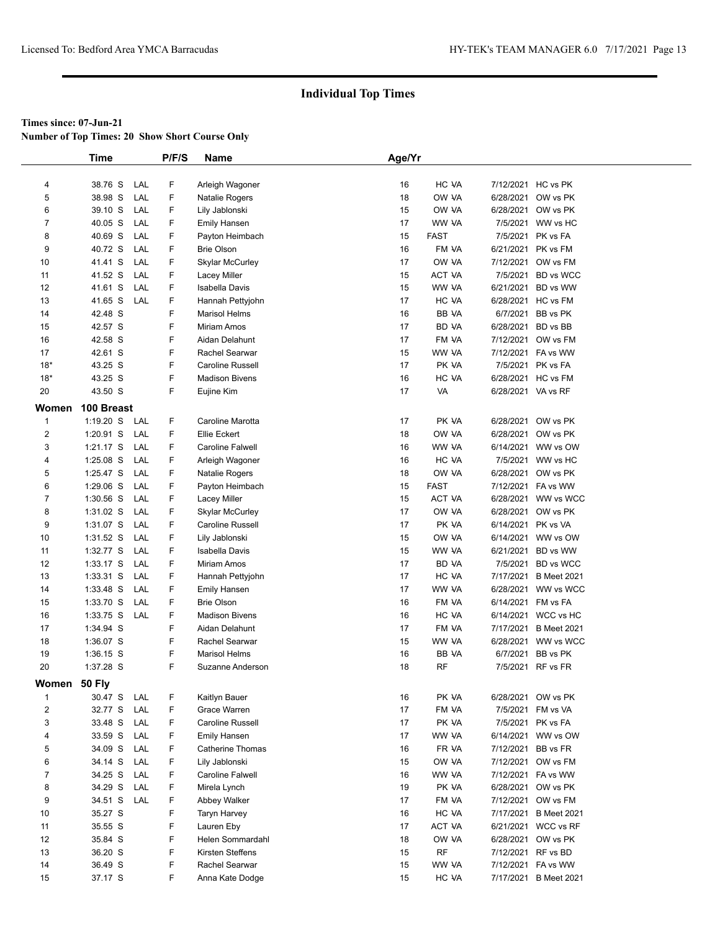**Number of Top Times: 20 Show Short Course Only**

|                | <b>Time</b>            |     | P/F/S  | <b>Name</b>                             | Age/Yr   |                |                        |                       |
|----------------|------------------------|-----|--------|-----------------------------------------|----------|----------------|------------------------|-----------------------|
|                |                        |     |        |                                         |          |                |                        |                       |
| 4              | 38.76 S                | LAL | F      | Arleigh Wagoner                         | 16       | HC VA          |                        | 7/12/2021 HC vs PK    |
| 5              | 38.98 S                | LAL | F      | Natalie Rogers                          | 18       | OW VA          |                        | 6/28/2021 OW vs PK    |
| 6              | 39.10 S                | LAL | F      | Lily Jablonski                          | 15       | OW VA          | 6/28/2021              | OW vs PK              |
| $\overline{7}$ | 40.05 S                | LAL | F      | <b>Emily Hansen</b>                     | 17       | WW VA          |                        | 7/5/2021 WW vs HC     |
| 8              | 40.69 S                | LAL | F      | Payton Heimbach                         | 15       | <b>FAST</b>    | 7/5/2021               | PK vs FA              |
| 9              | 40.72 S                | LAL | F      | <b>Brie Olson</b>                       | 16       | FM VA          | 6/21/2021              | PK vs FM              |
| 10             | 41.41 S                | LAL | F      | Skylar McCurley                         | 17       | OW VA          | 7/12/2021              | OW vs FM              |
| 11             | 41.52 S                | LAL | F      | Lacey Miller                            | 15       | ACT VA         | 7/5/2021               | <b>BD</b> vs WCC      |
| 12             | 41.61 S                | LAL | F      | Isabella Davis                          | 15       | WW VA          | 6/21/2021              | BD vs WW              |
| 13             | 41.65 S                | LAL | F      | Hannah Pettyjohn                        | 17       | HC VA          |                        | 6/28/2021 HC vs FM    |
| 14             | 42.48 S                |     | F      | <b>Marisol Helms</b>                    | 16       | BB VA          | 6/7/2021               | BB vs PK              |
| 15             | 42.57 S                |     | F      | Miriam Amos                             | 17       | BD VA          | 6/28/2021              | BD vs BB              |
| 16             | 42.58 S                |     | F      | Aidan Delahunt                          | 17       | FM VA          |                        | 7/12/2021 OW vs FM    |
| 17             | 42.61 S                |     | F      | Rachel Searwar                          | 15       | WW VA          | 7/12/2021              | FA vs WW              |
| $18*$          | 43.25 S                |     | F      | Caroline Russell                        | 17       | PK VA          |                        | 7/5/2021 PK vs FA     |
| $18*$          | 43.25 S                |     | F      | <b>Madison Bivens</b>                   | 16       | HC VA          |                        | 6/28/2021 HC vs FM    |
| 20             | 43.50 S                |     | F      | Eujine Kim                              | 17       | VA             | 6/28/2021 VA vs RF     |                       |
| Women          | 100 Breast             |     |        |                                         |          |                |                        |                       |
| $\mathbf{1}$   | $1:19.20$ S            | LAL | F      | Caroline Marotta                        | 17       | PK VA          |                        | 6/28/2021 OW vs PK    |
| $\overline{c}$ | $1:20.91$ S            | LAL | F      | Ellie Eckert                            | 18       | OW VA          |                        | 6/28/2021 OW vs PK    |
| 3              | $1:21.17$ S            | LAL | F      | <b>Caroline Falwell</b>                 | 16       | WW VA          | 6/14/2021              | WW vs OW              |
| 4              | $1:25.08$ S            | LAL | F      | Arleigh Wagoner                         | 16       | HC VA          |                        | 7/5/2021 WW vs HC     |
| 5              | 1:25.47 S              | LAL | F      | Natalie Rogers                          | 18       | OW VA          |                        | 6/28/2021 OW vs PK    |
| 6              | $1:29.06$ S            | LAL | F      | Payton Heimbach                         | 15       | <b>FAST</b>    | 7/12/2021              | FA vs WW              |
| $\overline{7}$ | 1:30.56 S              | LAL | F      | Lacey Miller                            | 15       | ACT VA         | 6/28/2021              | WW vs WCC             |
| 8              | 1:31.02 S              | LAL | F      | <b>Skylar McCurley</b>                  | 17       | OW VA          | 6/28/2021              | OW vs PK              |
|                |                        | LAL | F      |                                         | 17       | PK VA          | 6/14/2021              | PK vs VA              |
| 9              | 1:31.07 S              | LAL | F      | Caroline Russell                        |          | OW VA          |                        | 6/14/2021 WW vs OW    |
| 10<br>11       | 1:31.52 S              | LAL | F      | Lily Jablonski<br><b>Isabella Davis</b> | 15<br>15 | WW VA          |                        | BD vs WW              |
| 12             | 1:32.77 S<br>1:33.17 S | LAL | F      |                                         | 17       | <b>BD VA</b>   | 6/21/2021<br>7/5/2021  | <b>BD</b> vs WCC      |
| 13             | $1:33.31$ S            | LAL | F      | Miriam Amos                             | 17       | HC VA          | 7/17/2021              | <b>B</b> Meet 2021    |
| 14             | 1:33.48 S              | LAL | F      | Hannah Pettyjohn<br><b>Emily Hansen</b> | 17       | WW VA          | 6/28/2021              | WW vs WCC             |
|                |                        |     | F      |                                         |          | FM VA          |                        |                       |
| 15             | 1:33.70 S<br>1:33.75 S | LAL | F      | <b>Brie Olson</b>                       | 16       |                | 6/14/2021<br>6/14/2021 | FM vs FA              |
| 16             |                        | LAL | F      | <b>Madison Bivens</b>                   | 16       | HC VA<br>FM VA |                        | WCC vs HC             |
| 17             | 1:34.94 S              |     |        | Aidan Delahunt                          | 17       |                | 7/17/2021              | <b>B Meet 2021</b>    |
| 18             | 1:36.07 S              |     | F      | Rachel Searwar                          | 15       | WW VA          | 6/28/2021              | WW vs WCC<br>BB vs PK |
| 19             | 1:36.15 S              |     | F<br>F | <b>Marisol Helms</b>                    | 16       | BB VA          | 6/7/2021               |                       |
| 20             | 1:37.28 S              |     |        | Suzanne Anderson                        | 18       | RF             |                        | 7/5/2021 RF vs FR     |
| Women 50 Fly   |                        |     |        |                                         |          |                |                        |                       |
| $\mathbf 1$    | 30.47 S                | LAL | F      | Kaitlyn Bauer                           | 16       | PK VA          | 6/28/2021              | OW vs PK              |
| $\overline{2}$ | 32.77 S                | LAL | F      | Grace Warren                            | 17       | FM VA          | 7/5/2021               | FM vs VA              |
| 3              | 33.48 S                | LAL | F      | Caroline Russell                        | 17       | PK VA          | 7/5/2021               | PK vs FA              |
| 4              | 33.59 S                | LAL | F      | <b>Emily Hansen</b>                     | 17       | WW VA          | 6/14/2021              | WW vs OW              |
| 5              | 34.09 S                | LAL | F      | <b>Catherine Thomas</b>                 | 16       | FR VA          | 7/12/2021              | BB vs FR              |
| 6              | 34.14 S                | LAL | F      | Lily Jablonski                          | 15       | OW VA          | 7/12/2021              | OW vs FM              |
| $\overline{7}$ | 34.25 S                | LAL | F      | Caroline Falwell                        | 16       | WW VA          |                        | 7/12/2021 FA vs WW    |
| 8              | 34.29 S                | LAL | F      | Mirela Lynch                            | 19       | PK VA          |                        | 6/28/2021 OW vs PK    |
| 9              | 34.51 S                | LAL | F      | Abbey Walker                            | 17       | FM VA          | 7/12/2021              | OW vs FM              |
| 10             | 35.27 S                |     | F      | Taryn Harvey                            | 16       | HC VA          | 7/17/2021              | <b>B</b> Meet 2021    |
| 11             | 35.55 S                |     | F      | Lauren Eby                              | 17       | ACT VA         |                        | 6/21/2021 WCC vs RF   |
| 12             | 35.84 S                |     | F      | Helen Sommardahl                        | 18       | OW VA          | 6/28/2021              | OW vs PK              |
| 13             | 36.20 S                |     | F      | Kirsten Steffens                        | 15       | <b>RF</b>      | 7/12/2021              | RF vs BD              |
| 14             | 36.49 S                |     | F      | Rachel Searwar                          | 15       | WW VA          |                        | 7/12/2021 FA vs WW    |
| 15             | 37.17 S                |     | F      | Anna Kate Dodge                         | 15       | HC VA          | 7/17/2021              | <b>B</b> Meet 2021    |
|                |                        |     |        |                                         |          |                |                        |                       |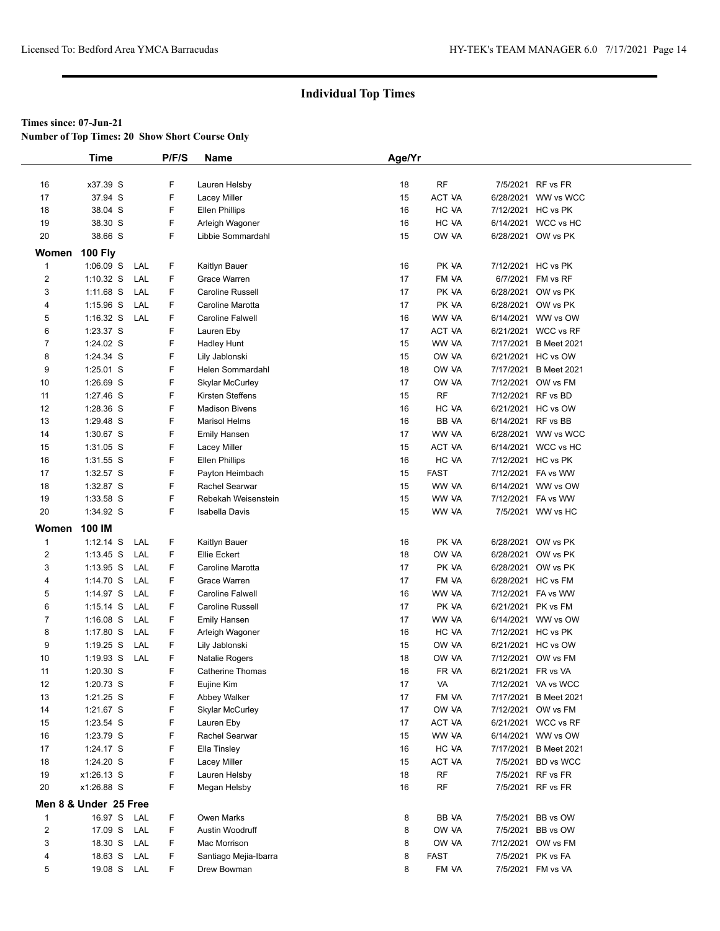**Number of Top Times: 20 Show Short Course Only**

|                         | <b>Time</b>           |     | P/F/S | <b>Name</b>             | Age/Yr |               |                       |
|-------------------------|-----------------------|-----|-------|-------------------------|--------|---------------|-----------------------|
|                         |                       |     |       |                         |        |               |                       |
| 16                      | x37.39 S              |     | F     | Lauren Helsby           | 18     | RF            | 7/5/2021 RF vs FR     |
| 17                      | 37.94 S               |     | F     | <b>Lacey Miller</b>     | 15     | <b>ACT VA</b> | 6/28/2021 WW vs WCC   |
| 18                      | 38.04 S               |     | F     | <b>Ellen Phillips</b>   | 16     | HC VA         | 7/12/2021 HC vs PK    |
| 19                      | 38.30 S               |     | F     | Arleigh Wagoner         | 16     | HC VA         | 6/14/2021 WCC vs HC   |
| 20                      | 38.66 S               |     | F     | Libbie Sommardahl       | 15     | OW VA         | 6/28/2021 OW vs PK    |
|                         |                       |     |       |                         |        |               |                       |
| Women                   | <b>100 Fly</b>        |     |       |                         |        |               |                       |
| $\mathbf{1}$            | $1:06.09$ S           | LAL | F     | Kaitlyn Bauer           | 16     | PK VA         | 7/12/2021 HC vs PK    |
| $\overline{2}$          | $1:10.32$ S           | LAL | F     | Grace Warren            | 17     | FM VA         | 6/7/2021 FM vs RF     |
| 3                       | 1:11.68 S             | LAL | F     | Caroline Russell        | 17     | PK VA         | 6/28/2021 OW vs PK    |
| 4                       | $1:15.96$ S           | LAL | F     | Caroline Marotta        | 17     | PK VA         | 6/28/2021 OW vs PK    |
| 5                       | $1:16.32$ S           | LAL | F     | <b>Caroline Falwell</b> | 16     | WW VA         | 6/14/2021 WW vs OW    |
| 6                       | 1:23.37 S             |     | F     | Lauren Eby              | 17     | ACT VA        | 6/21/2021 WCC vs RF   |
| $\overline{7}$          | 1:24.02 S             |     | F     | <b>Hadley Hunt</b>      | 15     | WW VA         | 7/17/2021 B Meet 2021 |
| 8                       | 1:24.34 S             |     | F     | Lily Jablonski          | 15     | OW VA         | 6/21/2021 HC vs OW    |
| 9                       | 1:25.01 S             |     | F     | Helen Sommardahl        | 18     | OW VA         | 7/17/2021 B Meet 2021 |
| 10                      | $1:26.69$ S           |     | F     | <b>Skylar McCurley</b>  | 17     | OW VA         | 7/12/2021 OW vs FM    |
| 11                      | 1:27.46 S             |     | F     | Kirsten Steffens        | 15     | <b>RF</b>     | 7/12/2021 RF vs BD    |
| 12                      | 1:28.36 S             |     | F     | <b>Madison Bivens</b>   | 16     | HC VA         | 6/21/2021 HC vs OW    |
| 13                      | 1:29.48 S             |     | F     | <b>Marisol Helms</b>    | 16     | BB VA         | 6/14/2021 RF vs BB    |
| 14                      | 1:30.67 S             |     | F     | <b>Emily Hansen</b>     | 17     | WW VA         | 6/28/2021 WW vs WCC   |
| 15                      | 1:31.05 S             |     | F     | Lacey Miller            | 15     | ACT VA        | 6/14/2021 WCC vs HC   |
| 16                      | 1:31.55 S             |     | F     | <b>Ellen Phillips</b>   | 16     | HC VA         | 7/12/2021 HC vs PK    |
| 17                      | 1:32.57 S             |     | F     | Payton Heimbach         | 15     | <b>FAST</b>   | 7/12/2021 FA vs WW    |
| 18                      | 1:32.87 S             |     | F     | Rachel Searwar          | 15     | WW VA         | 6/14/2021 WW vs OW    |
| 19                      | 1:33.58 S             |     | F     | Rebekah Weisenstein     | 15     | WW VA         | 7/12/2021 FA vs WW    |
| 20                      | 1:34.92 S             |     | F     | Isabella Davis          | 15     | WW VA         | 7/5/2021 WW vs HC     |
|                         |                       |     |       |                         |        |               |                       |
| Women                   | 100 IM                |     |       |                         |        |               |                       |
| $\mathbf 1$             | $1:12.14$ S           | LAL | F     | Kaitlyn Bauer           | 16     | PK VA         | 6/28/2021 OW vs PK    |
| $\overline{c}$          | $1:13.45$ S           | LAL | F     | Ellie Eckert            | 18     | OW VA         | 6/28/2021 OW vs PK    |
| 3                       | $1:13.95$ S           | LAL | F     | Caroline Marotta        | 17     | PK VA         | 6/28/2021 OW vs PK    |
| 4                       | 1:14.70 S             | LAL | F     | Grace Warren            | 17     | FM VA         | 6/28/2021 HC vs FM    |
| 5                       | 1:14.97 S             | LAL | F     | Caroline Falwell        | 16     | WW VA         | 7/12/2021 FA vs WW    |
| 6                       | $1:15.14$ S           | LAL | F     | Caroline Russell        | 17     | PK VA         | 6/21/2021 PK vs FM    |
| 7                       | $1:16.08$ S           | LAL | F     | <b>Emily Hansen</b>     | 17     | WW VA         | 6/14/2021 WW vs OW    |
| 8                       | $1:17.80$ S           | LAL | F     | Arleigh Wagoner         | 16     | HC VA         | 7/12/2021 HC vs PK    |
| 9                       | $1:19.25$ S           | LAL | F     | Lily Jablonski          | 15     | OW VA         | 6/21/2021 HC vs OW    |
| 10                      | $1:19.93$ S           | LAL | F     | Natalie Rogers          | 18     | OW VA         | 7/12/2021 OW vs FM    |
| 11                      | 1:20.30 S             |     | F     | <b>Catherine Thomas</b> | 16     | FR VA         | 6/21/2021 FR vs VA    |
| 12                      | 1:20.73 S             |     | F     | Eujine Kim              | 17     | VA            | 7/12/2021 VA vs WCC   |
| 13                      | 1:21.25 S             |     | F     | Abbey Walker            | 17     | FM VA         | 7/17/2021 B Meet 2021 |
| 14                      | 1:21.67 S             |     | F     | <b>Skylar McCurley</b>  | 17     | OW VA         | 7/12/2021 OW vs FM    |
| 15                      | 1:23.54 S             |     | F     | Lauren Eby              | 17     | ACT VA        | 6/21/2021 WCC vs RF   |
| 16                      | 1:23.79 S             |     | F     | Rachel Searwar          | 15     | WW VA         | 6/14/2021 WW vs OW    |
| 17                      | 1:24.17 S             |     | F     | Ella Tinsley            | 16     | HC VA         | 7/17/2021 B Meet 2021 |
| 18                      | 1:24.20 S             |     | F     | Lacey Miller            | 15     | ACT VA        | 7/5/2021 BD vs WCC    |
| 19                      | x1:26.13 S            |     | F     | Lauren Helsby           | 18     | RF            | 7/5/2021 RF vs FR     |
| 20                      | x1:26.88 S            |     | F     | Megan Helsby            | 16     | <b>RF</b>     | 7/5/2021 RF vs FR     |
|                         |                       |     |       |                         |        |               |                       |
|                         | Men 8 & Under 25 Free |     |       |                         |        |               |                       |
| $\mathbf 1$             | 16.97 S LAL           |     | F     | Owen Marks              | 8      | BB VA         | 7/5/2021 BB vs OW     |
| $\overline{\mathbf{c}}$ | 17.09 S               | LAL | F     | Austin Woodruff         | 8      | OW VA         | 7/5/2021 BB vs OW     |
| 3                       | 18.30 S               | LAL | F     | Mac Morrison            | 8      | OW VA         | 7/12/2021 OW vs FM    |
| 4                       | 18.63 S               | LAL | F     | Santiago Mejia-Ibarra   | 8      | <b>FAST</b>   | 7/5/2021 PK vs FA     |
| 5                       | 19.08 S LAL           |     | F     | Drew Bowman             | 8      | FM VA         | 7/5/2021 FM vs VA     |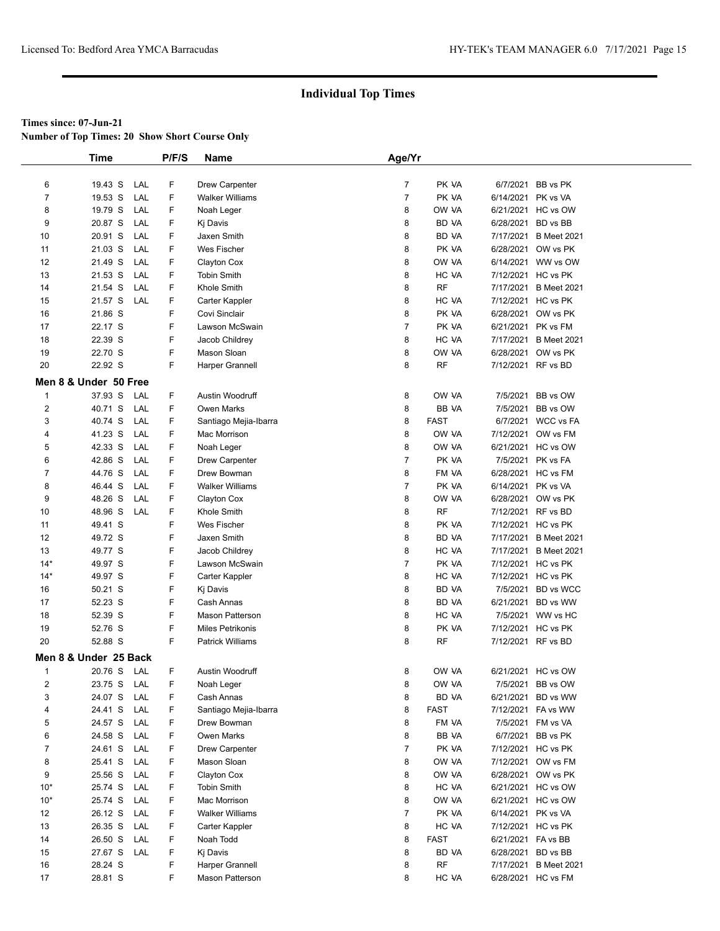**Number of Top Times: 20 Show Short Course Only**

|                | <b>Time</b>           |            | P/F/S | <b>Name</b>                           | Age/Yr         |                    |                    |                                          |
|----------------|-----------------------|------------|-------|---------------------------------------|----------------|--------------------|--------------------|------------------------------------------|
|                |                       |            |       |                                       |                |                    |                    |                                          |
| 6              | 19.43 S               | LAL        | F     | <b>Drew Carpenter</b>                 | $\overline{7}$ | PK VA              | 6/7/2021           | BB vs PK                                 |
| $\overline{7}$ | 19.53 S               | LAL        | F     | <b>Walker Williams</b>                | $\overline{7}$ | PK VA              | 6/14/2021          | PK vs VA                                 |
| 8              | 19.79 S               | LAL        | F     | Noah Leger                            | 8              | OW VA              |                    | 6/21/2021 HC vs OW                       |
| 9              | 20.87 S               | LAL        | F     | Kj Davis                              | 8              | BD VA              | 6/28/2021          | BD vs BB                                 |
| 10             | 20.91 S               | LAL        | F     | Jaxen Smith                           | 8              | BD VA              |                    | 7/17/2021 B Meet 2021                    |
| 11             | 21.03 S               | LAL        | F     | Wes Fischer                           | 8              | PK VA              |                    | 6/28/2021 OW vs PK                       |
| 12             | 21.49 S               | LAL        | F     | Clayton Cox                           | 8              | OW VA              | 6/14/2021          | WW vs OW                                 |
| 13             | 21.53 S               | LAL        | F     | <b>Tobin Smith</b>                    | 8              | HC VA              | 7/12/2021          | HC vs PK                                 |
| 14             | 21.54 S               | LAL        | F     | Khole Smith                           | 8              | <b>RF</b>          | 7/17/2021          | <b>B</b> Meet 2021                       |
| 15             | 21.57 S               | LAL        | F     | Carter Kappler                        | 8              | HC VA              |                    | 7/12/2021 HC vs PK                       |
| 16             | 21.86 S               |            | F     | Covi Sinclair                         | 8              | PK VA              |                    | 6/28/2021 OW vs PK                       |
| 17             | 22.17 S               |            | F     | Lawson McSwain                        | $\overline{7}$ | PK VA              |                    | 6/21/2021 PK vs FM                       |
| 18             | 22.39 S               |            | F     | Jacob Childrey                        | 8              | HC VA              | 7/17/2021          | <b>B</b> Meet 2021                       |
| 19             | 22.70 S               |            | F     | Mason Sloan                           | 8              | OW VA              | 6/28/2021          | OW vs PK                                 |
| 20             | 22.92 S               |            | F     | Harper Grannell                       | 8              | <b>RF</b>          | 7/12/2021 RF vs BD |                                          |
|                | Men 8 & Under 50 Free |            |       |                                       |                |                    |                    |                                          |
| $\mathbf{1}$   | 37.93 S               | LAL        | F     | Austin Woodruff                       | 8              | OW VA              | 7/5/2021           | BB vs OW                                 |
| $\overline{2}$ | 40.71 S               | LAL        | F     | Owen Marks                            | 8              | BB VA              | 7/5/2021           | BB vs OW                                 |
| 3              | 40.74 S               | LAL        | F     |                                       | 8              | <b>FAST</b>        |                    | 6/7/2021 WCC vs FA                       |
| 4              | 41.23 S               | LAL        | F     | Santiago Mejia-Ibarra<br>Mac Morrison | 8              | OW VA              |                    | 7/12/2021 OW vs FM                       |
| 5              | 42.33 S               | LAL        | F     | Noah Leger                            | 8              | OW VA              |                    | 6/21/2021 HC vs OW                       |
|                | 42.86 S               | LAL        | F     |                                       | $\overline{7}$ | PK VA              |                    | 7/5/2021 PK vs FA                        |
| 6<br>7         | 44.76 S               | LAL        | F     | <b>Drew Carpenter</b><br>Drew Bowman  | 8              | FM VA              | 6/28/2021          | HC vs FM                                 |
|                |                       | LAL        | F     |                                       | 7              |                    | 6/14/2021 PK vs VA |                                          |
| 8              | 46.44 S               |            | F     | <b>Walker Williams</b>                |                | PK VA              |                    |                                          |
| 9<br>10        | 48.26 S<br>48.96 S    | LAL<br>LAL | F     | Clayton Cox<br>Khole Smith            | 8<br>8         | OW VA<br><b>RF</b> | 7/12/2021 RF vs BD | 6/28/2021 OW vs PK                       |
|                |                       |            | F     |                                       |                |                    |                    |                                          |
| 11<br>12       | 49.41 S<br>49.72 S    |            | F     | Wes Fischer<br>Jaxen Smith            | 8<br>8         | PK VA<br>BD VA     | 7/17/2021          | 7/12/2021 HC vs PK<br><b>B</b> Meet 2021 |
| 13             | 49.77 S               |            | F     | Jacob Childrey                        | 8              | HC VA              | 7/17/2021          | <b>B</b> Meet 2021                       |
| $14*$          | 49.97 S               |            | F     | Lawson McSwain                        | 7              | PK VA              |                    | 7/12/2021 HC vs PK                       |
| $14*$          | 49.97 S               |            | F     | Carter Kappler                        | 8              | HC VA              |                    | 7/12/2021 HC vs PK                       |
| 16             | 50.21 S               |            | F     | Kj Davis                              | 8              | BD VA              | 7/5/2021           | <b>BD</b> vs WCC                         |
| 17             | 52.23 S               |            | F     | Cash Annas                            | 8              | BD VA              | 6/21/2021          | BD vs WW                                 |
| 18             | 52.39 S               |            | F     | <b>Mason Patterson</b>                | 8              | HC VA              |                    | 7/5/2021 WW vs HC                        |
| 19             | 52.76 S               |            | F     | <b>Miles Petrikonis</b>               | 8              | PK VA              |                    | 7/12/2021 HC vs PK                       |
| 20             | 52.88 S               |            | F     | <b>Patrick Williams</b>               | 8              | RF                 | 7/12/2021 RF vs BD |                                          |
|                |                       |            |       |                                       |                |                    |                    |                                          |
|                | Men 8 & Under 25 Back |            |       |                                       |                |                    |                    |                                          |
| $\mathbf{1}$   | 20.76 S LAL           |            | F     | Austin Woodruff                       | 8              | OW VA              |                    | 6/21/2021 HC vs OW                       |
| 2              | 23.75 S               | LAL        | F     | Noah Leger                            | 8              | OW VA              |                    | 7/5/2021 BB vs OW                        |
| 3              | 24.07 S               | LAL        | F     | Cash Annas                            | 8              | <b>BD VA</b>       | 6/21/2021          | BD vs WW                                 |
| 4              | 24.41 S               | LAL        | F     | Santiago Mejia-Ibarra                 | 8              | <b>FAST</b>        |                    | 7/12/2021 FA vs WW                       |
| 5              | 24.57 S               | LAL        | F     | Drew Bowman                           | 8              | FM VA              |                    | 7/5/2021 FM vs VA                        |
| 6              | 24.58 S               | LAL        | F     | Owen Marks                            | 8              | BB VA              |                    | 6/7/2021 BB vs PK                        |
| 7              | 24.61 S               | LAL        | F     | <b>Drew Carpenter</b>                 | 7              | PK VA              | 7/12/2021          | HC vs PK                                 |
| 8              | 25.41 S               | LAL        | F     | Mason Sloan                           | 8              | OW VA              |                    | 7/12/2021 OW vs FM                       |
| 9              | 25.56 S               | LAL        | F     | Clayton Cox                           | 8              | OW VA              |                    | 6/28/2021 OW vs PK                       |
| $10*$          | 25.74 S               | LAL        | F     | <b>Tobin Smith</b>                    | 8              | HC VA              |                    | 6/21/2021 HC vs OW                       |
| $10*$          | 25.74 S               | LAL        | F     | Mac Morrison                          | 8              | OW VA              |                    | 6/21/2021 HC vs OW                       |
| 12             | 26.12 S               | LAL        | F     | <b>Walker Williams</b>                | $\overline{7}$ | PK VA              | 6/14/2021 PK vs VA |                                          |
| 13             | 26.35 S               | LAL        | F     | Carter Kappler                        | 8              | HC VA              |                    | 7/12/2021 HC vs PK                       |
| 14             | 26.50 S               | LAL        | F     | Noah Todd                             | 8              | <b>FAST</b>        | 6/21/2021 FA vs BB |                                          |
| 15             | 27.67 S               | LAL        | F     | Kj Davis                              | 8              | BD VA              | 6/28/2021 BD vs BB |                                          |
| 16             | 28.24 S               |            | F     | Harper Grannell                       | 8              | <b>RF</b>          | 7/17/2021          | <b>B Meet 2021</b>                       |
| 17             | 28.81 S               |            | F     | <b>Mason Patterson</b>                | 8              | HC VA              |                    | 6/28/2021 HC vs FM                       |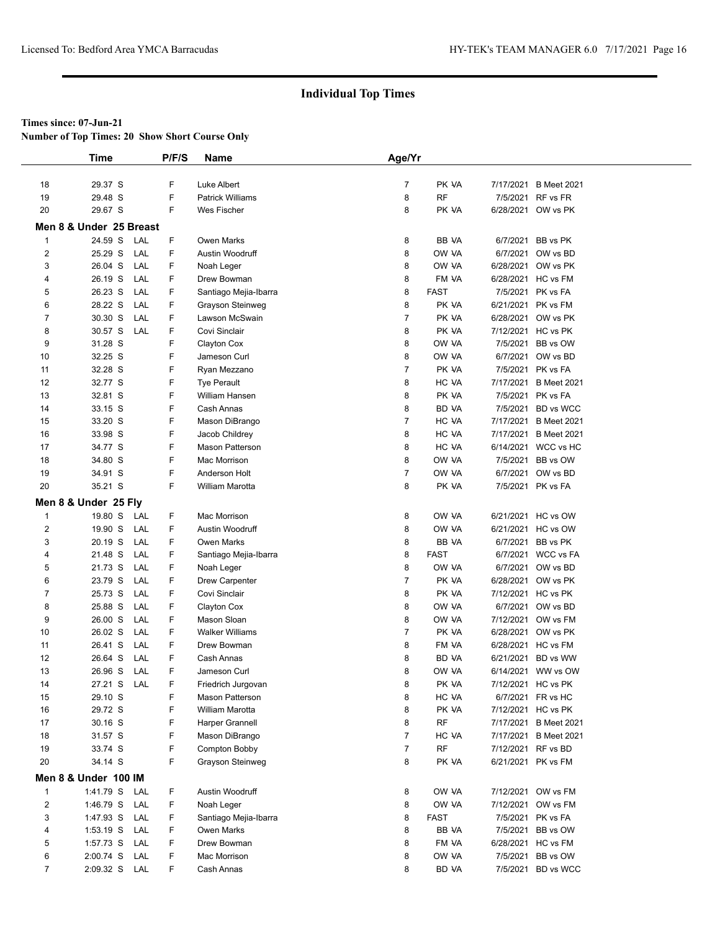**Number of Top Times: 20 Show Short Course Only**

|                | <b>Time</b>             | P/F/S | Name                    | Age/Yr         |              |                       |
|----------------|-------------------------|-------|-------------------------|----------------|--------------|-----------------------|
|                |                         |       |                         |                |              |                       |
| 18             | 29.37 S                 | F     | Luke Albert             | $\overline{7}$ | PK VA        | 7/17/2021 B Meet 2021 |
| 19             | 29.48 S                 | F     | <b>Patrick Williams</b> | 8              | <b>RF</b>    | 7/5/2021 RF vs FR     |
| 20             | 29.67 S                 | F     | <b>Wes Fischer</b>      | 8              | PK VA        | 6/28/2021 OW vs PK    |
|                | Men 8 & Under 25 Breast |       |                         |                |              |                       |
| $\mathbf{1}$   | 24.59 S<br>LAL          | F     | Owen Marks              | 8              | BB VA        | 6/7/2021 BB vs PK     |
| 2              | 25.29 S<br>LAL          | F.    | Austin Woodruff         | 8              | OW VA        | 6/7/2021 OW vs BD     |
| 3              | 26.04 S<br>LAL          | F.    | Noah Leger              | 8              | OW VA        | 6/28/2021 OW vs PK    |
| 4              | LAL<br>26.19 S          | F     | Drew Bowman             | 8              | FM VA        | 6/28/2021 HC vs FM    |
| 5              | LAL<br>26.23 S          | F     | Santiago Mejia-Ibarra   | 8              | <b>FAST</b>  | 7/5/2021 PK vs FA     |
| 6              | 28.22 S<br>LAL          | F     | Grayson Steinweg        | 8              | PK VA        | 6/21/2021 PK vs FM    |
| $\overline{7}$ | 30.30 S<br>LAL          | F     | Lawson McSwain          | $\overline{7}$ | PK VA        | 6/28/2021 OW vs PK    |
| 8              | 30.57 S<br>LAL          | F     | Covi Sinclair           | 8              | PK VA        | 7/12/2021 HC vs PK    |
| 9              | 31.28 S                 | F     | Clayton Cox             | 8              | OW VA        | 7/5/2021 BB vs OW     |
| 10             | 32.25 S                 | F     | Jameson Curl            | 8              | OW VA        | 6/7/2021 OW vs BD     |
| 11             | 32.28 S                 | F     | Ryan Mezzano            | $\overline{7}$ | PK VA        | 7/5/2021 PK vs FA     |
| 12             | 32.77 S                 | F     | <b>Tye Perault</b>      | 8              | HC VA        | 7/17/2021 B Meet 2021 |
| 13             | 32.81 S                 | F     | William Hansen          | 8              | PK VA        | 7/5/2021 PK vs FA     |
| 14             | 33.15 S                 | F     | Cash Annas              | 8              | <b>BD VA</b> | 7/5/2021 BD vs WCC    |
| 15             | 33.20 S                 | F     | Mason DiBrango          | 7              | HC VA        | 7/17/2021 B Meet 2021 |
| 16             | 33.98 S                 | F     | Jacob Childrey          | 8              | HC VA        | 7/17/2021 B Meet 2021 |
| 17             | 34.77 S                 | F     | Mason Patterson         | 8              | HC VA        | 6/14/2021 WCC vs HC   |
| 18             | 34.80 S                 | F     | Mac Morrison            | 8              | OW VA        | 7/5/2021 BB vs OW     |
| 19             | 34.91 S                 | F     | Anderson Holt           | $\overline{7}$ | OW VA        | 6/7/2021 OW vs BD     |
| 20             | 35.21 S                 | F     | <b>William Marotta</b>  | 8              | PK VA        | 7/5/2021 PK vs FA     |
|                | Men 8 & Under 25 Fly    |       |                         |                |              |                       |
| $\mathbf{1}$   | 19.80 S<br>LAL          | F     | Mac Morrison            | 8              | OW VA        | 6/21/2021 HC vs OW    |
| $\overline{2}$ | 19.90 S<br>LAL          | F     | Austin Woodruff         | 8              | OW VA        | 6/21/2021 HC vs OW    |
| 3              | 20.19 S<br>LAL          | F     | Owen Marks              | 8              | BB VA        | 6/7/2021 BB vs PK     |
| 4              | LAL<br>21.48 S          | F.    | Santiago Mejia-Ibarra   | 8              | <b>FAST</b>  | 6/7/2021 WCC vs FA    |
| 5              | LAL<br>21.73 S          | F     | Noah Leger              | 8              | OW VA        | 6/7/2021 OW vs BD     |
| 6              | 23.79 S<br>LAL          | F     | <b>Drew Carpenter</b>   | $\overline{7}$ | PK VA        | 6/28/2021 OW vs PK    |
| 7              | 25.73 S<br>LAL          | F.    | Covi Sinclair           | 8              | PK VA        | 7/12/2021 HC vs PK    |
| 8              | 25.88 S<br>LAL          | F.    | Clayton Cox             | 8              | OW VA        | 6/7/2021 OW vs BD     |
| 9              | 26.00 S<br>LAL          | F.    | Mason Sloan             | 8              | OW VA        | 7/12/2021 OW vs FM    |
| 10             | LAL<br>26.02 S          | F.    | <b>Walker Williams</b>  | 7              | PK VA        | 6/28/2021 OW vs PK    |
| 11             | 26.41 S<br>LAL          | F     | Drew Bowman             | 8              | FM VA        | 6/28/2021 HC vs FM    |
| 12             | 26.64 S<br>LAL          | F     | Cash Annas              | 8              | BD VA        | 6/21/2021 BD vs WW    |
| 13             | 26.96 S<br>LAL          | F     | Jameson Curl            | 8              | OW VA        | 6/14/2021 WW vs OW    |
| 14             | 27.21 S LAL             | F     | Friedrich Jurgovan      | 8              | PK VA        | 7/12/2021 HC vs PK    |
| 15             | 29.10 S                 | F     | Mason Patterson         | 8              | HC VA        | 6/7/2021 FR vs HC     |
| 16             | 29.72 S                 | F     | William Marotta         | 8              | PK VA        | 7/12/2021 HC vs PK    |
| 17             | 30.16 S                 | F     | Harper Grannell         | 8              | <b>RF</b>    | 7/17/2021 B Meet 2021 |
| 18             | 31.57 S                 | F     | Mason DiBrango          | 7              | HC VA        | 7/17/2021 B Meet 2021 |
| 19             | 33.74 S                 | F     | Compton Bobby           | 7              | <b>RF</b>    | 7/12/2021 RF vs BD    |
| 20             | 34.14 S                 | F     | Grayson Steinweg        | 8              | PK VA        | 6/21/2021 PK vs FM    |
|                | Men 8 & Under 100 IM    |       |                         |                |              |                       |
| $\mathbf{1}$   | 1:41.79 S<br>LAL        | F     | Austin Woodruff         | 8              | OW VA        | 7/12/2021 OW vs FM    |
| $\overline{2}$ | 1:46.79 S<br>LAL        | F     | Noah Leger              | 8              | OW VA        | 7/12/2021 OW vs FM    |
| 3              | 1:47.93 S<br>LAL        | F     | Santiago Mejia-Ibarra   | 8              | <b>FAST</b>  | 7/5/2021 PK vs FA     |
| 4              | 1:53.19 S<br>LAL        | F     | Owen Marks              | 8              | BB VA        | 7/5/2021 BB vs OW     |
| 5              | LAL<br>1:57.73 S        | F.    | Drew Bowman             | 8              | FM VA        | 6/28/2021 HC vs FM    |
| 6              | 2:00.74 S<br>LAL        | F     | Mac Morrison            | 8              | OW VA        | 7/5/2021 BB vs OW     |
| $\overline{7}$ | 2:09.32 S LAL           | F.    | Cash Annas              | 8              | BD VA        | 7/5/2021 BD vs WCC    |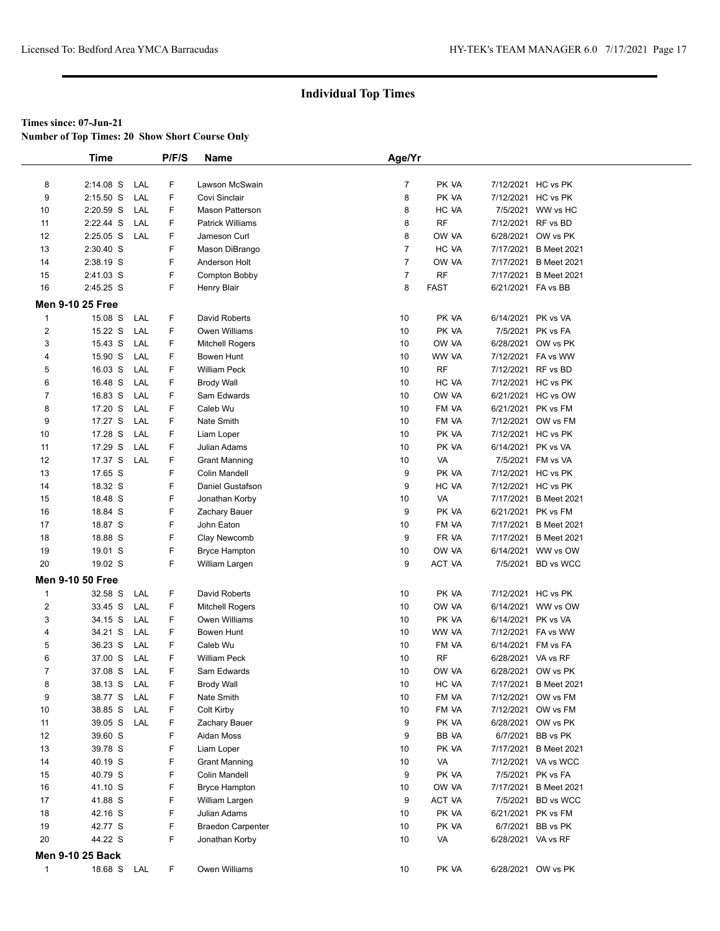**Number of Top Times: 20 Show Short Course Only**

|                | <b>Time</b>             |     | P/F/S | Name                     | Age/Yr         |             |                    |                       |  |
|----------------|-------------------------|-----|-------|--------------------------|----------------|-------------|--------------------|-----------------------|--|
|                |                         |     |       |                          |                |             |                    |                       |  |
| 8              | $2:14.08$ S             | LAL | F     | Lawson McSwain           | $\overline{7}$ | PK VA       | 7/12/2021 HC vs PK |                       |  |
| 9              | $2:15.50$ S             | LAL | F     | Covi Sinclair            | 8              | PK VA       | 7/12/2021 HC vs PK |                       |  |
| 10             | 2:20.59 S               | LAL | F     | <b>Mason Patterson</b>   | 8              | HC VA       |                    | 7/5/2021 WW vs HC     |  |
| 11             | 2:22.44 S               | LAL | F     | <b>Patrick Williams</b>  | 8              | <b>RF</b>   | 7/12/2021 RF vs BD |                       |  |
| 12             | $2:25.05$ S             | LAL | F     | Jameson Curl             | 8              | OW VA       |                    | 6/28/2021 OW vs PK    |  |
| 13             | 2:30.40 S               |     | F     | Mason DiBrango           | $\overline{7}$ | HC VA       |                    | 7/17/2021 B Meet 2021 |  |
| 14             | 2:38.19 S               |     | F     | Anderson Holt            | $\overline{7}$ | OW VA       |                    | 7/17/2021 B Meet 2021 |  |
| 15             | 2:41.03 S               |     | F     | Compton Bobby            | $\overline{7}$ | <b>RF</b>   | 7/17/2021          | <b>B</b> Meet 2021    |  |
| 16             | 2:45.25 S               |     | F     | Henry Blair              | 8              | <b>FAST</b> | 6/21/2021 FA vs BB |                       |  |
|                | <b>Men 9-10 25 Free</b> |     |       |                          |                |             |                    |                       |  |
| $\mathbf{1}$   | 15.08 S                 | LAL | F     | David Roberts            | 10             | PK VA       | 6/14/2021 PK vs VA |                       |  |
| 2              | 15.22 S                 | LAL | F     | Owen Williams            | 10             | PK VA       |                    | 7/5/2021 PK vs FA     |  |
| 3              | 15.43 S                 | LAL | F     | <b>Mitchell Rogers</b>   | 10             | OW VA       |                    | 6/28/2021 OW vs PK    |  |
| 4              | 15.90 S                 | LAL | F     | Bowen Hunt               | 10             | WW VA       |                    | 7/12/2021 FA vs WW    |  |
| 5              | 16.03 S                 | LAL | F     | <b>William Peck</b>      | 10             | <b>RF</b>   | 7/12/2021 RF vs BD |                       |  |
| 6              | 16.48 S                 | LAL | F     | <b>Brody Wall</b>        | 10             | HC VA       | 7/12/2021 HC vs PK |                       |  |
| $\overline{7}$ | 16.83 S                 | LAL | F     | Sam Edwards              | 10             | OW VA       |                    | 6/21/2021 HC vs OW    |  |
| 8              | 17.20 S                 | LAL | F     | Caleb Wu                 | 10             | FM VA       | 6/21/2021 PK vs FM |                       |  |
| 9              | 17.27 S                 | LAL | F     | Nate Smith               | 10             | FM VA       |                    | 7/12/2021 OW vs FM    |  |
| 10             | 17.28 S                 | LAL | F     | Liam Loper               | 10             | PK VA       | 7/12/2021 HC vs PK |                       |  |
| 11             | 17.29 S                 | LAL | F     | Julian Adams             | 10             | PK VA       | 6/14/2021 PK vs VA |                       |  |
| 12             | 17.37 S                 | LAL | F     | <b>Grant Manning</b>     | 10             | VA          |                    | 7/5/2021 FM vs VA     |  |
| 13             | 17.65 S                 |     | F     | Colin Mandell            | 9              | PK VA       | 7/12/2021 HC vs PK |                       |  |
| 14             | 18.32 S                 |     | F     | Daniel Gustafson         | 9              | HC VA       | 7/12/2021 HC vs PK |                       |  |
| 15             | 18.48 S                 |     | F     | Jonathan Korby           | 10             | VA          |                    | 7/17/2021 B Meet 2021 |  |
| 16             | 18.84 S                 |     | F     | Zachary Bauer            | 9              | PK VA       | 6/21/2021 PK vs FM |                       |  |
| 17             | 18.87 S                 |     | F     | John Eaton               | 10             | FM VA       |                    | 7/17/2021 B Meet 2021 |  |
| 18             | 18.88 S                 |     | F     | Clay Newcomb             | 9              | FR VA       |                    | 7/17/2021 B Meet 2021 |  |
| 19             | 19.01 S                 |     | F     | <b>Bryce Hampton</b>     | 10             | OW VA       |                    | 6/14/2021 WW vs OW    |  |
| 20             | 19.02 S                 |     | F     | William Largen           | 9              | ACT VA      |                    | 7/5/2021 BD vs WCC    |  |
|                |                         |     |       |                          |                |             |                    |                       |  |
|                | <b>Men 9-10 50 Free</b> |     |       |                          |                |             |                    |                       |  |
| $\mathbf{1}$   | 32.58 S                 | LAL | F     | David Roberts            | 10             | PK VA       | 7/12/2021 HC vs PK |                       |  |
| $\overline{2}$ | 33.45 S                 | LAL | F     | <b>Mitchell Rogers</b>   | 10             | OW VA       |                    | 6/14/2021 WW vs OW    |  |
| 3              | 34.15 S                 | LAL | F     | Owen Williams            | 10             | PK VA       | 6/14/2021 PK vs VA |                       |  |
| 4              | 34.21 S                 | LAL | F     | Bowen Hunt               | 10             | WW VA       |                    | 7/12/2021 FA vs WW    |  |
| 5              | 36.23 S                 | LAL | F     | Caleb Wu                 | 10             | FM VA       | 6/14/2021 FM vs FA |                       |  |
| 6              | 37.00 S                 | LAL | F     | <b>William Peck</b>      | 10             | RF          | 6/28/2021 VA vs RF |                       |  |
| $\overline{7}$ | 37.08 S                 | LAL | F     | Sam Edwards              | 10             | OW VA       |                    | 6/28/2021 OW vs PK    |  |
| 8              | 38.13 S                 | LAL | F     | <b>Brody Wall</b>        | 10             | HC VA       |                    | 7/17/2021 B Meet 2021 |  |
| 9              | 38.77 S                 | LAL | F     | Nate Smith               | 10             | FM VA       |                    | 7/12/2021 OW vs FM    |  |
| 10             | 38.85 S                 | LAL | F     | Colt Kirby               | 10             | FM VA       |                    | 7/12/2021 OW vs FM    |  |
| 11             | 39.05 S                 | LAL | F     | Zachary Bauer            | 9              | PK VA       |                    | 6/28/2021 OW vs PK    |  |
| 12             | 39.60 S                 |     | F     | Aidan Moss               | 9              | BB VA       |                    | 6/7/2021 BB vs PK     |  |
| 13             | 39.78 S                 |     | F     | Liam Loper               | 10             | PK VA       |                    | 7/17/2021 B Meet 2021 |  |
| 14             | 40.19 S                 |     | F     | <b>Grant Manning</b>     | 10             | VA          |                    | 7/12/2021 VA vs WCC   |  |
| 15             | 40.79 S                 |     | F     | Colin Mandell            | 9              | PK VA       |                    | 7/5/2021 PK vs FA     |  |
| 16             | 41.10 S                 |     | F     | <b>Bryce Hampton</b>     | 10             | OW VA       |                    | 7/17/2021 B Meet 2021 |  |
| 17             | 41.88 S                 |     | F     | William Largen           | 9              | ACT VA      |                    | 7/5/2021 BD vs WCC    |  |
| 18             | 42.16 S                 |     | F     | Julian Adams             | 10             | PK VA       | 6/21/2021 PK vs FM |                       |  |
| 19             | 42.77 S                 |     | F     | <b>Braedon Carpenter</b> | 10             | PK VA       |                    | 6/7/2021 BB vs PK     |  |
| 20             | 44.22 S                 |     | F     | Jonathan Korby           | 10             | VA          | 6/28/2021 VA vs RF |                       |  |
|                | <b>Men 9-10 25 Back</b> |     |       |                          |                |             |                    |                       |  |
| $\mathbf{1}$   | 18.68 S LAL             |     | F.    | Owen Williams            | 10             | PK VA       |                    | 6/28/2021 OW vs PK    |  |
|                |                         |     |       |                          |                |             |                    |                       |  |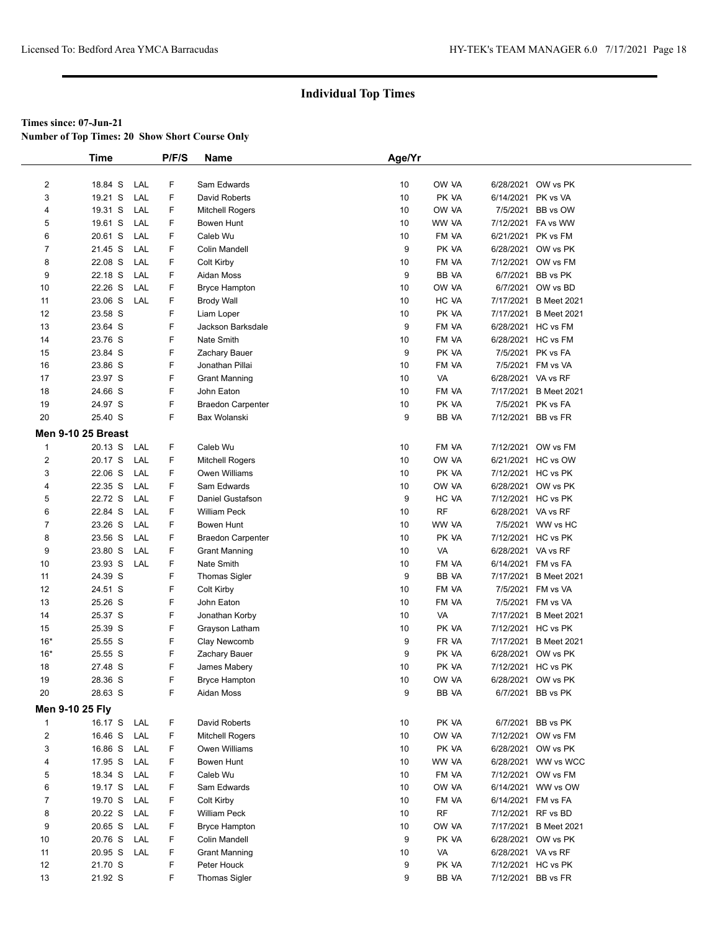**Number of Top Times: 20 Show Short Course Only**

|                           | <b>Time</b> |     | P/F/S | Name                     | Age/Yr |           |                    |                       |
|---------------------------|-------------|-----|-------|--------------------------|--------|-----------|--------------------|-----------------------|
|                           |             |     |       |                          |        |           |                    |                       |
| $\overline{c}$            | 18.84 S     | LAL | F     | Sam Edwards              | 10     | OW VA     |                    | 6/28/2021 OW vs PK    |
| 3                         | 19.21 S     | LAL | F     | David Roberts            | 10     | PK VA     | 6/14/2021 PK vs VA |                       |
| 4                         | 19.31 S     | LAL | F     | Mitchell Rogers          | 10     | OW VA     |                    | 7/5/2021 BB vs OW     |
| 5                         | 19.61 S     | LAL | F     | Bowen Hunt               | 10     | WW VA     |                    | 7/12/2021 FA vs WW    |
| 6                         | 20.61 S     | LAL | F     | Caleb Wu                 | 10     | FM VA     | 6/21/2021 PK vs FM |                       |
| $\overline{7}$            | 21.45 S     | LAL | F     | Colin Mandell            | 9      | PK VA     |                    | 6/28/2021 OW vs PK    |
| 8                         | 22.08 S     | LAL | F     | Colt Kirby               | 10     | FM VA     |                    | 7/12/2021 OW vs FM    |
| 9                         | 22.18 S     | LAL | F     | Aidan Moss               | 9      | BB VA     |                    | 6/7/2021 BB vs PK     |
| 10                        | 22.26 S     | LAL | F     | <b>Bryce Hampton</b>     | 10     | OW VA     |                    | 6/7/2021 OW vs BD     |
| 11                        | 23.06 S     | LAL | F     | <b>Brody Wall</b>        | 10     | HC VA     |                    | 7/17/2021 B Meet 2021 |
| 12                        | 23.58 S     |     | F     | Liam Loper               | 10     | PK VA     |                    | 7/17/2021 B Meet 2021 |
| 13                        | 23.64 S     |     | F     | Jackson Barksdale        | 9      | FM VA     | 6/28/2021 HC vs FM |                       |
| 14                        | 23.76 S     |     | F     | Nate Smith               | 10     | FM VA     |                    | 6/28/2021 HC vs FM    |
| 15                        | 23.84 S     |     | F     | Zachary Bauer            | 9      | PK VA     |                    | 7/5/2021 PK vs FA     |
| 16                        | 23.86 S     |     | F     | Jonathan Pillai          | 10     | FM VA     |                    | 7/5/2021 FM vs VA     |
| 17                        | 23.97 S     |     | F     | <b>Grant Manning</b>     | 10     | VA        | 6/28/2021 VA vs RF |                       |
| 18                        | 24.66 S     |     | F     | John Eaton               | 10     | FM VA     |                    | 7/17/2021 B Meet 2021 |
| 19                        | 24.97 S     |     | F     | <b>Braedon Carpenter</b> | 10     | PK VA     |                    | 7/5/2021 PK vs FA     |
| 20                        | 25.40 S     |     | F     | Bax Wolanski             | 9      | BB VA     | 7/12/2021 BB vs FR |                       |
| <b>Men 9-10 25 Breast</b> |             |     |       |                          |        |           |                    |                       |
| $\mathbf{1}$              | 20.13 S     | LAL | F     | Caleb Wu                 | 10     | FM VA     |                    | 7/12/2021 OW vs FM    |
| $\overline{2}$            | 20.17 S     | LAL | F     | Mitchell Rogers          | 10     | OW VA     |                    | 6/21/2021 HC vs OW    |
| 3                         | 22.06 S     | LAL | F     | Owen Williams            | 10     | PK VA     | 7/12/2021 HC vs PK |                       |
| 4                         | 22.35 S     | LAL | F     | Sam Edwards              | 10     | OW VA     |                    | 6/28/2021 OW vs PK    |
| 5                         | 22.72 S     | LAL | F     | Daniel Gustafson         | 9      | HC VA     | 7/12/2021 HC vs PK |                       |
| 6                         | 22.84 S     | LAL | F     | <b>William Peck</b>      | 10     | <b>RF</b> | 6/28/2021 VA vs RF |                       |
| $\overline{7}$            | 23.26 S     | LAL | F     | Bowen Hunt               | 10     | WW VA     |                    | 7/5/2021 WW vs HC     |
| 8                         | 23.56 S     | LAL | F     | <b>Braedon Carpenter</b> | 10     | PK VA     | 7/12/2021 HC vs PK |                       |
| 9                         | 23.80 S     | LAL | F     | <b>Grant Manning</b>     | 10     | VA        | 6/28/2021 VA vs RF |                       |
| 10                        | 23.93 S     | LAL | F     | Nate Smith               | 10     | FM VA     | 6/14/2021 FM vs FA |                       |
| 11                        | 24.39 S     |     | F     | <b>Thomas Sigler</b>     | 9      | BB VA     |                    | 7/17/2021 B Meet 2021 |
| 12                        | 24.51 S     |     | F     | Colt Kirby               | 10     | FM VA     |                    | 7/5/2021 FM vs VA     |
| 13                        | 25.26 S     |     | F     | John Eaton               | 10     | FM VA     |                    | 7/5/2021 FM vs VA     |
| 14                        | 25.37 S     |     | F     | Jonathan Korby           | 10     | VA        |                    | 7/17/2021 B Meet 2021 |
| 15                        | 25.39 S     |     | F     | Grayson Latham           | 10     | PK VA     | 7/12/2021 HC vs PK |                       |
| $16*$                     | 25.55 S     |     | F     | Clay Newcomb             | 9      | FR VA     |                    | 7/17/2021 B Meet 2021 |
| $16*$                     | 25.55 S     |     | F     | Zachary Bauer            | 9      | PK VA     |                    | 6/28/2021 OW vs PK    |
| 18                        | 27.48 S     |     | F     | James Mabery             | 10     | PK VA     | 7/12/2021 HC vs PK |                       |
| 19                        | 28.36 S     |     |       | <b>Bryce Hampton</b>     | 10     | OW VA     |                    | 6/28/2021 OW vs PK    |
| 20                        | 28.63 S     |     | F     | Aidan Moss               | 9      | BB VA     |                    | 6/7/2021 BB vs PK     |
| Men 9-10 25 Fly           |             |     |       |                          |        |           |                    |                       |
| $\mathbf{1}$              | 16.17 S     | LAL | F     | David Roberts            | 10     | PK VA     |                    | 6/7/2021 BB vs PK     |
| $\overline{2}$            | 16.46 S     | LAL | F     | <b>Mitchell Rogers</b>   | 10     | OW VA     |                    | 7/12/2021 OW vs FM    |
| 3                         | 16.86 S     | LAL | F     | Owen Williams            | 10     | PK VA     |                    | 6/28/2021 OW vs PK    |
| 4                         | 17.95 S     | LAL | F     | Bowen Hunt               | 10     | WW VA     |                    | 6/28/2021 WW vs WCC   |
| 5                         | 18.34 S     | LAL | F     | Caleb Wu                 | 10     | FM VA     |                    | 7/12/2021 OW vs FM    |
| 6                         | 19.17 S     | LAL | F     | Sam Edwards              | 10     | OW VA     |                    | 6/14/2021 WW vs OW    |
| $\overline{7}$            | 19.70 S     | LAL | F     | Colt Kirby               | 10     | FM VA     | 6/14/2021 FM vs FA |                       |
| 8                         | 20.22 S     | LAL | F     | William Peck             | 10     | RF        | 7/12/2021 RF vs BD |                       |
| 9                         | 20.65 S     | LAL | F     | <b>Bryce Hampton</b>     | 10     | OW VA     |                    | 7/17/2021 B Meet 2021 |
| 10                        | 20.76 S     | LAL | F     | Colin Mandell            | 9      | PK VA     |                    | 6/28/2021 OW vs PK    |
| 11                        | 20.95 S     | LAL | F     | <b>Grant Manning</b>     | 10     | VA        | 6/28/2021 VA vs RF |                       |
| 12                        | 21.70 S     |     | F     | Peter Houck              | 9      | PK VA     |                    | 7/12/2021 HC vs PK    |
| 13                        | 21.92 S     |     | F     | <b>Thomas Sigler</b>     | 9      | BB VA     | 7/12/2021 BB vs FR |                       |
|                           |             |     |       |                          |        |           |                    |                       |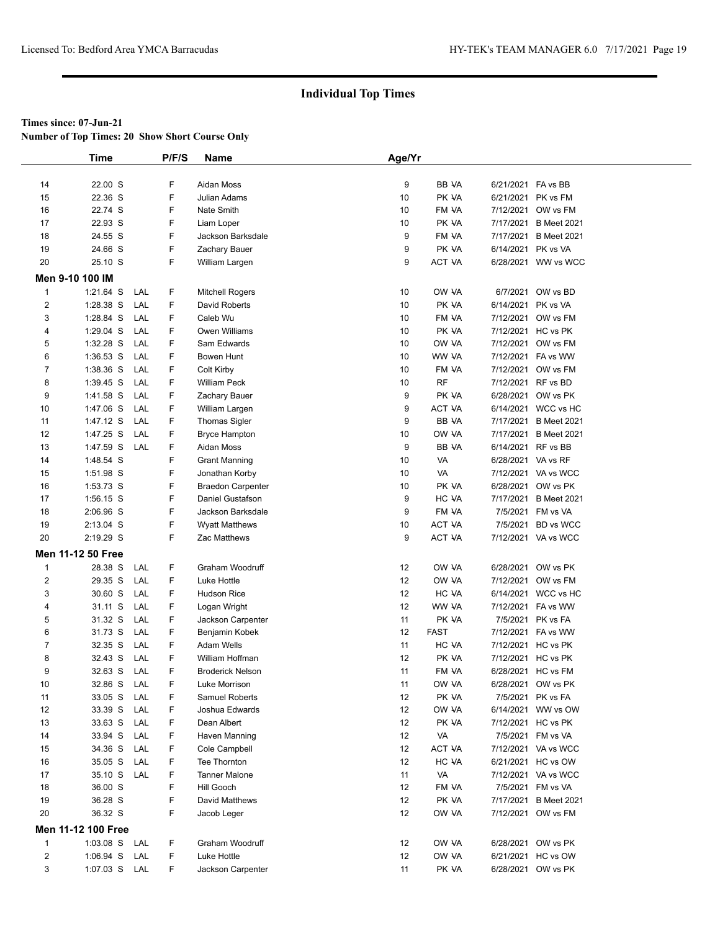**Number of Top Times: 20 Show Short Course Only**

|              | <b>Time</b>        |     | P/F/S | Name                     | Age/Yr |               |                    |                       |  |
|--------------|--------------------|-----|-------|--------------------------|--------|---------------|--------------------|-----------------------|--|
|              |                    |     |       |                          |        |               |                    |                       |  |
| 14           | 22.00 S            |     | F     | Aidan Moss               | 9      | BB VA         | 6/21/2021 FA vs BB |                       |  |
| 15           | 22.36 S            |     | F     | Julian Adams             | 10     | PK VA         | 6/21/2021 PK vs FM |                       |  |
| 16           | 22.74 S            |     | F     | Nate Smith               | 10     | FM VA         | 7/12/2021          | OW vs FM              |  |
| 17           | 22.93 S            |     | F     | Liam Loper               | 10     | PK VA         | 7/17/2021          | <b>B</b> Meet 2021    |  |
| 18           | 24.55 S            |     | F     | Jackson Barksdale        | 9      | FM VA         | 7/17/2021          | <b>B</b> Meet 2021    |  |
| 19           | 24.66 S            |     | F     | Zachary Bauer            | 9      | PK VA         | 6/14/2021 PK vs VA |                       |  |
| 20           | 25.10 S            |     | F     | William Largen           | 9      | ACT VA        |                    | 6/28/2021 WW vs WCC   |  |
|              | Men 9-10 100 IM    |     |       |                          |        |               |                    |                       |  |
| $\mathbf{1}$ | $1:21.64$ S        | LAL | F.    | <b>Mitchell Rogers</b>   | 10     | OW VA         |                    | 6/7/2021 OW vs BD     |  |
| 2            | $1:28.38$ S        | LAL | F     | David Roberts            | 10     | PK VA         | 6/14/2021          | PK vs VA              |  |
| 3            | 1:28.84 S          | LAL | F     | Caleb Wu                 | 10     | FM VA         | 7/12/2021          | OW vs FM              |  |
| 4            | 1:29.04 S          | LAL | F     | Owen Williams            | 10     | PK VA         | 7/12/2021          | HC vs PK              |  |
| 5            | $1:32.28$ S        | LAL | F     | Sam Edwards              | 10     | OW VA         | 7/12/2021          | OW vs FM              |  |
| 6            | $1:36.53$ S        | LAL | F     | Bowen Hunt               | 10     | WW VA         |                    | 7/12/2021 FA vs WW    |  |
| 7            | 1:38.36 S          | LAL | F     | Colt Kirby               | 10     | FM VA         | 7/12/2021          | OW vs FM              |  |
| 8            | 1:39.45 S          | LAL | F     | William Peck             | 10     | <b>RF</b>     | 7/12/2021 RF vs BD |                       |  |
| 9            | 1:41.58 S          | LAL | F     | Zachary Bauer            | 9      | PK VA         | 6/28/2021          | OW vs PK              |  |
| 10           | 1:47.06 S          | LAL | F.    | William Largen           | 9      | <b>ACT VA</b> |                    | 6/14/2021 WCC vs HC   |  |
| 11           | $1:47.12$ S        | LAL | F     | <b>Thomas Sigler</b>     | 9      | BB VA         | 7/17/2021          | <b>B</b> Meet 2021    |  |
| 12           | 1:47.25 S          | LAL | F     | <b>Bryce Hampton</b>     | 10     | OW VA         | 7/17/2021          | <b>B</b> Meet 2021    |  |
| 13           | 1:47.59 S          | LAL | F     | <b>Aidan Moss</b>        | 9      | BB VA         | 6/14/2021 RF vs BB |                       |  |
| 14           | 1:48.54 S          |     | F     | <b>Grant Manning</b>     | 10     | VA            | 6/28/2021 VA vs RF |                       |  |
| 15           | 1:51.98 S          |     | F     | Jonathan Korby           | 10     | VA            |                    | 7/12/2021 VA vs WCC   |  |
| 16           | 1:53.73 S          |     | F     | <b>Braedon Carpenter</b> | 10     | PK VA         | 6/28/2021          | OW vs PK              |  |
| 17           | 1:56.15 S          |     | F     | Daniel Gustafson         | 9      | HC VA         | 7/17/2021          | <b>B</b> Meet 2021    |  |
| 18           | 2:06.96 S          |     | F     | Jackson Barksdale        | 9      | FM VA         |                    | 7/5/2021 FM vs VA     |  |
| 19           | 2:13.04 S          |     | F     | <b>Wyatt Matthews</b>    | 10     | ACT VA        | 7/5/2021           | <b>BD</b> vs WCC      |  |
| 20           | 2:19.29 S          |     | F.    | Zac Matthews             | 9      | <b>ACT VA</b> |                    | 7/12/2021 VA vs WCC   |  |
|              |                    |     |       |                          |        |               |                    |                       |  |
|              | Men 11-12 50 Free  |     |       |                          |        |               |                    |                       |  |
| $\mathbf 1$  | 28.38 S            | LAL | F     | Graham Woodruff          | 12     | OW VA         |                    | 6/28/2021 OW vs PK    |  |
| 2            | 29.35 S            | LAL | F     | Luke Hottle              | 12     | OW VA         | 7/12/2021          | OW vs FM              |  |
| 3            | 30.60 S            | LAL | F.    | <b>Hudson Rice</b>       | 12     | HC VA         |                    | 6/14/2021 WCC vs HC   |  |
| 4            | 31.11 S            | LAL | F     | Logan Wright             | 12     | WW VA         |                    | 7/12/2021 FA vs WW    |  |
| 5            | 31.32 S            | LAL | F.    | Jackson Carpenter        | 11     | PK VA         |                    | 7/5/2021 PK vs FA     |  |
| 6            | 31.73 S            | LAL | F     | Benjamin Kobek           | 12     | <b>FAST</b>   |                    | 7/12/2021 FA vs WW    |  |
| 7            | 32.35 S            | LAL | F     | Adam Wells               | 11     | HC VA         | 7/12/2021 HC vs PK |                       |  |
| 8            | 32.43 S            | LAL | F     | William Hoffman          | 12     | PK VA         | 7/12/2021 HC vs PK |                       |  |
| 9            | 32.63 S            | LAL | F.    | <b>Broderick Nelson</b>  | 11     | FM VA         | 6/28/2021 HC vs FM |                       |  |
| 10           | 32.86 S            | LAL | F     | Luke Morrison            | 11     | OW VA         |                    | 6/28/2021 OW vs PK    |  |
| 11           | 33.05 S            | LAL | F     | Samuel Roberts           | 12     | PK VA         |                    | 7/5/2021 PK vs FA     |  |
| 12           | 33.39 S            | LAL | F     | Joshua Edwards           | 12     | OW VA         |                    | 6/14/2021 WW vs OW    |  |
| 13           | 33.63 S            | LAL | F     | Dean Albert              | 12     | PK VA         | 7/12/2021 HC vs PK |                       |  |
| 14           | 33.94 S            | LAL | F     | Haven Manning            | 12     | VA            |                    | 7/5/2021 FM vs VA     |  |
| 15           | 34.36 S            | LAL | F     | Cole Campbell            | 12     | ACT VA        |                    | 7/12/2021 VA vs WCC   |  |
| 16           | 35.05 S            | LAL | F     | Tee Thornton             | 12     | HC VA         |                    | 6/21/2021 HC vs OW    |  |
| 17           | 35.10 S LAL        |     | F     | <b>Tanner Malone</b>     | 11     | VA            |                    | 7/12/2021 VA vs WCC   |  |
| 18           | 36.00 S            |     | F     | Hill Gooch               | 12     | FM VA         |                    | 7/5/2021 FM vs VA     |  |
| 19           | 36.28 S            |     | F     | David Matthews           | 12     | PK VA         |                    | 7/17/2021 B Meet 2021 |  |
| 20           | 36.32 S            |     | F     | Jacob Leger              | 12     | OW VA         |                    | 7/12/2021 OW vs FM    |  |
|              | Men 11-12 100 Free |     |       |                          |        |               |                    |                       |  |
| $\mathbf{1}$ | $1:03.08$ S        | LAL | F     | Graham Woodruff          | 12     | OW VA         |                    | 6/28/2021 OW vs PK    |  |
| 2            | $1:06.94$ S        | LAL | F     | Luke Hottle              | 12     | OW VA         |                    | 6/21/2021 HC vs OW    |  |
| 3            | 1:07.03 S LAL      |     | F     | Jackson Carpenter        | 11     | PK VA         |                    | 6/28/2021 OW vs PK    |  |
|              |                    |     |       |                          |        |               |                    |                       |  |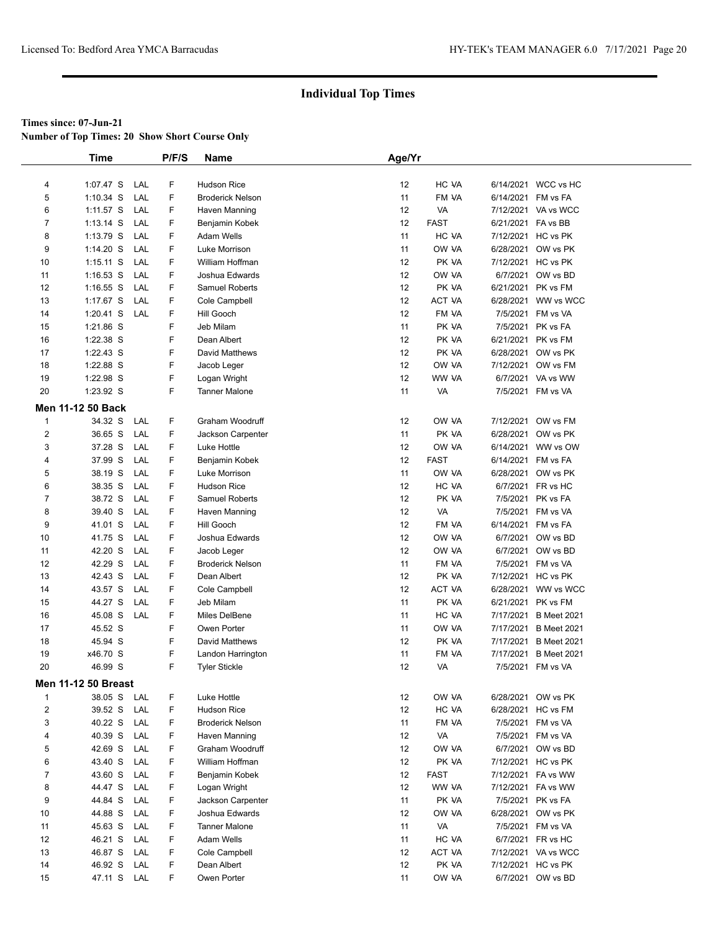**Number of Top Times: 20 Show Short Course Only**

|                | <b>Time</b>                |     | P/F/S  | Name                    | Age/Yr |             |                    |                       |
|----------------|----------------------------|-----|--------|-------------------------|--------|-------------|--------------------|-----------------------|
|                |                            |     |        |                         |        |             |                    |                       |
| 4              | 1:07.47 S                  | LAL | F      | <b>Hudson Rice</b>      | 12     | HC VA       |                    | 6/14/2021 WCC vs HC   |
| 5              | $1:10.34$ S                | LAL | F      | <b>Broderick Nelson</b> | 11     | FM VA       | 6/14/2021 FM vs FA |                       |
| 6              | 1:11.57 S                  | LAL | F      | Haven Manning           | 12     | VA          |                    | 7/12/2021 VA vs WCC   |
| $\overline{7}$ | 1:13.14 S                  | LAL | F      | Benjamin Kobek          | 12     | <b>FAST</b> | 6/21/2021 FA vs BB |                       |
| 8              | 1:13.79 S                  | LAL | F      | Adam Wells              | 11     | HC VA       |                    | 7/12/2021 HC vs PK    |
| 9              | $1:14.20$ S                | LAL | F      | Luke Morrison           | 11     | OW VA       |                    | 6/28/2021 OW vs PK    |
| 10             | 1:15.11 S                  | LAL | F      | William Hoffman         | 12     | PK VA       |                    | 7/12/2021 HC vs PK    |
| 11             | $1:16.53$ S                | LAL | F      | Joshua Edwards          | 12     | OW VA       |                    | 6/7/2021 OW vs BD     |
| 12             | $1:16.55$ S                | LAL | F      | Samuel Roberts          | 12     | PK VA       |                    | 6/21/2021 PK vs FM    |
| 13             | 1:17.67 S                  | LAL | F      | Cole Campbell           | 12     | ACT VA      |                    | 6/28/2021 WW vs WCC   |
| 14             | $1:20.41$ S                | LAL | F      | Hill Gooch              | 12     | FM VA       |                    | 7/5/2021 FM vs VA     |
| 15             | 1:21.86 S                  |     | F      | Jeb Milam               | 11     | PK VA       |                    | 7/5/2021 PK vs FA     |
| 16             | 1:22.38 S                  |     | F      | Dean Albert             | 12     | PK VA       |                    | 6/21/2021 PK vs FM    |
| 17             | $1:22.43$ S                |     | F      | David Matthews          | 12     | PK VA       |                    | 6/28/2021 OW vs PK    |
| 18             | 1:22.88 S                  |     | F      | Jacob Leger             | 12     | OW VA       |                    | 7/12/2021 OW vs FM    |
| 19             | 1:22.98 S                  |     | F      | Logan Wright            | 12     | WW VA       |                    | 6/7/2021 VA vs WW     |
| 20             | 1:23.92 S                  |     | F      | <b>Tanner Malone</b>    | 11     | VA          |                    | 7/5/2021 FM vs VA     |
|                |                            |     |        |                         |        |             |                    |                       |
|                | Men 11-12 50 Back          |     |        |                         |        |             |                    |                       |
| $\mathbf{1}$   | 34.32 S                    | LAL | F      | Graham Woodruff         | 12     | OW VA       |                    | 7/12/2021 OW vs FM    |
| $\overline{2}$ | 36.65 S                    | LAL | F      | Jackson Carpenter       | 11     | PK VA       |                    | 6/28/2021 OW vs PK    |
| 3              | 37.28 S                    | LAL | F      | Luke Hottle             | 12     | OW VA       |                    | 6/14/2021 WW vs OW    |
| 4              | 37.99 S                    | LAL | F      | Benjamin Kobek          | 12     | <b>FAST</b> |                    | 6/14/2021 FM vs FA    |
| 5              | 38.19 S                    | LAL | F.     | Luke Morrison           | 11     | OW VA       |                    | 6/28/2021 OW vs PK    |
| 6              | 38.35 S                    | LAL | F      | <b>Hudson Rice</b>      | 12     | HC VA       |                    | 6/7/2021 FR vs HC     |
| $\overline{7}$ | 38.72 S                    | LAL | F      | Samuel Roberts          | 12     | PK VA       |                    | 7/5/2021 PK vs FA     |
| 8              | 39.40 S                    | LAL | F      | Haven Manning           | 12     | VA          |                    | 7/5/2021 FM vs VA     |
| 9              | 41.01 S                    | LAL | F      | Hill Gooch              | 12     | FM VA       | 6/14/2021 FM vs FA |                       |
| 10             | 41.75 S                    | LAL | F      | Joshua Edwards          | 12     | OW VA       |                    | 6/7/2021 OW vs BD     |
| 11             | 42.20 S                    | LAL | F      | Jacob Leger             | 12     | OW VA       |                    | 6/7/2021 OW vs BD     |
| 12             | 42.29 S                    | LAL | F      | <b>Broderick Nelson</b> | 11     | FM VA       |                    | 7/5/2021 FM vs VA     |
| 13             | 42.43 S                    | LAL | F      | Dean Albert             | 12     | PK VA       |                    | 7/12/2021 HC vs PK    |
| 14             | 43.57 S                    | LAL | F      | Cole Campbell           | 12     | ACT VA      |                    | 6/28/2021 WW vs WCC   |
| 15             | 44.27 S                    | LAL | F      | Jeb Milam               | 11     | PK VA       | 6/21/2021          | PK vs FM              |
| 16             | 45.08 S                    | LAL | F      | Miles DelBene           | 11     | HC VA       | 7/17/2021          | <b>B</b> Meet 2021    |
| 17             | 45.52 S                    |     | F      | Owen Porter             | 11     | OW VA       | 7/17/2021          | <b>B</b> Meet 2021    |
| 18             | 45.94 S                    |     | F      | David Matthews          | 12     | PK VA       |                    | 7/17/2021 B Meet 2021 |
| 19             | x46.70 S                   |     | F      | Landon Harrington       | 11     | FM VA       | 7/17/2021          | <b>B</b> Meet 2021    |
| 20             | 46.99 S                    |     | F.     | <b>Tyler Stickle</b>    | 12     | VA          |                    | 7/5/2021 FM vs VA     |
|                | <b>Men 11-12 50 Breast</b> |     |        |                         |        |             |                    |                       |
| $\overline{1}$ | 38.05 S                    | LAL | F      | Luke Hottle             | 12     | OW VA       |                    | 6/28/2021 OW vs PK    |
| $\overline{2}$ | 39.52 S                    | LAL | F      | <b>Hudson Rice</b>      | 12     | HC VA       |                    | 6/28/2021 HC vs FM    |
| 3              | 40.22 S                    | LAL | F      | <b>Broderick Nelson</b> | 11     | FM VA       |                    | 7/5/2021 FM vs VA     |
| 4              | 40.39 S                    | LAL | F      | Haven Manning           | 12     | VA          |                    | 7/5/2021 FM vs VA     |
| 5              | 42.69 S                    | LAL | F      | Graham Woodruff         | 12     | OW VA       |                    | 6/7/2021 OW vs BD     |
|                |                            | LAL | F      | William Hoffman         |        |             |                    |                       |
| 6              | 43.40 S                    |     |        |                         | 12     | PK VA       |                    | 7/12/2021 HC vs PK    |
| $\overline{7}$ | 43.60 S<br>44.47 S         | LAL | F      | Benjamin Kobek          | 12     | <b>FAST</b> |                    | 7/12/2021 FA vs WW    |
| 8              |                            | LAL | F<br>F | Logan Wright            | 12     | WW VA       |                    | 7/12/2021 FA vs WW    |
| 9              | 44.84 S                    | LAL |        | Jackson Carpenter       | 11     | PK VA       |                    | 7/5/2021 PK vs FA     |
| 10             | 44.88 S                    | LAL | F      | Joshua Edwards          | 12     | OW VA       |                    | 6/28/2021 OW vs PK    |
| 11             | 45.63 S                    | LAL | F      | <b>Tanner Malone</b>    | 11     | VA          |                    | 7/5/2021 FM vs VA     |
| 12             | 46.21 S                    | LAL | F      | Adam Wells              | 11     | HC VA       |                    | 6/7/2021 FR vs HC     |
| 13             | 46.87 S                    | LAL | F      | Cole Campbell           | 12     | ACT VA      |                    | 7/12/2021 VA vs WCC   |
| 14             | 46.92 S                    | LAL | F      | Dean Albert             | 12     | PK VA       |                    | 7/12/2021 HC vs PK    |
| 15             | 47.11 S                    | LAL | F      | Owen Porter             | 11     | OW VA       |                    | 6/7/2021 OW vs BD     |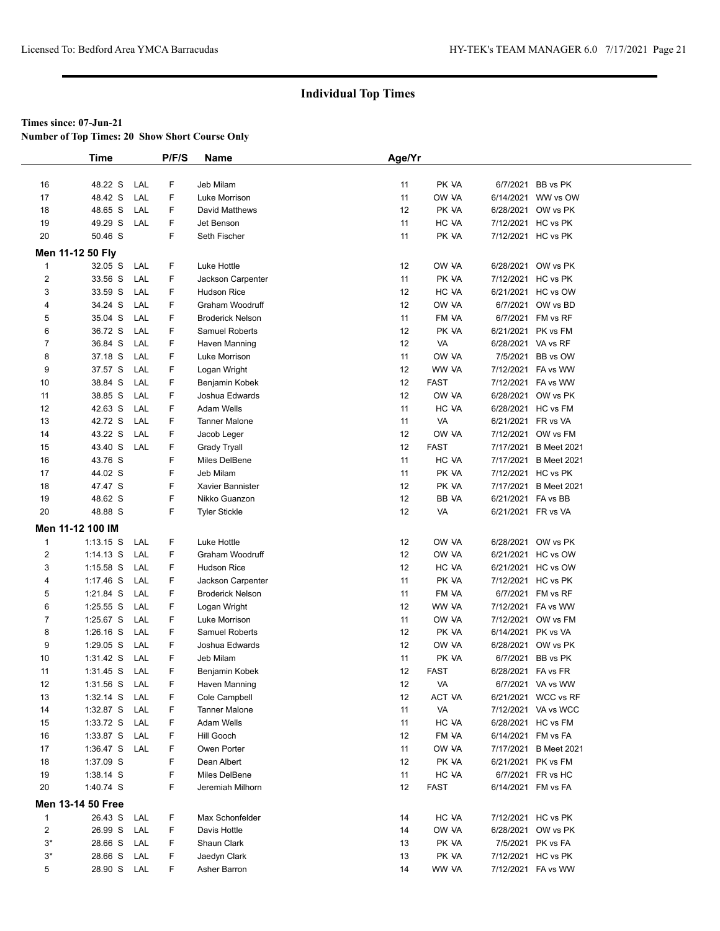**Number of Top Times: 20 Show Short Course Only**

|                | <b>Time</b>              |     | P/F/S  | Name                       | Age/Yr   |                |                    |                                             |  |
|----------------|--------------------------|-----|--------|----------------------------|----------|----------------|--------------------|---------------------------------------------|--|
|                |                          |     |        |                            |          |                |                    |                                             |  |
| 16             | 48.22 S                  | LAL | F      | Jeb Milam                  | 11       | PK VA          |                    | 6/7/2021 BB vs PK                           |  |
| 17             | 48.42 S                  | LAL | F      | Luke Morrison              | 11       | OW VA          |                    | 6/14/2021 WW vs OW                          |  |
| 18             | 48.65 S                  | LAL | F      | David Matthews             | 12       | PK VA          |                    | 6/28/2021 OW vs PK                          |  |
| 19             | 49.29 S                  | LAL | F      | Jet Benson                 | 11       | HC VA          |                    | 7/12/2021 HC vs PK                          |  |
| 20             | 50.46 S                  |     | F      | Seth Fischer               | 11       | PK VA          |                    | 7/12/2021 HC vs PK                          |  |
|                | Men 11-12 50 Fly         |     |        |                            |          |                |                    |                                             |  |
| $\mathbf{1}$   | 32.05 S                  | LAL | F      | Luke Hottle                | 12       | OW VA          |                    | 6/28/2021 OW vs PK                          |  |
| $\overline{2}$ | 33.56 S                  | LAL | F      | Jackson Carpenter          | 11       | PK VA          |                    | 7/12/2021 HC vs PK                          |  |
| 3              | 33.59 S                  | LAL | F      | <b>Hudson Rice</b>         | 12       | HC VA          |                    | 6/21/2021 HC vs OW                          |  |
| 4              | 34.24 S                  | LAL | F      | Graham Woodruff            | 12       | OW VA          |                    | 6/7/2021 OW vs BD                           |  |
| 5              | 35.04 S                  | LAL | F      | <b>Broderick Nelson</b>    | 11       | FM VA          |                    | 6/7/2021 FM vs RF                           |  |
| 6              | 36.72 S                  | LAL | F.     | Samuel Roberts             | 12       | PK VA          |                    | 6/21/2021 PK vs FM                          |  |
| $\overline{7}$ | 36.84 S                  | LAL | F      | Haven Manning              | 12       | VA             | 6/28/2021 VA vs RF |                                             |  |
| 8              | 37.18 S                  | LAL | F      | Luke Morrison              | 11       | OW VA          |                    | 7/5/2021 BB vs OW                           |  |
| 9              | 37.57 S                  | LAL | F      | Logan Wright               | 12       | WW VA          |                    | 7/12/2021 FA vs WW                          |  |
| 10             | 38.84 S                  | LAL | F      | Benjamin Kobek             | 12       | <b>FAST</b>    |                    | 7/12/2021 FA vs WW                          |  |
| 11             | 38.85 S                  | LAL | F      | Joshua Edwards             | 12       | OW VA          |                    | 6/28/2021 OW vs PK                          |  |
| 12             | 42.63 S                  | LAL | F      | <b>Adam Wells</b>          | 11       | HC VA          |                    | 6/28/2021 HC vs FM                          |  |
| 13             | 42.72 S                  | LAL | F      | <b>Tanner Malone</b>       | 11       | VA             | 6/21/2021 FR vs VA |                                             |  |
| 14             | 43.22 S                  | LAL | F      | Jacob Leger                | 12       | OW VA          |                    | 7/12/2021 OW vs FM                          |  |
| 15             | 43.40 S                  | LAL | F      | <b>Grady Tryall</b>        | 12       | <b>FAST</b>    | 7/17/2021          | <b>B</b> Meet 2021                          |  |
| 16             | 43.76 S                  |     | F      | Miles DelBene              | 11       | HC VA          |                    | 7/17/2021 B Meet 2021                       |  |
| 17             | 44.02 S                  |     | F      | Jeb Milam                  | 11       | PK VA          |                    | 7/12/2021 HC vs PK                          |  |
| 18             | 47.47 S                  |     | F      | Xavier Bannister           | 12       | PK VA          | 7/17/2021          | <b>B</b> Meet 2021                          |  |
| 19             | 48.62 S                  |     | F      | Nikko Guanzon              | 12       | BB VA          | 6/21/2021 FA vs BB |                                             |  |
| 20             | 48.88 S                  |     | F      | <b>Tyler Stickle</b>       | 12       | VA             | 6/21/2021 FR vs VA |                                             |  |
|                | Men 11-12 100 IM         |     |        |                            |          |                |                    |                                             |  |
| $\mathbf{1}$   | $1:13.15$ S              | LAL | F      | Luke Hottle                | 12       | OW VA          |                    | 6/28/2021 OW vs PK                          |  |
| $\overline{2}$ | $1:14.13$ S              | LAL | F      | Graham Woodruff            | 12       | OW VA          |                    | 6/21/2021 HC vs OW                          |  |
| 3              | $1:15.58$ S              | LAL | F      | <b>Hudson Rice</b>         | 12       | HC VA          |                    | 6/21/2021 HC vs OW                          |  |
| 4              | $1:17.46$ S              | LAL | F      | Jackson Carpenter          | 11       | PK VA          |                    | 7/12/2021 HC vs PK                          |  |
| 5              | 1:21.84 S                | LAL | F      | <b>Broderick Nelson</b>    | 11       | FM VA          |                    | 6/7/2021 FM vs RF                           |  |
| 6              | 1:25.55 S                | LAL | F      | Logan Wright               | 12       | WW VA          |                    | 7/12/2021 FA vs WW                          |  |
| $\overline{7}$ | 1:25.67 S                | LAL | F      | Luke Morrison              | 11       | OW VA          |                    | 7/12/2021 OW vs FM                          |  |
| 8              | $1:26.16$ S              | LAL | F      | Samuel Roberts             | 12       | PK VA          | 6/14/2021 PK vs VA |                                             |  |
| 9              | $1:29.05$ S              | LAL | F      | Joshua Edwards             | 12       | OW VA          |                    | 6/28/2021 OW vs PK                          |  |
| 10             | 1:31.42 S                | LAL | F      | Jeb Milam                  | 11       | PK VA          |                    | 6/7/2021 BB vs PK                           |  |
| 11             | $1:31.45$ S              | LAL | F      | Benjamin Kobek             | 12       | <b>FAST</b>    | 6/28/2021 FA vs FR |                                             |  |
| 12             | $1:31.56$ S              | LAL | F      | Haven Manning              | 12       | VA             |                    | 6/7/2021 VA vs WW                           |  |
| 13             | $1:32.14$ S              | LAL | F      | Cole Campbell              | 12       | ACT VA         |                    | 6/21/2021 WCC vs RF                         |  |
| 14             | 1:32.87 S                | LAL | F      | <b>Tanner Malone</b>       | 11       | VA             |                    | 7/12/2021 VA vs WCC                         |  |
| 15             | 1:33.72 S                | LAL | F      | Adam Wells                 | 11       | HC VA          |                    | 6/28/2021 HC vs FM                          |  |
| 16             | 1:33.87 S                | LAL | F      | Hill Gooch                 | 12       | FM VA          | 6/14/2021 FM vs FA |                                             |  |
| 17<br>18       | $1:36.47$ S<br>1:37.09 S | LAL | F<br>F | Owen Porter<br>Dean Albert | 11<br>12 | OW VA<br>PK VA |                    | 7/17/2021 B Meet 2021<br>6/21/2021 PK vs FM |  |
| 19             | 1:38.14 S                |     | F      | Miles DelBene              | 11       | HC VA          |                    | 6/7/2021 FR vs HC                           |  |
| 20             | 1:40.74 S                |     | F      | Jeremiah Milhorn           | 12       | <b>FAST</b>    | 6/14/2021 FM vs FA |                                             |  |
|                |                          |     |        |                            |          |                |                    |                                             |  |
|                | Men 13-14 50 Free        |     |        |                            |          |                |                    |                                             |  |
| $\mathbf{1}$   | 26.43 S                  | LAL | F.     | Max Schonfelder            | 14       | HC VA          |                    | 7/12/2021 HC vs PK                          |  |
| $\overline{2}$ | 26.99 S                  | LAL | F      | Davis Hottle               | 14       | OW VA          |                    | 6/28/2021 OW vs PK                          |  |
| $3^*$          | 28.66 S                  | LAL | F      | Shaun Clark                | 13       | PK VA          |                    | 7/5/2021 PK vs FA                           |  |
| $3^*$          | 28.66 S                  | LAL | F      | Jaedyn Clark               | 13       | PK VA          |                    | 7/12/2021 HC vs PK                          |  |
| 5              | 28.90 S LAL              |     | F      | Asher Barron               | 14       | WW VA          |                    | 7/12/2021 FA vs WW                          |  |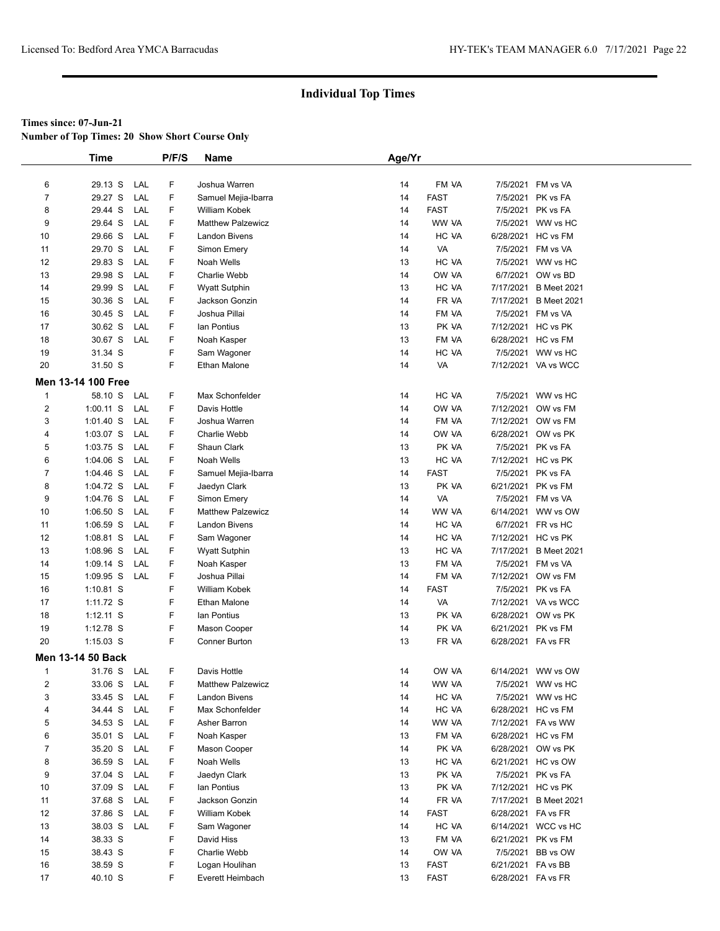**Number of Top Times: 20 Show Short Course Only**

|                | <b>Time</b>              |            | P/F/S  | Name                     | Age/Yr |                |                    |                                          |
|----------------|--------------------------|------------|--------|--------------------------|--------|----------------|--------------------|------------------------------------------|
|                |                          |            |        |                          |        |                |                    |                                          |
| 6              | 29.13 S                  | LAL        | F      | Joshua Warren            | 14     | FM VA          | 7/5/2021           | FM vs VA                                 |
| $\overline{7}$ | 29.27 S                  | LAL        | F      | Samuel Mejia-Ibarra      | 14     | <b>FAST</b>    | 7/5/2021           | PK vs FA                                 |
| 8              | 29.44 S                  | LAL        | F      | <b>William Kobek</b>     | 14     | <b>FAST</b>    | 7/5/2021           | PK vs FA                                 |
| 9              | 29.64 S                  | LAL        | F      | <b>Matthew Palzewicz</b> | 14     | WW VA          | 7/5/2021           | WW vs HC                                 |
| 10             | 29.66 S                  | LAL        | F      | <b>Landon Bivens</b>     | 14     | HC VA          |                    | 6/28/2021 HC vs FM                       |
| 11             | 29.70 S                  | LAL        | F      | Simon Emery              | 14     | VA             |                    | 7/5/2021 FM vs VA                        |
| 12             | 29.83 S                  | LAL        | F      | Noah Wells               | 13     | HC VA          | 7/5/2021           | WW vs HC                                 |
| 13             | 29.98 S                  | LAL        | F      | Charlie Webb             | 14     | OW VA          | 6/7/2021           | OW vs BD                                 |
| 14             | 29.99 S                  | LAL        | F      | <b>Wyatt Sutphin</b>     | 13     | HC VA          | 7/17/2021          | <b>B</b> Meet 2021                       |
| 15             | 30.36 S                  | LAL        | F      | Jackson Gonzin           | 14     | FR VA          | 7/17/2021          | <b>B</b> Meet 2021                       |
| 16             | 30.45 S                  | LAL        | F      | Joshua Pillai            | 14     | FM VA          | 7/5/2021           | FM vs VA                                 |
| 17             | 30.62 S                  | LAL        | F      | lan Pontius              | 13     | PK VA          |                    | 7/12/2021 HC vs PK                       |
| 18             | 30.67 S                  | LAL        | F      | Noah Kasper              | 13     | FM VA          |                    | 6/28/2021 HC vs FM                       |
| 19             | 31.34 S                  |            | F      | Sam Wagoner              | 14     | HC VA          |                    | 7/5/2021 WW vs HC                        |
| 20             | 31.50 S                  |            | F      | Ethan Malone             | 14     | VA             |                    | 7/12/2021 VA vs WCC                      |
|                | Men 13-14 100 Free       |            |        |                          |        |                |                    |                                          |
| $\mathbf{1}$   | 58.10 S                  | LAL        | F      | Max Schonfelder          | 14     | HC VA          | 7/5/2021           | WW vs HC                                 |
| $\overline{2}$ | $1:00.11$ S              | LAL        | F      | Davis Hottle             | 14     | OW VA          | 7/12/2021          | OW vs FM                                 |
| 3              | $1:01.40$ S              | LAL        | F      | Joshua Warren            | 14     | FM VA          | 7/12/2021          | OW vs FM                                 |
| 4              | $1:03.07$ S              | LAL        | F      | Charlie Webb             | 14     | OW VA          |                    | 6/28/2021 OW vs PK                       |
| 5              | $1:03.75$ S              | LAL        | F      | Shaun Clark              | 13     | PK VA          |                    | 7/5/2021 PK vs FA                        |
| 6              | $1:04.06$ S              | LAL        | F      | Noah Wells               | 13     | HC VA          |                    | 7/12/2021 HC vs PK                       |
| $\overline{7}$ | $1:04.46$ S              | LAL        | F      | Samuel Mejia-Ibarra      | 14     | <b>FAST</b>    | 7/5/2021           | PK vs FA                                 |
| 8              | 1:04.72 S                | LAL        | F      | Jaedyn Clark             | 13     | PK VA          | 6/21/2021          | PK vs FM                                 |
| 9              | 1:04.76 S                | LAL        | F      | Simon Emery              | 14     | VA             | 7/5/2021           | FM vs VA                                 |
| 10             | $1:06.50$ S              | LAL        | F      | <b>Matthew Palzewicz</b> | 14     | WW VA          |                    | 6/14/2021 WW vs OW                       |
| 11             | $1:06.59$ S              | LAL        | F      | <b>Landon Bivens</b>     | 14     | HC VA          |                    | 6/7/2021 FR vs HC                        |
| 12             | 1:08.81 S                | LAL        | F      | Sam Wagoner              | 14     | HC VA          |                    | 7/12/2021 HC vs PK                       |
| 13             | 1:08.96 S                | LAL        | F      | <b>Wyatt Sutphin</b>     | 13     | HC VA          | 7/17/2021          | <b>B</b> Meet 2021                       |
| 14             | $1:09.14$ S              | LAL        | F      | Noah Kasper              | 13     | FM VA          | 7/5/2021           | FM vs VA                                 |
| 15             | $1:09.95$ S              | LAL        | F      | Joshua Pillai            | 14     | FM VA          | 7/12/2021          | OW vs FM                                 |
| 16             | $1:10.81$ S              |            | F      | William Kobek            | 14     | <b>FAST</b>    |                    | 7/5/2021 PK vs FA                        |
| 17             | 1:11.72 S                |            | F      | <b>Ethan Malone</b>      | 14     | VA             |                    | 7/12/2021 VA vs WCC                      |
| 18             | $1:12.11$ S              |            | F      | lan Pontius              | 13     | PK VA          | 6/28/2021          | OW vs PK                                 |
| 19             | $1:12.78$ S              |            | F      | Mason Cooper             | 14     | PK VA          | 6/21/2021          | PK vs FM                                 |
| 20             | $1:15.03$ S              |            | F      | <b>Conner Burton</b>     | 13     | FR VA          | 6/28/2021 FA vs FR |                                          |
|                |                          |            |        |                          |        |                |                    |                                          |
|                | <b>Men 13-14 50 Back</b> |            |        |                          |        |                |                    |                                          |
| $\mathbf{1}$   | 31.76 S                  | LAL        | F      | Davis Hottle             | 14     | OW VA          |                    | 6/14/2021 WW vs OW                       |
| 2<br>3         | 33.06 S<br>33.45 S       | LAL        | F<br>F | <b>Matthew Palzewicz</b> | 14     | WW VA<br>HC VA |                    | 7/5/2021 WW vs HC                        |
|                |                          | LAL        |        | Landon Bivens            | 14     |                |                    | 7/5/2021 WW vs HC                        |
| 4              | 34.44 S                  | LAL<br>LAL | F<br>F | Max Schonfelder          | 14     | HC VA          |                    | 6/28/2021 HC vs FM<br>7/12/2021 FA vs WW |
| 5              | 34.53 S                  |            |        | Asher Barron             | 14     | WW VA          |                    |                                          |
| 6              | 35.01 S                  | LAL        | F      | Noah Kasper              | 13     | FM VA          |                    | 6/28/2021 HC vs FM                       |
| $\overline{7}$ | 35.20 S                  | LAL        | F      | Mason Cooper             | 14     | PK VA          | 6/28/2021          | OW vs PK                                 |
| 8              | 36.59 S                  | LAL        | F      | Noah Wells               | 13     | HC VA          | 6/21/2021          | HC vs OW                                 |
| 9              | 37.04 S                  | LAL        | F      | Jaedyn Clark             | 13     | PK VA          |                    | 7/5/2021 PK vs FA                        |
| 10             | 37.09 S                  | LAL        | F      | lan Pontius              | 13     | PK VA          |                    | 7/12/2021 HC vs PK                       |
| 11             | 37.68 S                  | LAL        | F      | Jackson Gonzin           | 14     | FR VA          |                    | 7/17/2021 B Meet 2021                    |
| 12             | 37.86 S                  | LAL        | F      | William Kobek            | 14     | <b>FAST</b>    | 6/28/2021 FA vs FR |                                          |
| 13             | 38.03 S                  | LAL        | F      | Sam Wagoner              | 14     | HC VA          |                    | 6/14/2021 WCC vs HC                      |
| 14             | 38.33 S                  |            | F      | David Hiss               | 13     | FM VA          | 6/21/2021          | PK vs FM                                 |
| 15             | 38.43 S                  |            | F      | Charlie Webb             | 14     | OW VA          | 7/5/2021           | BB vs OW                                 |
| 16             | 38.59 S                  |            | F      | Logan Houlihan           | 13     | <b>FAST</b>    | 6/21/2021 FA vs BB |                                          |
| 17             | 40.10 S                  |            | F      | Everett Heimbach         | 13     | <b>FAST</b>    | 6/28/2021 FA vs FR |                                          |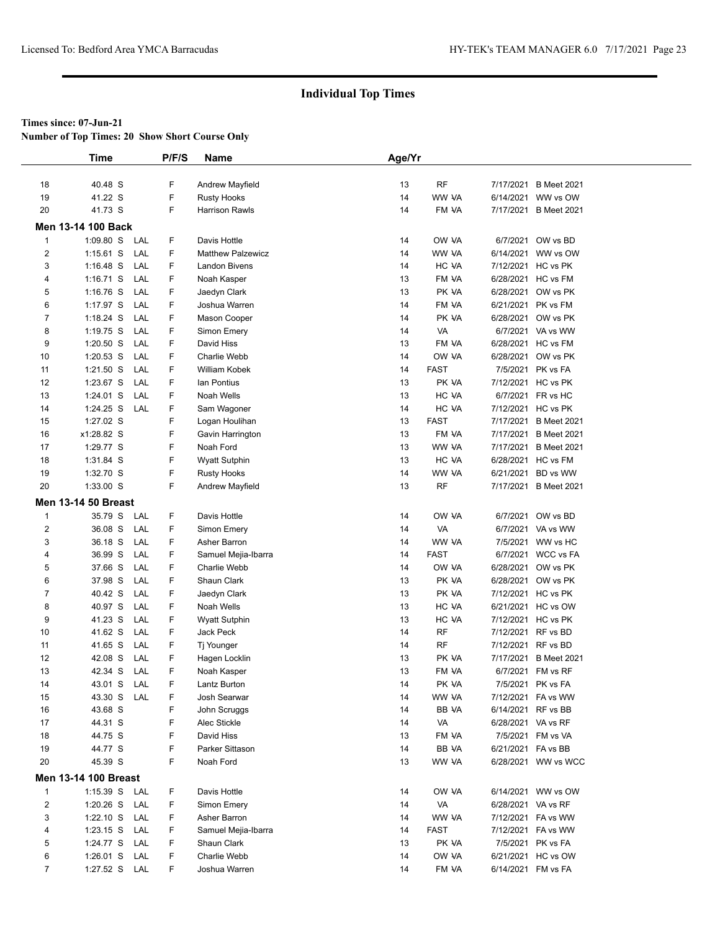**Number of Top Times: 20 Show Short Course Only**

|                         | <b>Time</b>                 |     | P/F/S | Name                     | Age/Yr |             |                    |                       |
|-------------------------|-----------------------------|-----|-------|--------------------------|--------|-------------|--------------------|-----------------------|
|                         |                             |     |       |                          |        |             |                    |                       |
| 18                      | 40.48 S                     |     | F     | Andrew Mayfield          | 13     | <b>RF</b>   |                    | 7/17/2021 B Meet 2021 |
| 19                      | 41.22 S                     |     | F     | <b>Rusty Hooks</b>       | 14     | WW VA       |                    | 6/14/2021 WW vs OW    |
| 20                      | 41.73 S                     |     | F     | <b>Harrison Rawls</b>    | 14     | FM VA       |                    | 7/17/2021 B Meet 2021 |
|                         | Men 13-14 100 Back          |     |       |                          |        |             |                    |                       |
| $\mathbf{1}$            | $1:09.80$ S                 | LAL | F     | Davis Hottle             | 14     | OW VA       |                    | 6/7/2021 OW vs BD     |
| $\overline{2}$          | $1:15.61$ S                 | LAL | F     | <b>Matthew Palzewicz</b> | 14     | WW VA       |                    | 6/14/2021 WW vs OW    |
| 3                       | $1:16.48$ S                 | LAL | F.    | <b>Landon Bivens</b>     | 14     | HC VA       |                    | 7/12/2021 HC vs PK    |
| 4                       | $1:16.71$ S                 | LAL | F     | Noah Kasper              | 13     | FM VA       |                    | 6/28/2021 HC vs FM    |
| 5                       | $1:16.76$ S                 | LAL | F     | Jaedyn Clark             | 13     | PK VA       |                    | 6/28/2021 OW vs PK    |
| 6                       | 1:17.97 S                   | LAL | F     | Joshua Warren            | 14     | FM VA       |                    | 6/21/2021 PK vs FM    |
| $\overline{7}$          | 1:18.24 S                   | LAL | F     | Mason Cooper             | 14     | PK VA       |                    | 6/28/2021 OW vs PK    |
| 8                       | 1:19.75 S                   | LAL | F     | Simon Emery              | 14     | VA          |                    | 6/7/2021 VA vs WW     |
| 9                       | $1:20.50$ S                 | LAL | F.    | David Hiss               | 13     | FM VA       |                    | 6/28/2021 HC vs FM    |
| 10                      | 1:20.53 S                   | LAL | F     | Charlie Webb             | 14     | OW VA       |                    | 6/28/2021 OW vs PK    |
| 11                      | $1:21.50$ S                 | LAL | F     | <b>William Kobek</b>     | 14     | <b>FAST</b> |                    | 7/5/2021 PK vs FA     |
| 12                      | 1:23.67 S                   | LAL | F     | lan Pontius              | 13     | PK VA       |                    | 7/12/2021 HC vs PK    |
| 13                      | 1:24.01 S                   | LAL | F     | Noah Wells               | 13     | HC VA       |                    | 6/7/2021 FR vs HC     |
| 14                      | 1:24.25 S                   | LAL | F     | Sam Wagoner              | 14     | HC VA       |                    | 7/12/2021 HC vs PK    |
| 15                      | 1:27.02 S                   |     | F     | Logan Houlihan           | 13     | <b>FAST</b> |                    | 7/17/2021 B Meet 2021 |
| 16                      | x1:28.82 S                  |     | F     | Gavin Harrington         | 13     | FM VA       |                    | 7/17/2021 B Meet 2021 |
| 17                      | 1:29.77 S                   |     | F     | Noah Ford                | 13     | WW VA       |                    | 7/17/2021 B Meet 2021 |
| 18                      | 1:31.84 S                   |     | F     | <b>Wyatt Sutphin</b>     | 13     | HC VA       |                    | 6/28/2021 HC vs FM    |
| 19                      | 1:32.70 S                   |     | F     | <b>Rusty Hooks</b>       | 14     | WW VA       |                    | 6/21/2021 BD vs WW    |
| 20                      | $1:33.00$ S                 |     | F     | <b>Andrew Mayfield</b>   | 13     | RF          |                    | 7/17/2021 B Meet 2021 |
|                         | <b>Men 13-14 50 Breast</b>  |     |       |                          |        |             |                    |                       |
| $\mathbf{1}$            | 35.79 S                     | LAL | F     | Davis Hottle             | 14     | OW VA       |                    | 6/7/2021 OW vs BD     |
| $\overline{\mathbf{c}}$ | 36.08 S                     | LAL | F     | Simon Emery              | 14     | VA          |                    | 6/7/2021 VA vs WW     |
| 3                       | 36.18 S                     | LAL | F     | Asher Barron             | 14     | WW VA       |                    | 7/5/2021 WW vs HC     |
| 4                       | 36.99 S                     | LAL | F     | Samuel Mejia-Ibarra      | 14     | <b>FAST</b> |                    | 6/7/2021 WCC vs FA    |
| 5                       | 37.66 S                     | LAL | F     | Charlie Webb             | 14     | OW VA       |                    | 6/28/2021 OW vs PK    |
| 6                       | 37.98 S                     | LAL | F     | Shaun Clark              | 13     | PK VA       |                    | 6/28/2021 OW vs PK    |
| 7                       | 40.42 S                     | LAL | F     | Jaedyn Clark             | 13     | PK VA       |                    | 7/12/2021 HC vs PK    |
| 8                       | 40.97 S                     | LAL | F     | Noah Wells               | 13     | HC VA       |                    | 6/21/2021 HC vs OW    |
| 9                       | 41.23 S                     | LAL | F     | <b>Wyatt Sutphin</b>     | 13     | HC VA       |                    | 7/12/2021 HC vs PK    |
| 10                      | 41.62 S                     | LAL | F     | Jack Peck                | 14     | <b>RF</b>   |                    | 7/12/2021 RF vs BD    |
| 11                      | 41.65 S                     | LAL | F     | Tj Younger               | 14     | <b>RF</b>   | 7/12/2021 RF vs BD |                       |
| 12                      | 42.08 S                     | LAL | F     | Hagen Locklin            | 13     | PK VA       |                    | 7/17/2021 B Meet 2021 |
| 13                      | 42.34 S                     | LAL | F     | Noah Kasper              | 13     | FM VA       |                    | 6/7/2021 FM vs RF     |
| 14                      | 43.01 S LAL                 |     | F     | Lantz Burton             | 14     | PK VA       |                    | 7/5/2021 PK vs FA     |
| 15                      | 43.30 S                     | LAL | F     | Josh Searwar             | 14     | WW VA       |                    | 7/12/2021 FA vs WW    |
| 16                      | 43.68 S                     |     | F     | John Scruggs             | 14     | BB VA       | 6/14/2021 RF vs BB |                       |
| 17                      | 44.31 S                     |     | F.    | Alec Stickle             | 14     | VA          | 6/28/2021 VA vs RF |                       |
| 18                      | 44.75 S                     |     | F     | David Hiss               | 13     | FM VA       |                    | 7/5/2021 FM vs VA     |
| 19                      | 44.77 S                     |     | F     | Parker Sittason          | 14     | BB VA       | 6/21/2021 FA vs BB |                       |
| 20                      | 45.39 S                     |     | F     | Noah Ford                | 13     | WW VA       |                    | 6/28/2021 WW vs WCC   |
|                         | <b>Men 13-14 100 Breast</b> |     |       |                          |        |             |                    |                       |
| $\mathbf{1}$            | 1:15.39 S LAL               |     | F     | Davis Hottle             | 14     | OW VA       |                    | 6/14/2021 WW vs OW    |
| 2                       | 1:20.26 S                   | LAL | F     | Simon Emery              | 14     | VA          | 6/28/2021 VA vs RF |                       |
| 3                       | $1:22.10$ S                 | LAL | F     | Asher Barron             | 14     | WW VA       |                    | 7/12/2021 FA vs WW    |
| 4                       | 1:23.15 S LAL               |     | F     | Samuel Mejia-Ibarra      | 14     | <b>FAST</b> |                    | 7/12/2021 FA vs WW    |
| 5                       | 1:24.77 S LAL               |     | F     | Shaun Clark              | 13     | PK VA       |                    | 7/5/2021 PK vs FA     |
| 6                       | $1:26.01$ S                 | LAL | F     | Charlie Webb             | 14     | OW VA       |                    | 6/21/2021 HC vs OW    |
| $\overline{7}$          | 1:27.52 S LAL               |     | F     | Joshua Warren            | 14     | FM VA       |                    | 6/14/2021 FM vs FA    |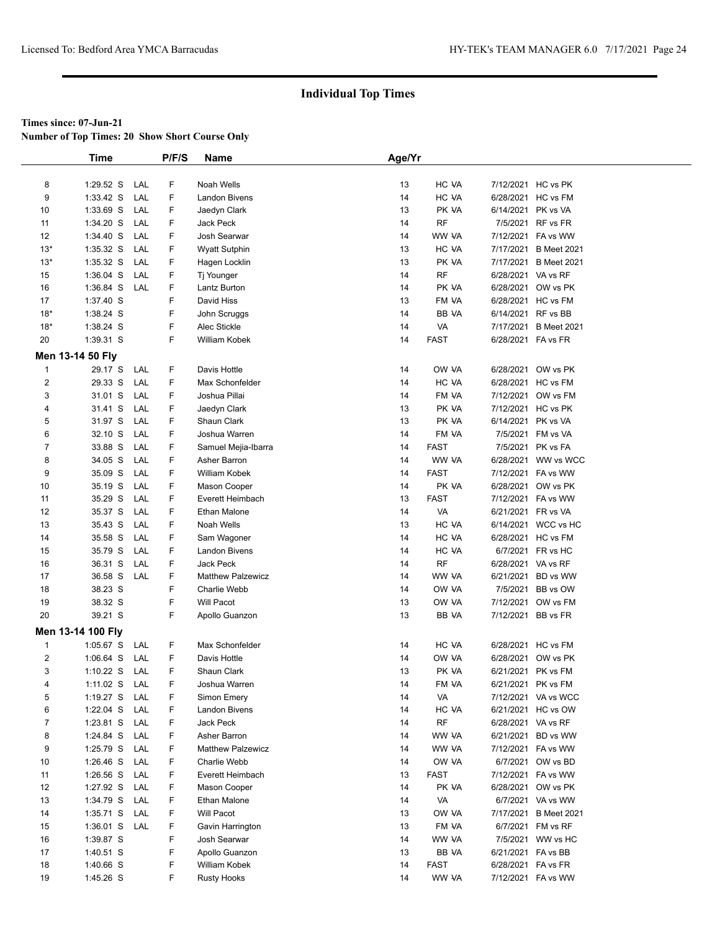**Number of Top Times: 20 Show Short Course Only**

|                  | <b>Time</b>       |     | P/F/S | <b>Name</b>              | Age/Yr |             |                    |                       |  |
|------------------|-------------------|-----|-------|--------------------------|--------|-------------|--------------------|-----------------------|--|
|                  |                   |     |       |                          |        |             |                    |                       |  |
| 8                | 1:29.52 S         | LAL | F     | Noah Wells               | 13     | HC VA       | 7/12/2021 HC vs PK |                       |  |
| 9                | $1:33.42$ S       | LAL | F     | <b>Landon Bivens</b>     | 14     | HC VA       | 6/28/2021 HC vs FM |                       |  |
| 10               | 1:33.69 S         | LAL | F     | Jaedyn Clark             | 13     | PK VA       | 6/14/2021 PK vs VA |                       |  |
| 11               | 1:34.20 S         | LAL | F     | Jack Peck                | 14     | RF          |                    | 7/5/2021 RF vs FR     |  |
| 12               | 1:34.40 S         | LAL | F     | Josh Searwar             | 14     | WW VA       |                    | 7/12/2021 FA vs WW    |  |
| $13*$            | $1:35.32$ S       | LAL | F     | <b>Wyatt Sutphin</b>     | 13     | HC VA       |                    | 7/17/2021 B Meet 2021 |  |
| $13*$            | 1:35.32 S         | LAL | F     | Hagen Locklin            | 13     | PK VA       |                    | 7/17/2021 B Meet 2021 |  |
| 15               | 1:36.04 S         | LAL | F     | Tj Younger               | 14     | <b>RF</b>   | 6/28/2021 VA vs RF |                       |  |
| 16               | $1:36.84$ S       | LAL | F     | Lantz Burton             | 14     | PK VA       |                    | 6/28/2021 OW vs PK    |  |
| 17               | 1:37.40 S         |     | F     | David Hiss               | 13     | FM VA       | 6/28/2021 HC vs FM |                       |  |
| $18*$            | 1:38.24 S         |     | F     | John Scruggs             | 14     | BB VA       | 6/14/2021 RF vs BB |                       |  |
| $18*$            | 1:38.24 S         |     | F     | Alec Stickle             | 14     | VA          |                    | 7/17/2021 B Meet 2021 |  |
| 20               | 1:39.31 S         |     | F     | William Kobek            | 14     | <b>FAST</b> | 6/28/2021 FA vs FR |                       |  |
|                  | Men 13-14 50 Fly  |     |       |                          |        |             |                    |                       |  |
| $\mathbf{1}$     | 29.17 S           | LAL | F     | Davis Hottle             | 14     | OW VA       |                    | 6/28/2021 OW vs PK    |  |
| $\boldsymbol{2}$ | 29.33 S           | LAL | F     | Max Schonfelder          | 14     | HC VA       | 6/28/2021 HC vs FM |                       |  |
| 3                | 31.01 S           | LAL | F     | Joshua Pillai            | 14     | FM VA       |                    | 7/12/2021 OW vs FM    |  |
| 4                | 31.41 S           | LAL | F     | Jaedyn Clark             | 13     | PK VA       | 7/12/2021 HC vs PK |                       |  |
| 5                | 31.97 S           | LAL | F     | Shaun Clark              | 13     | PK VA       | 6/14/2021 PK vs VA |                       |  |
| 6                | 32.10 S           | LAL | F     | Joshua Warren            | 14     | FM VA       |                    | 7/5/2021 FM vs VA     |  |
| $\overline{7}$   | 33.88 S           | LAL | F     | Samuel Mejia-Ibarra      | 14     | <b>FAST</b> |                    | 7/5/2021 PK vs FA     |  |
| 8                | 34.05 S           | LAL | F     | Asher Barron             | 14     | WW VA       |                    | 6/28/2021 WW vs WCC   |  |
| 9                | 35.09 S           | LAL | F     | William Kobek            | 14     | <b>FAST</b> |                    | 7/12/2021 FA vs WW    |  |
| 10               | 35.19 S           | LAL | F     | Mason Cooper             | 14     | PK VA       |                    | 6/28/2021 OW vs PK    |  |
| 11               | 35.29 S           | LAL | F     | Everett Heimbach         | 13     | <b>FAST</b> |                    | 7/12/2021 FA vs WW    |  |
| 12               | 35.37 S           | LAL | F     | Ethan Malone             | 14     | VA          | 6/21/2021 FR vs VA |                       |  |
| 13               | 35.43 S           | LAL | F     | Noah Wells               | 13     | HC VA       |                    | 6/14/2021 WCC vs HC   |  |
| 14               | 35.58 S           | LAL | F     | Sam Wagoner              | 14     | HC VA       | 6/28/2021 HC vs FM |                       |  |
| 15               | 35.79 S           | LAL | F     | Landon Bivens            | 14     | HC VA       |                    | 6/7/2021 FR vs HC     |  |
| 16               | 36.31 S           | LAL | F     | Jack Peck                | 14     | <b>RF</b>   | 6/28/2021 VA vs RF |                       |  |
| 17               | 36.58 S           | LAL | F     | <b>Matthew Palzewicz</b> | 14     | WW VA       |                    | 6/21/2021 BD vs WW    |  |
| 18               | 38.23 S           |     | F     | <b>Charlie Webb</b>      | 14     | OW VA       |                    | 7/5/2021 BB vs OW     |  |
| 19               | 38.32 S           |     | F     | <b>Will Pacot</b>        | 13     | OW VA       |                    | 7/12/2021 OW vs FM    |  |
| 20               | 39.21 S           |     | F     | Apollo Guanzon           | 13     | BB VA       | 7/12/2021 BB vs FR |                       |  |
|                  | Men 13-14 100 Fly |     |       |                          |        |             |                    |                       |  |
| $\mathbf{1}$     | $1:05.67$ S       | LAL | F     | Max Schonfelder          | 14     | HC VA       | 6/28/2021 HC vs FM |                       |  |
| $\boldsymbol{2}$ | $1:06.64$ S       | LAL | F     | Davis Hottle             | 14     | OW VA       |                    | 6/28/2021 OW vs PK    |  |
| 3                | $1:10.22$ S       | LAL | F     | Shaun Clark              | 13     | PK VA       | 6/21/2021 PK vs FM |                       |  |
| 4                | 1:11.02 S         | LAL | F     | Joshua Warren            | 14     | FM VA       | 6/21/2021 PK vs FM |                       |  |
| 5                | 1:19.27 S         | LAL | F     | Simon Emery              | 14     | VA          |                    | 7/12/2021 VA vs WCC   |  |
| 6                | $1:22.04$ S       | LAL | F     | Landon Bivens            | 14     | HC VA       |                    | 6/21/2021 HC vs OW    |  |
| $\overline{7}$   | $1:23.81$ S       | LAL | F     | Jack Peck                | 14     | <b>RF</b>   | 6/28/2021 VA vs RF |                       |  |
| 8                | 1:24.84 S         | LAL | F     | Asher Barron             | 14     | WW VA       |                    | 6/21/2021 BD vs WW    |  |
| 9                | 1:25.79 S         | LAL | F     | <b>Matthew Palzewicz</b> | 14     | WW VA       |                    | 7/12/2021 FA vs WW    |  |
| 10               | $1:26.46$ S       | LAL | F     | Charlie Webb             | 14     | OW VA       |                    | 6/7/2021 OW vs BD     |  |
| 11               | $1:26.56$ S       | LAL | F     | Everett Heimbach         | 13     | <b>FAST</b> |                    | 7/12/2021 FA vs WW    |  |
| 12               | 1:27.92 S         | LAL | F     | Mason Cooper             | 14     | PK VA       |                    | 6/28/2021 OW vs PK    |  |
| 13               | 1:34.79 S         | LAL | F     | Ethan Malone             | 14     | VA          |                    | 6/7/2021 VA vs WW     |  |
| 14               | $1:35.71$ S       | LAL | F     | Will Pacot               | 13     | OW VA       |                    | 7/17/2021 B Meet 2021 |  |
| 15               | $1:36.01$ S       | LAL | F     | Gavin Harrington         | 13     | FM VA       |                    | 6/7/2021 FM vs RF     |  |
| 16               | 1:39.87 S         |     | F     | Josh Searwar             | 14     | WW VA       |                    | 7/5/2021 WW vs HC     |  |
| 17               | 1:40.51 S         |     | F     | Apollo Guanzon           | 13     | BB VA       | 6/21/2021 FA vs BB |                       |  |
| 18               | 1:40.66 S         |     | F     | William Kobek            | 14     | <b>FAST</b> | 6/28/2021 FA vs FR |                       |  |
| 19               | 1:45.26 S         |     | F     | <b>Rusty Hooks</b>       | 14     | WW VA       |                    | 7/12/2021 FA vs WW    |  |
|                  |                   |     |       |                          |        |             |                    |                       |  |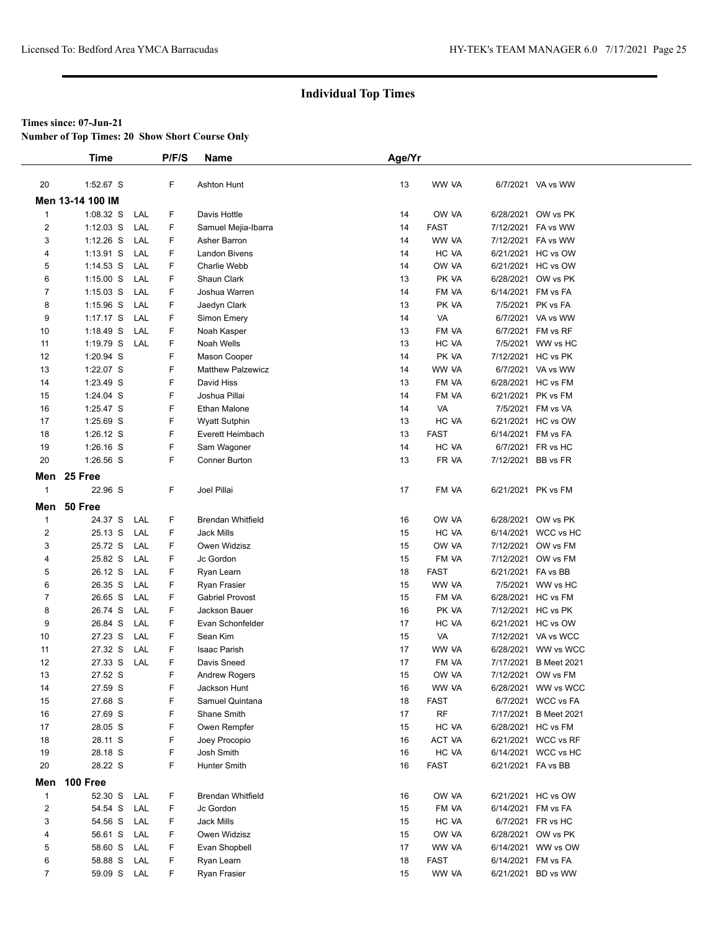**Number of Top Times: 20 Show Short Course Only**

|                | <b>Time</b>      |     | P/F/S | <b>Name</b>              | Age/Yr |             |                    |                     |
|----------------|------------------|-----|-------|--------------------------|--------|-------------|--------------------|---------------------|
|                |                  |     |       |                          |        |             |                    |                     |
| 20             | 1:52.67 S        |     | F     | Ashton Hunt              | 13     | WW VA       |                    | 6/7/2021 VA vs WW   |
|                | Men 13-14 100 IM |     |       |                          |        |             |                    |                     |
| $\mathbf{1}$   | 1:08.32 S        | LAL | F     | Davis Hottle             | 14     | OW VA       | 6/28/2021          | OW vs PK            |
| 2              | $1:12.03$ S      | LAL | F     | Samuel Mejia-Ibarra      | 14     | <b>FAST</b> | 7/12/2021          | FA vs WW            |
| 3              | $1:12.26$ S      | LAL | F     | Asher Barron             | 14     | WW VA       |                    | 7/12/2021 FA vs WW  |
| 4              | $1:13.91$ S      | LAL | F     | <b>Landon Bivens</b>     | 14     | HC VA       |                    | 6/21/2021 HC vs OW  |
| 5              | $1:14.53$ S      | LAL | F     | Charlie Webb             | 14     | OW VA       |                    | 6/21/2021 HC vs OW  |
| 6              | $1:15.00$ S      | LAL | F     | Shaun Clark              | 13     | PK VA       | 6/28/2021          | OW vs PK            |
| $\overline{7}$ | $1:15.03$ S      | LAL | F     | Joshua Warren            | 14     | FM VA       | 6/14/2021 FM vs FA |                     |
| 8              | $1:15.96$ S      | LAL | F     | Jaedyn Clark             | 13     | PK VA       | 7/5/2021           | PK vs FA            |
| 9              | $1:17.17$ S      | LAL | F     | Simon Emery              | 14     | <b>VA</b>   |                    | 6/7/2021 VA vs WW   |
| 10             | 1:18.49 S        | LAL | F     | Noah Kasper              | 13     | FM VA       |                    | 6/7/2021 FM vs RF   |
| 11             | 1:19.79 S        | LAL | F     | Noah Wells               | 13     | HC VA       |                    | 7/5/2021 WW vs HC   |
| 12             | 1:20.94 S        |     | F     | Mason Cooper             | 14     | PK VA       |                    | 7/12/2021 HC vs PK  |
| 13             | 1:22.07 S        |     | F     | <b>Matthew Palzewicz</b> | 14     | WW VA       |                    | 6/7/2021 VA vs WW   |
| 14             | 1:23.49 S        |     | F     | David Hiss               | 13     | FM VA       |                    | 6/28/2021 HC vs FM  |
| 15             | 1:24.04 S        |     | F     | Joshua Pillai            | 14     | FM VA       |                    | 6/21/2021 PK vs FM  |
| 16             | 1:25.47 S        |     | F     | Ethan Malone             | 14     | VA          |                    | 7/5/2021 FM vs VA   |
| 17             | 1:25.69 S        |     | F     | <b>Wyatt Sutphin</b>     | 13     | HC VA       |                    | 6/21/2021 HC vs OW  |
| 18             | 1:26.12 S        |     | F     | Everett Heimbach         | 13     | <b>FAST</b> | 6/14/2021 FM vs FA |                     |
| 19             | 1:26.16 S        |     | F     | Sam Wagoner              | 14     | HC VA       |                    | 6/7/2021 FR vs HC   |
| 20             | 1:26.56 S        |     | F     | <b>Conner Burton</b>     | 13     | FR VA       | 7/12/2021 BB vs FR |                     |
|                | Men 25 Free      |     |       |                          |        |             |                    |                     |
| $\mathbf{1}$   | 22.96 S          |     | F     | Joel Pillai              | 17     | FM VA       |                    | 6/21/2021 PK vs FM  |
|                | Men 50 Free      |     |       |                          |        |             |                    |                     |
| 1              | 24.37 S          | LAL | F     | <b>Brendan Whitfield</b> | 16     | OW VA       |                    | 6/28/2021 OW vs PK  |
| 2              | 25.13 S          | LAL | F     | <b>Jack Mills</b>        | 15     | HC VA       |                    | 6/14/2021 WCC vs HC |
| 3              | 25.72 S          | LAL | F     | Owen Widzisz             | 15     | OW VA       |                    | 7/12/2021 OW vs FM  |
| 4              | 25.82 S          | LAL | F     | Jc Gordon                | 15     | FM VA       | 7/12/2021          | OW vs FM            |
| 5              | 26.12 S          | LAL | F     | Ryan Learn               | 18     | <b>FAST</b> | 6/21/2021 FA vs BB |                     |
| 6              | 26.35 S          | LAL | F     | Ryan Frasier             | 15     | WW VA       |                    | 7/5/2021 WW vs HC   |
| 7              | 26.65 S          | LAL | F     | <b>Gabriel Provost</b>   | 15     | FM VA       |                    | 6/28/2021 HC vs FM  |
| 8              | 26.74 S          | LAL | F     | Jackson Bauer            | 16     | PK VA       |                    | 7/12/2021 HC vs PK  |
| 9              | 26.84 S          | LAL | F     | Evan Schonfelder         | 17     | HC VA       |                    | 6/21/2021 HC vs OW  |
| 10             | 27.23 S          | LAL | F     | Sean Kim                 | 15     | VA          |                    | 7/12/2021 VA vs WCC |
| 11             | 27.32 S          | LAL | F     | <b>Isaac Parish</b>      | 17     | WW VA       |                    | 6/28/2021 WW vs WCC |
| 12             | 27.33 S          | LAL | F     | Davis Sneed              | 17     | FM VA       | 7/17/2021          | <b>B</b> Meet 2021  |
| 13             | 27.52 S          |     | F     | <b>Andrew Rogers</b>     | 15     | OW VA       | 7/12/2021          | OW vs FM            |
| 14             | 27.59 S          |     | F     | Jackson Hunt             | 16     | WW VA       |                    | 6/28/2021 WW vs WCC |
| 15             | 27.68 S          |     | F     | Samuel Quintana          | 18     | FAST        |                    | 6/7/2021 WCC vs FA  |
| 16             | 27.69 S          |     | F     | Shane Smith              | 17     | <b>RF</b>   | 7/17/2021          | <b>B</b> Meet 2021  |
| 17             | 28.05 S          |     | F     | Owen Rempfer             | 15     | HC VA       |                    | 6/28/2021 HC vs FM  |
| 18             | 28.11 S          |     | F     | Joey Procopio            | 16     | ACT VA      |                    | 6/21/2021 WCC vs RF |
| 19             | 28.18 S          |     | F     | Josh Smith               | 16     | HC VA       |                    | 6/14/2021 WCC vs HC |
| 20             | 28.22 S          |     | F     | Hunter Smith             | 16     | FAST        | 6/21/2021 FA vs BB |                     |
| Men            | 100 Free         |     |       |                          |        |             |                    |                     |
| $\mathbf{1}$   | 52.30 S          | LAL | F     | Brendan Whitfield        | 16     | OW VA       |                    | 6/21/2021 HC vs OW  |
| $\overline{c}$ | 54.54 S          | LAL | F     | Jc Gordon                | 15     | FM VA       |                    | 6/14/2021 FM vs FA  |
| 3              | 54.56 S          | LAL | F     | <b>Jack Mills</b>        | 15     | HC VA       |                    | 6/7/2021 FR vs HC   |
| 4              | 56.61 S          | LAL | F     | Owen Widzisz             | 15     | OW VA       |                    | 6/28/2021 OW vs PK  |
| 5              | 58.60 S          | LAL | F     | Evan Shopbell            | 17     | WW VA       | 6/14/2021          | WW vs OW            |
| 6              | 58.88 S          | LAL | F     | Ryan Learn               | 18     | FAST        | 6/14/2021          | FM vs FA            |
| $\overline{7}$ | 59.09 S LAL      |     | F     | Ryan Frasier             | 15     | WW VA       |                    | 6/21/2021 BD vs WW  |
|                |                  |     |       |                          |        |             |                    |                     |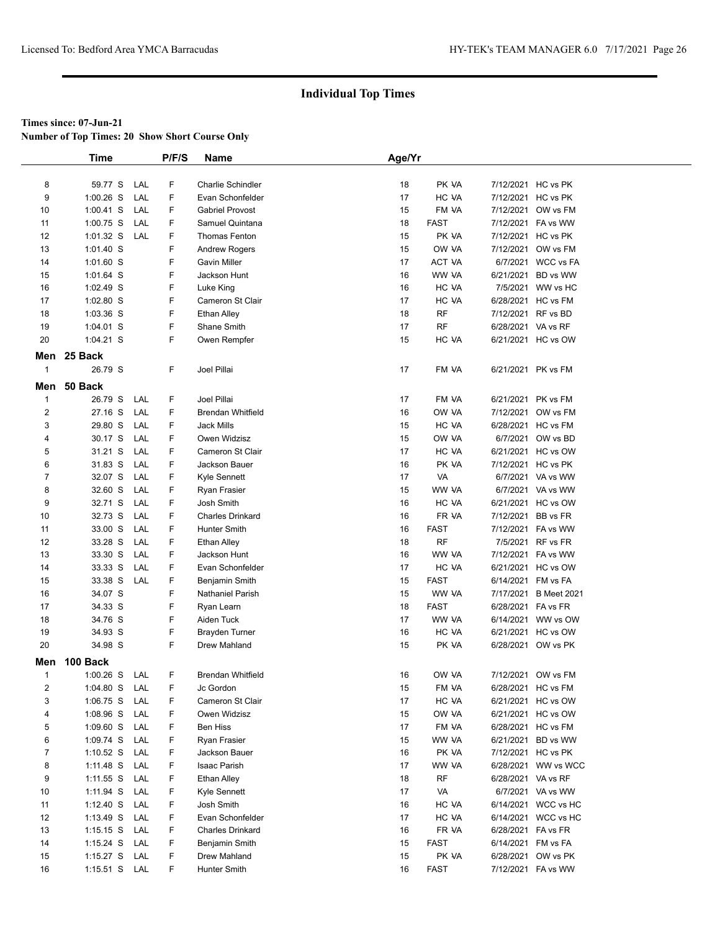**Number of Top Times: 20 Show Short Course Only**

|                  | <b>Time</b> |     | P/F/S | <b>Name</b>              | Age/Yr |             |                    |                     |
|------------------|-------------|-----|-------|--------------------------|--------|-------------|--------------------|---------------------|
|                  |             |     |       |                          |        |             |                    |                     |
| 8                | 59.77 S     | LAL | F     | Charlie Schindler        | 18     | PK VA       |                    | 7/12/2021 HC vs PK  |
| 9                | $1:00.26$ S | LAL | F     | Evan Schonfelder         | 17     | HC VA       |                    | 7/12/2021 HC vs PK  |
| 10               | $1:00.41$ S | LAL | F     | <b>Gabriel Provost</b>   | 15     | FM VA       |                    | 7/12/2021 OW vs FM  |
| 11               | $1:00.75$ S | LAL | F     | Samuel Quintana          | 18     | <b>FAST</b> |                    | 7/12/2021 FA vs WW  |
| 12               | $1:01.32$ S | LAL | F     | Thomas Fenton            | 15     | PK VA       |                    | 7/12/2021 HC vs PK  |
| 13               | 1:01.40 S   |     | F     | <b>Andrew Rogers</b>     | 15     | OW VA       |                    | 7/12/2021 OW vs FM  |
| 14               | 1:01.60 S   |     | F     | <b>Gavin Miller</b>      | 17     | ACT VA      | 6/7/2021           | <b>WCC vs FA</b>    |
| 15               | $1:01.64$ S |     | F     | Jackson Hunt             | 16     | WW VA       | 6/21/2021          | BD vs WW            |
| 16               | $1:02.49$ S |     | F     | Luke King                | 16     | HC VA       |                    | 7/5/2021 WW vs HC   |
| 17               | 1:02.80 S   |     | F     | Cameron St Clair         | 17     | HC VA       |                    | 6/28/2021 HC vs FM  |
| 18               | 1:03.36 S   |     | F     | <b>Ethan Alley</b>       | 18     | <b>RF</b>   | 7/12/2021 RF vs BD |                     |
| 19               | 1:04.01 S   |     | F     | Shane Smith              | 17     | <b>RF</b>   | 6/28/2021 VA vs RF |                     |
| 20               | $1:04.21$ S |     | F     | Owen Rempfer             | 15     | HC VA       |                    | 6/21/2021 HC vs OW  |
|                  | Men 25 Back |     |       |                          |        |             |                    |                     |
| $\mathbf{1}$     |             |     |       |                          |        |             |                    |                     |
|                  | 26.79 S     |     | F     | Joel Pillai              | 17     | FM VA       |                    | 6/21/2021 PK vs FM  |
| Men              | 50 Back     |     |       |                          |        |             |                    |                     |
| $\mathbf{1}$     | 26.79 S     | LAL | F     | Joel Pillai              | 17     | FM VA       |                    | 6/21/2021 PK vs FM  |
| $\boldsymbol{2}$ | 27.16 S     | LAL | F     | <b>Brendan Whitfield</b> | 16     | OW VA       |                    | 7/12/2021 OW vs FM  |
| 3                | 29.80 S     | LAL | F     | Jack Mills               | 15     | HC VA       |                    | 6/28/2021 HC vs FM  |
| 4                | 30.17 S     | LAL | F     | Owen Widzisz             | 15     | OW VA       |                    | 6/7/2021 OW vs BD   |
| 5                | 31.21 S     | LAL | F     | Cameron St Clair         | 17     | HC VA       |                    | 6/21/2021 HC vs OW  |
| 6                | 31.83 S     | LAL | F     | Jackson Bauer            | 16     | PK VA       |                    | 7/12/2021 HC vs PK  |
| $\overline{7}$   | 32.07 S     | LAL | F     | Kyle Sennett             | 17     | VA          |                    | 6/7/2021 VA vs WW   |
| 8                | 32.60 S     | LAL | F     | Ryan Frasier             | 15     | WW VA       |                    | 6/7/2021 VA vs WW   |
| 9                | 32.71 S     | LAL | F     | Josh Smith               | 16     | HC VA       |                    | 6/21/2021 HC vs OW  |
| 10               | 32.73 S     | LAL | F     | <b>Charles Drinkard</b>  | 16     | FR VA       | 7/12/2021          | BB vs FR            |
| 11               | 33.00 S     | LAL | F     | <b>Hunter Smith</b>      | 16     | FAST        |                    | 7/12/2021  FA vs WW |
| 12               | 33.28 S     | LAL | F     | <b>Ethan Alley</b>       | 18     | RF          |                    | 7/5/2021 RF vs FR   |
| 13               | 33.30 S     | LAL | F     | Jackson Hunt             | 16     | WW VA       |                    | 7/12/2021 FA vs WW  |
| 14               | 33.33 S     | LAL | F     | Evan Schonfelder         | 17     | HC VA       |                    | 6/21/2021 HC vs OW  |
| 15               | 33.38 S     | LAL | F     | Benjamin Smith           | 15     | <b>FAST</b> | 6/14/2021 FM vs FA |                     |
| 16               | 34.07 S     |     | F     | Nathaniel Parish         | 15     | WW VA       | 7/17/2021          | <b>B</b> Meet 2021  |
| 17               | 34.33 S     |     | F     | Ryan Learn               | 18     | <b>FAST</b> | 6/28/2021 FA vs FR |                     |
| 18               | 34.76 S     |     | F     | Aiden Tuck               | 17     | WW VA       |                    | 6/14/2021 WW vs OW  |
| 19               | 34.93 S     |     | F     | <b>Brayden Turner</b>    | 16     | HC VA       |                    | 6/21/2021 HC vs OW  |
| 20               | 34.98 S     |     | F     | Drew Mahland             | 15     | PK VA       |                    | 6/28/2021 OW vs PK  |
| Men              | 100 Back    |     |       |                          |        |             |                    |                     |
| $\mathbf{1}$     | $1:00.26$ S | LAL | F     | <b>Brendan Whitfield</b> | 16     | OW VA       |                    | 7/12/2021 OW vs FM  |
| $\overline{c}$   | $1:04.80$ S | LAL | F     | Jc Gordon                | 15     | FM VA       |                    | 6/28/2021 HC vs FM  |
| 3                | $1:06.75$ S | LAL | F     | Cameron St Clair         | 17     | HC VA       |                    | 6/21/2021 HC vs OW  |
| 4                | $1:08.96$ S | LAL | F     | Owen Widzisz             | 15     | OW VA       |                    | 6/21/2021 HC vs OW  |
| 5                | $1:09.60$ S | LAL | F     | <b>Ben Hiss</b>          | 17     | FM VA       |                    | 6/28/2021 HC vs FM  |
| 6                | 1:09.74 S   | LAL | F     | Ryan Frasier             | 15     | WW VA       | 6/21/2021          | BD vs WW            |
| $\overline{7}$   | 1:10.52 $S$ | LAL | F     | Jackson Bauer            | 16     | PK VA       |                    | 7/12/2021 HC vs PK  |
| 8                | $1:11.48$ S | LAL | F     | Isaac Parish             | 17     | WW VA       |                    | 6/28/2021 WW vs WCC |
| 9                | $1:11.55$ S | LAL | F     | <b>Ethan Alley</b>       | 18     | RF          | 6/28/2021 VA vs RF |                     |
| 10               | 1:11.94 S   | LAL | F     | Kyle Sennett             | 17     | VA          |                    | 6/7/2021 VA vs WW   |
| 11               | $1:12.40$ S | LAL | F     | Josh Smith               | 16     | HC VA       |                    | 6/14/2021 WCC vs HC |
| 12               | $1:13.49$ S | LAL | F     | Evan Schonfelder         | 17     | HC VA       |                    | 6/14/2021 WCC vs HC |
| 13               | $1:15.15$ S | LAL | F     | <b>Charles Drinkard</b>  | 16     | FR VA       | 6/28/2021 FA vs FR |                     |
| 14               |             | LAL | F     | Benjamin Smith           | 15     | <b>FAST</b> |                    | 6/14/2021 FM vs FA  |
|                  | 1:15.24 S   | LAL | F     |                          |        |             |                    |                     |
| 15               | $1:15.27$ S |     |       | Drew Mahland             | 15     | PK VA       |                    | 6/28/2021 OW vs PK  |
| 16               | $1:15.51$ S | LAL | F     | Hunter Smith             | 16     | FAST        |                    | 7/12/2021 FA vs WW  |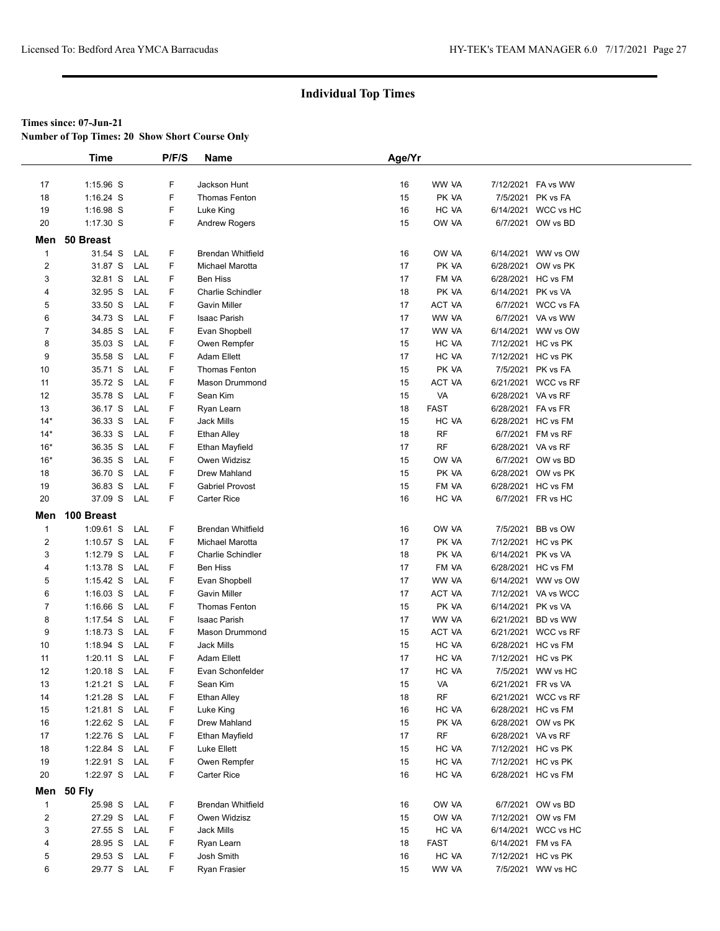**Number of Top Times: 20 Show Short Course Only**

|                         | <b>Time</b>   |     | P/F/S  | Name                     | Age/Yr |                 |                    |                     |  |
|-------------------------|---------------|-----|--------|--------------------------|--------|-----------------|--------------------|---------------------|--|
|                         |               |     |        |                          |        |                 |                    |                     |  |
| 17                      | 1:15.96 S     |     | F      | Jackson Hunt             | 16     | WW VA           | 7/12/2021          | FA vs WW            |  |
| 18                      | $1:16.24$ S   |     | F      | Thomas Fenton            | 15     | PK VA           | 7/5/2021           | PK vs FA            |  |
| 19                      | 1:16.98 S     |     | F      | Luke King                | 16     | HC VA           | 6/14/2021          | WCC vs HC           |  |
| 20                      | $1:17.30$ S   |     | F      | <b>Andrew Rogers</b>     | 15     | OW VA           |                    | 6/7/2021 OW vs BD   |  |
| Men                     | 50 Breast     |     |        |                          |        |                 |                    |                     |  |
|                         |               |     |        |                          |        |                 |                    |                     |  |
| $\mathbf{1}$            | 31.54 S       | LAL | F<br>F | <b>Brendan Whitfield</b> | 16     | OW VA           | 6/14/2021          | WW vs OW            |  |
| $\overline{\mathbf{c}}$ | 31.87 S       | LAL | F      | Michael Marotta          | 17     | PK VA           | 6/28/2021          | OW vs PK            |  |
| 3                       | 32.81 S       | LAL |        | <b>Ben Hiss</b>          | 17     | FM VA           | 6/28/2021          | HC vs FM            |  |
| 4                       | 32.95 S       | LAL | F      | <b>Charlie Schindler</b> | 18     | PK VA           | 6/14/2021          | PK vs VA            |  |
| 5                       | 33.50 S       | LAL | F      | <b>Gavin Miller</b>      | 17     | ACT VA<br>WW VA | 6/7/2021           | <b>WCC vs FA</b>    |  |
| 6                       | 34.73 S       | LAL | F      | Isaac Parish             | 17     |                 | 6/7/2021           | VA vs WW            |  |
| 7                       | 34.85 S       | LAL | F      | Evan Shopbell            | 17     | WW VA           | 6/14/2021          | WW vs OW            |  |
| 8                       | 35.03 S       | LAL | F      | Owen Rempfer             | 15     | HC VA           |                    | 7/12/2021 HC vs PK  |  |
| 9                       | 35.58 S       | LAL | F      | <b>Adam Ellett</b>       | 17     | HC VA           |                    | 7/12/2021 HC vs PK  |  |
| 10                      | 35.71 S       | LAL | F      | <b>Thomas Fenton</b>     | 15     | PK VA           |                    | 7/5/2021 PK vs FA   |  |
| 11                      | 35.72 S       | LAL | F      | Mason Drummond           | 15     | ACT VA          |                    | 6/21/2021 WCC vs RF |  |
| 12                      | 35.78 S       | LAL | F      | Sean Kim                 | 15     | VA              | 6/28/2021 VA vs RF |                     |  |
| 13                      | 36.17 S       | LAL | F      | Ryan Learn               | 18     | <b>FAST</b>     | 6/28/2021          | FA vs FR            |  |
| $14*$                   | 36.33 S       | LAL | F      | Jack Mills               | 15     | HC VA           | 6/28/2021          | HC vs FM            |  |
| $14*$                   | 36.33 S       | LAL | F      | Ethan Alley              | 18     | <b>RF</b>       | 6/7/2021           | FM vs RF            |  |
| $16*$                   | 36.35 S       | LAL | F      | Ethan Mayfield           | 17     | <b>RF</b>       | 6/28/2021 VA vs RF |                     |  |
| $16*$                   | 36.35 S       | LAL | F      | Owen Widzisz             | 15     | OW VA           | 6/7/2021           | OW vs BD            |  |
| 18                      | 36.70 S       | LAL | F      | Drew Mahland             | 15     | PK VA           | 6/28/2021          | OW vs PK            |  |
| 19                      | 36.83 S       | LAL | F      | <b>Gabriel Provost</b>   | 15     | FM VA           | 6/28/2021          | HC vs FM            |  |
| 20                      | 37.09 S       | LAL | F      | Carter Rice              | 16     | HC VA           |                    | 6/7/2021 FR vs HC   |  |
| Men                     | 100 Breast    |     |        |                          |        |                 |                    |                     |  |
| $\mathbf 1$             | $1:09.61$ S   | LAL | F      | <b>Brendan Whitfield</b> | 16     | OW VA           | 7/5/2021           | BB vs OW            |  |
| $\overline{\mathbf{c}}$ | $1:10.57$ S   | LAL | F      | Michael Marotta          | 17     | PK VA           |                    | 7/12/2021 HC vs PK  |  |
| 3                       | $1:12.79$ S   | LAL | F      | <b>Charlie Schindler</b> | 18     | PK VA           | 6/14/2021          | PK vs VA            |  |
| 4                       | 1:13.78 S     | LAL | F      | <b>Ben Hiss</b>          | 17     | FM VA           |                    | 6/28/2021 HC vs FM  |  |
| 5                       | $1:15.42$ S   | LAL | F      | Evan Shopbell            | 17     | WW VA           |                    | 6/14/2021 WW vs OW  |  |
| 6                       | $1:16.03$ S   | LAL | F      | Gavin Miller             | 17     | ACT VA          | 7/12/2021          | VA vs WCC           |  |
| 7                       | $1:16.66$ S   | LAL | F      | <b>Thomas Fenton</b>     | 15     | PK VA           | 6/14/2021          | PK vs VA            |  |
| 8                       | 1:17.54 S     | LAL | F      | Isaac Parish             | 17     | WW VA           | 6/21/2021          | BD vs WW            |  |
| 9                       | $1:18.73$ S   | LAL | F      | Mason Drummond           | 15     | ACT VA          | 6/21/2021          | WCC vs RF           |  |
| 10                      | $1:18.94$ S   | LAL | F      | <b>Jack Mills</b>        | 15     | HC VA           | 6/28/2021          | HC vs FM            |  |
| 11                      | $1:20.11$ S   | LAL | F      | <b>Adam Ellett</b>       | 17     | HC VA           | 7/12/2021          | HC vs PK            |  |
| 12                      | $1:20.18$ S   | LAL | F      | Evan Schonfelder         | 17     | HC VA           |                    | 7/5/2021 WW vs HC   |  |
| 13                      | 1:21.21 S     | LAL | F      | Sean Kim                 | 15     | VA              | 6/21/2021 FR vs VA |                     |  |
| 14                      | 1:21.28 S     | LAL | F      | <b>Ethan Alley</b>       | 18     | <b>RF</b>       |                    | 6/21/2021 WCC vs RF |  |
| 15                      | $1:21.81$ S   | LAL | F      | Luke King                | 16     | HC VA           |                    | 6/28/2021 HC vs FM  |  |
| 16                      | $1:22.62$ S   | LAL | F      | Drew Mahland             | 15     | PK VA           |                    | 6/28/2021 OW vs PK  |  |
| 17                      | 1:22.76 S     | LAL | F      | Ethan Mayfield           | 17     | RF              | 6/28/2021 VA vs RF |                     |  |
| 18                      | 1:22.84 S     | LAL | F      | Luke Ellett              | 15     | HC VA           | 7/12/2021          | HC vs PK            |  |
| 19                      | 1:22.91 S     | LAL | F      | Owen Rempfer             | 15     | HC VA           | 7/12/2021          | HC vs PK            |  |
| 20                      | 1:22.97 S LAL |     | F      | Carter Rice              | 16     | HC VA           |                    | 6/28/2021 HC vs FM  |  |
|                         | Men 50 Fly    |     |        |                          |        |                 |                    |                     |  |
| $\mathbf{1}$            | 25.98 S LAL   |     | F      | <b>Brendan Whitfield</b> | 16     | OW VA           |                    | 6/7/2021 OW vs BD   |  |
| 2                       | 27.29 S       | LAL | F      | Owen Widzisz             | 15     | OW VA           | 7/12/2021          | OW vs FM            |  |
| 3                       | 27.55 S       | LAL | F      | Jack Mills               | 15     | HC VA           | 6/14/2021          | WCC vs HC           |  |
| 4                       | 28.95 S       | LAL | F      | Ryan Learn               | 18     | <b>FAST</b>     | 6/14/2021          | FM vs FA            |  |
| 5                       | 29.53 S       | LAL | F      | Josh Smith               | 16     | HC VA           |                    | 7/12/2021 HC vs PK  |  |
| 6                       | 29.77 S LAL   |     | F      | Ryan Frasier             | 15     | WW VA           |                    | 7/5/2021 WW vs HC   |  |
|                         |               |     |        |                          |        |                 |                    |                     |  |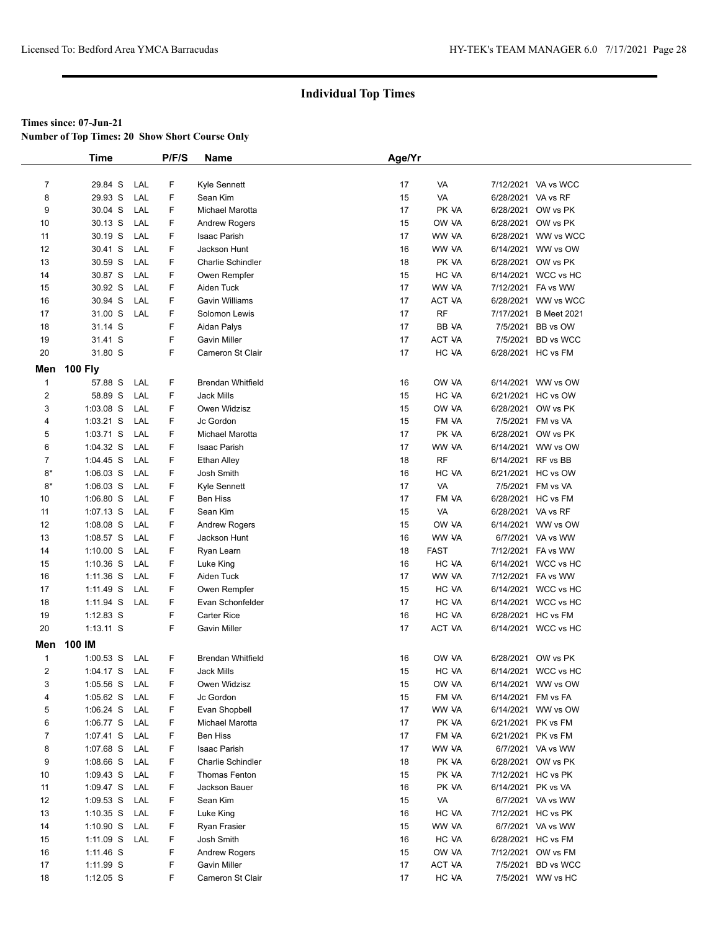**Number of Top Times: 20 Show Short Course Only**

|                         | <b>Time</b>    |     | P/F/S | <b>Name</b>              | Age/Yr |             |                    |                     |
|-------------------------|----------------|-----|-------|--------------------------|--------|-------------|--------------------|---------------------|
|                         |                |     |       |                          |        |             |                    |                     |
| $\overline{7}$          | 29.84 S        | LAL | F     | Kyle Sennett             | 17     | VA          |                    | 7/12/2021 VA vs WCC |
| 8                       | 29.93 S        | LAL | F     | Sean Kim                 | 15     | VA          | 6/28/2021 VA vs RF |                     |
| 9                       | 30.04 S        | LAL | F     | Michael Marotta          | 17     | PK VA       | 6/28/2021          | OW vs PK            |
| 10                      | 30.13 S        | LAL | F     | <b>Andrew Rogers</b>     | 15     | OW VA       | 6/28/2021          | OW vs PK            |
| 11                      | 30.19 S        | LAL | F     | Isaac Parish             | 17     | WW VA       |                    | 6/28/2021 WW vs WCC |
| 12                      | 30.41 S        | LAL | F     | Jackson Hunt             | 16     | WW VA       |                    | 6/14/2021 WW vs OW  |
| 13                      | 30.59 S        | LAL | F     | <b>Charlie Schindler</b> | 18     | PK VA       | 6/28/2021          | OW vs PK            |
| 14                      | 30.87 S        | LAL | F     | Owen Rempfer             | 15     | HC VA       |                    | 6/14/2021 WCC vs HC |
| 15                      | 30.92 S        | LAL | F     | Aiden Tuck               | 17     | WW VA       |                    | 7/12/2021 FA vs WW  |
| 16                      | 30.94 S        | LAL | F     | Gavin Williams           | 17     | ACT VA      |                    | 6/28/2021 WW vs WCC |
| 17                      | 31.00 S        | LAL | F     | Solomon Lewis            | 17     | <b>RF</b>   | 7/17/2021          | <b>B</b> Meet 2021  |
| 18                      | 31.14 S        |     | F     | Aidan Palys              | 17     | BB VA       | 7/5/2021           | BB vs OW            |
| 19                      | 31.41 S        |     | F     | <b>Gavin Miller</b>      | 17     | ACT VA      | 7/5/2021           | <b>BD</b> vs WCC    |
| 20                      | 31.80 S        |     | F     | Cameron St Clair         | 17     | HC VA       | 6/28/2021 HC vs FM |                     |
|                         |                |     |       |                          |        |             |                    |                     |
| Men                     | <b>100 Fly</b> |     |       |                          |        |             |                    |                     |
| $\mathbf{1}$            | 57.88 S        | LAL | F     | <b>Brendan Whitfield</b> | 16     | OW VA       |                    | 6/14/2021 WW vs OW  |
| $\overline{\mathbf{c}}$ | 58.89 S        | LAL | F     | <b>Jack Mills</b>        | 15     | HC VA       | 6/21/2021          | HC vs OW            |
| 3                       | 1:03.08 S      | LAL | F     | Owen Widzisz             | 15     | OW VA       | 6/28/2021          | OW vs PK            |
| 4                       | $1:03.21$ S    | LAL | F     | Jc Gordon                | 15     | FM VA       |                    | 7/5/2021 FM vs VA   |
| 5                       | 1:03.71 S      | LAL | F     | Michael Marotta          | 17     | PK VA       |                    | 6/28/2021 OW vs PK  |
| 6                       | 1:04.32 S      | LAL | F     | Isaac Parish             | 17     | WW VA       |                    | 6/14/2021 WW vs OW  |
| 7                       | $1:04.45$ S    | LAL | F     | <b>Ethan Alley</b>       | 18     | <b>RF</b>   | 6/14/2021          | RF vs BB            |
| $8*$                    | $1:06.03$ S    | LAL | F     | Josh Smith               | 16     | HC VA       | 6/21/2021          | HC vs OW            |
| $8*$                    | $1:06.03$ S    | LAL | F     | Kyle Sennett             | 17     | VA          | 7/5/2021           | FM vs VA            |
| 10                      | $1:06.80$ S    | LAL | F     | <b>Ben Hiss</b>          | 17     | FM VA       | 6/28/2021 HC vs FM |                     |
| 11                      | $1:07.13$ S    | LAL | F     | Sean Kim                 | 15     | VA          | 6/28/2021 VA vs RF |                     |
| 12                      | 1:08.08 S      | LAL | F     | <b>Andrew Rogers</b>     | 15     | OW VA       |                    | 6/14/2021 WW vs OW  |
| 13                      | 1:08.57 S      | LAL | F     | Jackson Hunt             | 16     | WW VA       |                    | 6/7/2021 VA vs WW   |
| 14                      | $1:10.00$ S    | LAL | F     | Ryan Learn               | 18     | <b>FAST</b> |                    | 7/12/2021 FA vs WW  |
| 15                      | $1:10.36$ S    | LAL | F     | Luke King                | 16     | HC VA       |                    | 6/14/2021 WCC vs HC |
| 16                      | $1:11.36$ S    | LAL | F     | Aiden Tuck               | 17     | WW VA       |                    | 7/12/2021 FA vs WW  |
| 17                      | 1:11.49 S      | LAL | F     | Owen Rempfer             | 15     | HC VA       |                    | 6/14/2021 WCC vs HC |
| 18                      | 1:11.94 S      | LAL | F     | Evan Schonfelder         | 17     | HC VA       |                    | 6/14/2021 WCC vs HC |
| 19                      | $1:12.83$ S    |     | F     | <b>Carter Rice</b>       | 16     | HC VA       | 6/28/2021 HC vs FM |                     |
| 20                      | $1:13.11$ S    |     | F     | <b>Gavin Miller</b>      | 17     | ACT VA      |                    | 6/14/2021 WCC vs HC |
| Men                     | 100 IM         |     |       |                          |        |             |                    |                     |
| 1                       | $1:00.53$ S    | LAL | F     | <b>Brendan Whitfield</b> | 16     | OW VA       | 6/28/2021          | OW vs PK            |
| $\overline{2}$          | $1:04.17$ S    | LAL | F     | Jack Mills               | 15     | HC VA       |                    | 6/14/2021 WCC vs HC |
| 3                       | $1:05.56$ S    | LAL | F     | Owen Widzisz             | 15     | OW VA       |                    | 6/14/2021 WW vs OW  |
| 4                       | 1:05.62 S      | LAL | F     | Jc Gordon                | 15     | FM VA       | 6/14/2021          | FM vs FA            |
| 5                       | 1:06.24 S      | LAL | F     | Evan Shopbell            | 17     | WW VA       |                    | 6/14/2021 WW vs OW  |
| 6                       | $1:06.77$ S    | LAL | F     | Michael Marotta          | 17     | PK VA       | 6/21/2021 PK vs FM |                     |
| $\overline{7}$          | 1:07.41 S      | LAL | F     | <b>Ben Hiss</b>          | 17     | FM VA       | 6/21/2021 PK vs FM |                     |
| 8                       | 1:07.68 S      | LAL | F     | Isaac Parish             | 17     | WW VA       |                    | 6/7/2021 VA vs WW   |
| 9                       | $1:08.66$ S    | LAL | F     | Charlie Schindler        | 18     | PK VA       | 6/28/2021          | OW vs PK            |
| 10                      | 1:09.43 S      | LAL | F     | Thomas Fenton            | 15     | PK VA       |                    | 7/12/2021 HC vs PK  |
| 11                      | 1:09.47 $S$    | LAL | F     | Jackson Bauer            | 16     | PK VA       | 6/14/2021 PK vs VA |                     |
| 12                      | $1:09.53$ S    | LAL | F     | Sean Kim                 | 15     | VA          |                    | 6/7/2021 VA vs WW   |
| 13                      | $1:10.35$ S    | LAL | F     | Luke King                | 16     | HC VA       |                    | 7/12/2021 HC vs PK  |
| 14                      | 1:10.90 S      | LAL | F     | Ryan Frasier             | 15     | WW VA       |                    | 6/7/2021 VA vs WW   |
| 15                      | 1:11.09 S      | LAL | F     | Josh Smith               | 16     | HC VA       |                    | 6/28/2021 HC vs FM  |
| 16                      | 1:11.46 S      |     | F     | <b>Andrew Rogers</b>     | 15     | OW VA       | 7/12/2021          | OW vs FM            |
| 17                      | 1:11.99 S      |     | F     | <b>Gavin Miller</b>      | 17     | ACT VA      | 7/5/2021           | <b>BD</b> vs WCC    |
| 18                      | $1:12.05$ S    |     | F     | Cameron St Clair         | 17     | HC VA       |                    | 7/5/2021 WW vs HC   |
|                         |                |     |       |                          |        |             |                    |                     |